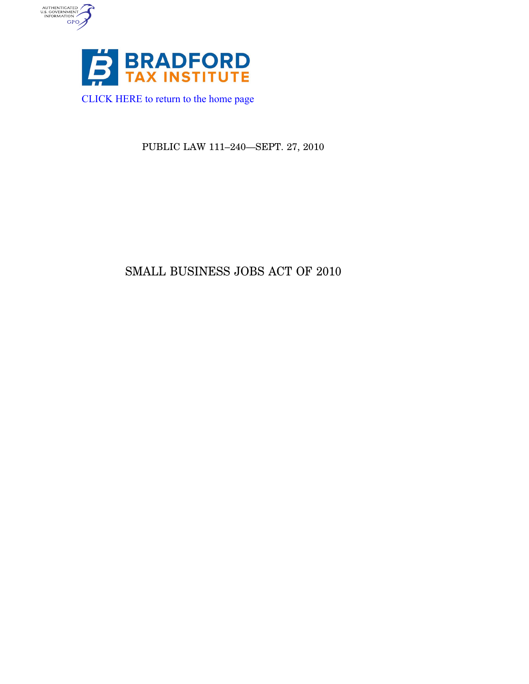

AUTHENTICATED<br>U.S. GOVERNMENT<br>INFORMATION<br>GPO

PUBLIC LAW 111–240—SEPT. 27, 2010

# SMALL BUSINESS JOBS ACT OF 2010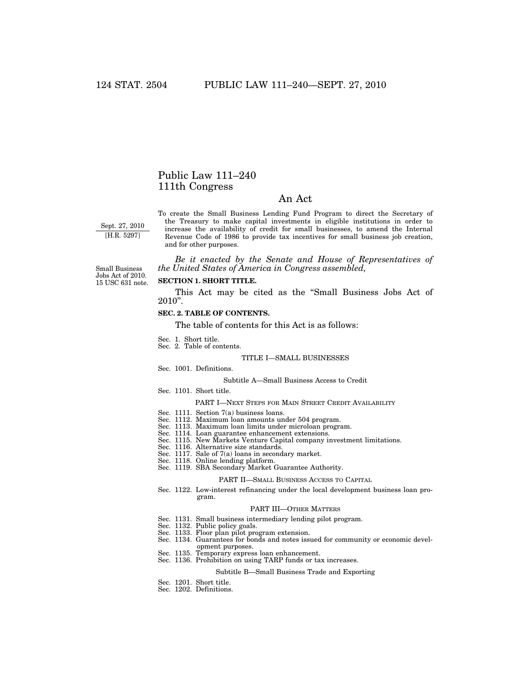# Public Law 111–240 111th Congress

# An Act

Sept. 27, 2010 [H.R. 5297]

To create the Small Business Lending Fund Program to direct the Secretary of the Treasury to make capital investments in eligible institutions in order to increase the availability of credit for small businesses, to amend the Internal Revenue Code of 1986 to provide tax incentives for small business job creation, and for other purposes.

*Be it enacted by the Senate and House of Representatives of the United States of America in Congress assembled,* 

15 USC 631 note. Small Business Jobs Act of 2010.

# **SECTION 1. SHORT TITLE.**

This Act may be cited as the ''Small Business Jobs Act of 2010''.

# **SEC. 2. TABLE OF CONTENTS.**

The table of contents for this Act is as follows:

- Sec. 1. Short title. Sec. 2. Table of contents.
- 

# TITLE I—SMALL BUSINESSES

# Sec. 1001. Definitions.

### Subtitle A—Small Business Access to Credit

Sec. 1101. Short title.

# PART I—NEXT STEPS FOR MAIN STREET CREDIT AVAILABILITY

- Sec. 1111. Section 7(a) business loans.
- Sec. 1112. Maximum loan amounts under 504 program. Sec. 1113. Maximum loan limits under microloan program.
- 
- Sec. 1114. Loan guarantee enhancement extensions. Sec. 1115. New Markets Venture Capital company investment limitations.
- Sec. 1116. Alternative size standards.
- 
- 
- Sec. 1117. Sale of 7(a) loans in secondary market. Sec. 1118. Online lending platform. Sec. 1119. SBA Secondary Market Guarantee Authority.

### PART II—SMALL BUSINESS ACCESS TO CAPITAL

Sec. 1122. Low-interest refinancing under the local development business loan program.

# PART III—OTHER MATTERS

- Sec. 1131. Small business intermediary lending pilot program.
- 
- Sec. 1132. Public policy goals. Sec. 1133. Floor plan pilot program extension.
- Sec. 1134. Guarantees for bonds and notes issued for community or economic devel
	- opment purposes.
- Sec. 1135. Temporary express loan enhancement. Sec. 1136. Prohibition on using TARP funds or tax increases.

### Subtitle B—Small Business Trade and Exporting

- Sec. 1201. Short title. Sec. 1202. Definitions.
-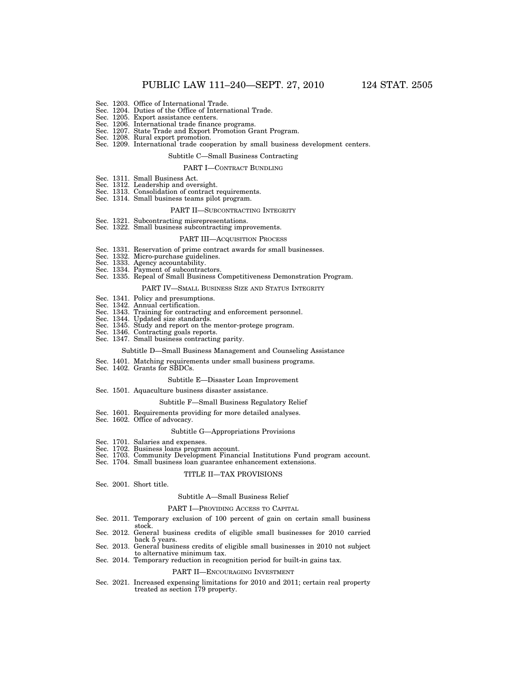- 
- Sec. 1203. Office of International Trade. Sec. 1204. Duties of the Office of International Trade.
- Sec. 1205. Export assistance centers.
- Sec. 1206. International trade finance programs.
- Sec. 1207. State Trade and Export Promotion Grant Program. Sec. 1208. Rural export promotion.
- Sec. 1209. International trade cooperation by small business development centers.

# Subtitle C—Small Business Contracting

#### PART I—CONTRACT BUNDLING

- 
- Sec. 1311. Small Business Act. Sec. 1312. Leadership and oversight.
- Sec. 1313. Consolidation of contract requirements.
- Sec. 1314. Small business teams pilot program.

# PART II—SUBCONTRACTING INTEGRITY

- Sec. 1321. Subcontracting misrepresentations.
- Sec. 1322. Small business subcontracting improvements.

### PART III—ACQUISITION PROCESS

- Sec. 1331. Reservation of prime contract awards for small businesses.
- Sec. 1332. Micro-purchase guidelines.
- 
- 
- Sec. 1333. Agency accountability. Sec. 1334. Payment of subcontractors. Sec. 1335. Repeal of Small Business Competitiveness Demonstration Program.

### PART IV—SMALL BUSINESS SIZE AND STATUS INTEGRITY

- Sec. 1341. Policy and presumptions. Sec. 1342. Annual certification.
- 
- Sec. 1343. Training for contracting and enforcement personnel.
- Sec. 1344. Updated size standards.
- Sec. 1345. Study and report on the mentor-protege program. Sec. 1346. Contracting goals reports.
- Sec. 1347. Small business contracting parity.

# Subtitle D—Small Business Management and Counseling Assistance

- Sec. 1401. Matching requirements under small business programs.
- Sec. 1402. Grants for SBDCs.

### Subtitle E—Disaster Loan Improvement

Sec. 1501. Aquaculture business disaster assistance.

### Subtitle F—Small Business Regulatory Relief

- Sec. 1601. Requirements providing for more detailed analyses. Sec. 1602. Office of advocacy.
- 

### Subtitle G—Appropriations Provisions

- Sec. 1701. Salaries and expenses.
- Sec. 1702. Business loans program account.
- Sec. 1703. Community Development Financial Institutions Fund program account.
- Sec. 1704. Small business loan guarantee enhancement extensions.

# TITLE II—TAX PROVISIONS

Sec. 2001. Short title.

### Subtitle A—Small Business Relief

### PART I—PROVIDING ACCESS TO CAPITAL

- Sec. 2011. Temporary exclusion of 100 percent of gain on certain small business stock.
- Sec. 2012. General business credits of eligible small businesses for 2010 carried back 5 years.
- Sec. 2013. General business credits of eligible small businesses in 2010 not subject to alternative minimum tax.
- Sec. 2014. Temporary reduction in recognition period for built-in gains tax.

### PART II—ENCOURAGING INVESTMENT

Sec. 2021. Increased expensing limitations for 2010 and 2011; certain real property treated as section 179 property.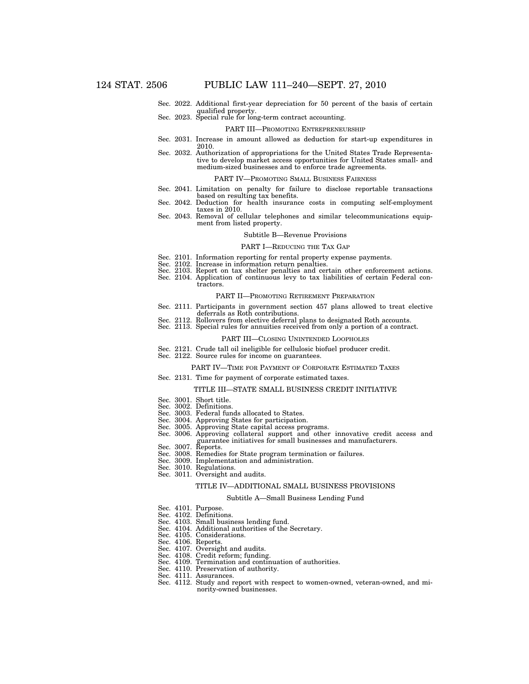Sec. 2022. Additional first-year depreciation for 50 percent of the basis of certain qualified property. Sec. 2023. Special rule for long-term contract accounting.

### PART III—PROMOTING ENTREPRENEURSHIP

- Sec. 2031. Increase in amount allowed as deduction for start-up expenditures in 2010.
- Sec. 2032. Authorization of appropriations for the United States Trade Representative to develop market access opportunities for United States small- and medium-sized businesses and to enforce trade agreements.

### PART IV—PROMOTING SMALL BUSINESS FAIRNESS

- Sec. 2041. Limitation on penalty for failure to disclose reportable transactions based on resulting tax benefits.
- Sec. 2042. Deduction for health insurance costs in computing self-employment taxes in 2010.
- Sec. 2043. Removal of cellular telephones and similar telecommunications equipment from listed property.

#### Subtitle B—Revenue Provisions

# PART I—REDUCING THE TAX GAP

- Sec. 2101. Information reporting for rental property expense payments.
- Sec. 2102. Increase in information return penalties.
- Sec. 2103. Report on tax shelter penalties and certain other enforcement actions.
- Sec. 2104. Application of continuous levy to tax liabilities of certain Federal con
	- tractors.

### PART II—PROMOTING RETIREMENT PREPARATION

- Sec. 2111. Participants in government section 457 plans allowed to treat elective deferrals as Roth contributions.
- Sec. 2112. Rollovers from elective deferral plans to designated Roth accounts.
- Sec. 2113. Special rules for annuities received from only a portion of a contract.

#### PART III—CLOSING UNINTENDED LOOPHOLES

- Sec. 2121. Crude tall oil ineligible for cellulosic biofuel producer credit.
- Sec. 2122. Source rules for income on guarantees.

### PART IV—TIME FOR PAYMENT OF CORPORATE ESTIMATED TAXES

Sec. 2131. Time for payment of corporate estimated taxes.

### TITLE III—STATE SMALL BUSINESS CREDIT INITIATIVE

- Sec. 3001. Short title.
- Sec. 3002. Definitions.
- Sec. 3003. Federal funds allocated to States.
- 
- 
- Sec. 3004. Approving States for participation. Sec. 3005. Approving State capital access programs. Sec. 3006. Approving collateral support and other innovative credit access and guarantee initiatives for small businesses and manufacturers.
- Sec. 3007. Reports.
- Sec. 3008. Remedies for State program termination or failures. Sec. 3009. Implementation and administration. Sec. 3010. Regulations.
- 
- Sec. 3011. Oversight and audits.
- 

# TITLE IV—ADDITIONAL SMALL BUSINESS PROVISIONS

### Subtitle A—Small Business Lending Fund

- Sec. 4101. Purpose.
- Sec. 4102. Definitions.
- Sec. 4103. Small business lending fund.
- Sec. 4104. Additional authorities of the Secretary.
- Sec. 4105. Considerations.
- Sec. 4106. Reports.
- 
- 
- Sec. 4107. Oversight and audits. Sec. 4108. Credit reform; funding. Sec. 4109. Termination and continuation of authorities.
- Sec. 4110. Preservation of authority.
- Sec. 4111. Assurances.
- Sec. 4112. Study and report with respect to women-owned, veteran-owned, and minority-owned businesses.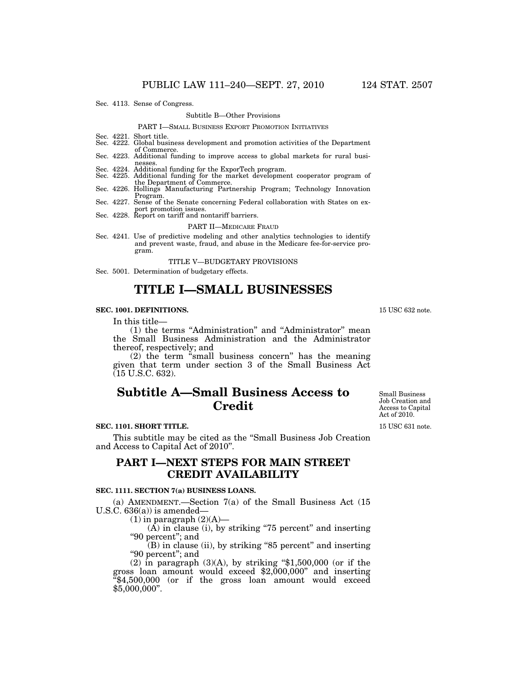Sec. 4113. Sense of Congress.

### Subtitle B—Other Provisions

### PART I—SMALL BUSINESS EXPORT PROMOTION INITIATIVES

- Sec. 4221. Short title. Sec. 4222. Global business development and promotion activities of the Department
- of Commerce. Sec. 4223. Additional funding to improve access to global markets for rural busi-

- nesses. Sec. 4224. Additional funding for the ExporTech program. Sec. 4225. Additional funding for the market development cooperator program of
- Sec. 4226. Hollings Manufacturing Partnership Program; Technology Innovation<br>Program.
- Sec. 4227. Sense of the Senate concerning Federal collaboration with States on export promotion issues.<br>Sec. 4228. Report on tariff and nontariff barriers.
- 

### PART II—MEDICARE FRAUD

Sec. 4241. Use of predictive modeling and other analytics technologies to identify and prevent waste, fraud, and abuse in the Medicare fee-for-service program.

TITLE V—BUDGETARY PROVISIONS

Sec. 5001. Determination of budgetary effects.

# **TITLE I—SMALL BUSINESSES**

# **SEC. 1001. DEFINITIONS.**

### In this title—

(1) the terms ''Administration'' and ''Administrator'' mean the Small Business Administration and the Administrator thereof, respectively; and

(2) the term ''small business concern'' has the meaning given that term under section 3 of the Small Business Act (15 U.S.C. 632).

# **Subtitle A—Small Business Access to Credit**

# **SEC. 1101. SHORT TITLE.**

This subtitle may be cited as the ''Small Business Job Creation and Access to Capital Act of 2010''.

# **PART I—NEXT STEPS FOR MAIN STREET CREDIT AVAILABILITY**

### **SEC. 1111. SECTION 7(a) BUSINESS LOANS.**

(a) AMENDMENT.—Section 7(a) of the Small Business Act (15 U.S.C.  $636(a)$  is amended-

 $(1)$  in paragraph  $(2)(A)$ —

 $(A)$  in clause (i), by striking "75 percent" and inserting "90 percent"; and

 $(B)$  in clause (ii), by striking "85 percent" and inserting "90 percent"; and

(2) in paragraph  $(3)(A)$ , by striking "\$1,500,000 (or if the gross loan amount would exceed  $$2,000,000'$  and inserting  $\frac{1}{2}$ \$4,500,000 (or if the gross loan amount would exceed \$5,000,000''.

Small Business Job Creation and Access to Capital Act of 2010.

15 USC 631 note.

15 USC 632 note.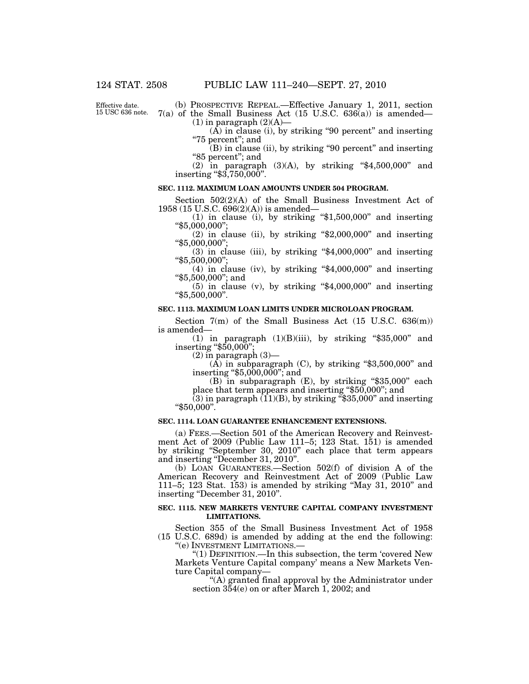Effective date. 15 USC 636 note.

(b) PROSPECTIVE REPEAL.—Effective January 1, 2011, section  $7(a)$  of the Small Business Act (15 U.S.C. 636 $(a)$ ) is amended—  $(1)$  in paragraph  $(2)(A)$ —

(A) in clause (i), by striking ''90 percent'' and inserting ''75 percent''; and

 $(B)$  in clause (ii), by striking "90 percent" and inserting "85 percent"; and

(2) in paragraph (3)(A), by striking ''\$4,500,000'' and inserting "\$3,750,000".

# **SEC. 1112. MAXIMUM LOAN AMOUNTS UNDER 504 PROGRAM.**

Section 502(2)(A) of the Small Business Investment Act of 1958 (15 U.S.C. 696(2)(A)) is amended—

(1) in clause (i), by striking " $$1,500,000"$  and inserting " $$5.000,000"$ :

 $(2)$  in clause (ii), by striking "\$2,000,000" and inserting ''\$5,000,000'';

 $(3)$  in clause (iii), by striking "\$4,000,000" and inserting ''\$5,500,000'';

 $(4)$  in clause (iv), by striking "\$4,000,000" and inserting ''\$5,500,000''; and

 $(5)$  in clause  $(v)$ , by striking "\$4,000,000" and inserting ''\$5,500,000''.

# **SEC. 1113. MAXIMUM LOAN LIMITS UNDER MICROLOAN PROGRAM.**

Section  $7(m)$  of the Small Business Act  $(15 \text{ U.S.C. } 636(m))$ is amended—

(1) in paragraph  $(1)(B)(iii)$ , by striking "\$35,000" and inserting ''\$50,000'';

 $(2)$  in paragraph  $(3)$ —

 $(A)$  in subparagraph  $(C)$ , by striking "\$3,500,000" and inserting ''\$5,000,000''; and

(B) in subparagraph (E), by striking "\$35,000" each place that term appears and inserting ''\$50,000''; and

(3) in paragraph  $(11)(B)$ , by striking "\$35,000" and inserting "\$50,000".

# **SEC. 1114. LOAN GUARANTEE ENHANCEMENT EXTENSIONS.**

(a) FEES.—Section 501 of the American Recovery and Reinvestment Act of 2009 (Public Law 111–5; 123 Stat. 151) is amended by striking ''September 30, 2010'' each place that term appears and inserting ''December 31, 2010''.

(b) LOAN GUARANTEES.—Section 502(f) of division A of the American Recovery and Reinvestment Act of 2009 (Public Law 111–5; 123 Stat. 153) is amended by striking ''May 31, 2010'' and inserting "December 31, 2010".

# **SEC. 1115. NEW MARKETS VENTURE CAPITAL COMPANY INVESTMENT LIMITATIONS.**

Section 355 of the Small Business Investment Act of 1958 (15 U.S.C. 689d) is amended by adding at the end the following: "(e) INVESTMENT LIMITATIONS.-

''(1) DEFINITION.—In this subsection, the term 'covered New Markets Venture Capital company' means a New Markets Venture Capital company—

''(A) granted final approval by the Administrator under section 354(e) on or after March 1, 2002; and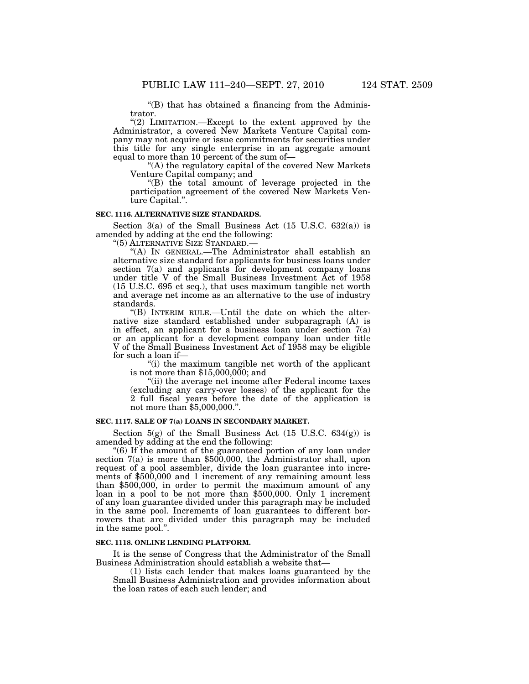$\mathrm{H}(B)$  that has obtained a financing from the Administrator.

"(2) LIMITATION.—Except to the extent approved by the Administrator, a covered New Markets Venture Capital company may not acquire or issue commitments for securities under this title for any single enterprise in an aggregate amount equal to more than 10 percent of the sum of—

''(A) the regulatory capital of the covered New Markets Venture Capital company; and

''(B) the total amount of leverage projected in the participation agreement of the covered New Markets Venture Capital.''.

# **SEC. 1116. ALTERNATIVE SIZE STANDARDS.**

Section  $3(a)$  of the Small Business Act  $(15 \text{ U.S.C. } 632(a))$  is amended by adding at the end the following:

''(5) ALTERNATIVE SIZE STANDARD.—

''(A) IN GENERAL.—The Administrator shall establish an alternative size standard for applicants for business loans under section 7(a) and applicants for development company loans under title V of the Small Business Investment Act of 1958 (15 U.S.C. 695 et seq.), that uses maximum tangible net worth and average net income as an alternative to the use of industry standards.

''(B) INTERIM RULE.—Until the date on which the alternative size standard established under subparagraph (A) is in effect, an applicant for a business loan under section  $7(a)$ or an applicant for a development company loan under title V of the Small Business Investment Act of 1958 may be eligible for such a loan if—

''(i) the maximum tangible net worth of the applicant is not more than \$15,000,000; and

''(ii) the average net income after Federal income taxes (excluding any carry-over losses) of the applicant for the 2 full fiscal years before the date of the application is not more than \$5,000,000.''.

# **SEC. 1117. SALE OF 7(a) LOANS IN SECONDARY MARKET.**

Section  $5(g)$  of the Small Business Act (15 U.S.C. 634(g)) is amended by adding at the end the following:

''(6) If the amount of the guaranteed portion of any loan under section 7(a) is more than \$500,000, the Administrator shall, upon request of a pool assembler, divide the loan guarantee into increments of \$500,000 and 1 increment of any remaining amount less than \$500,000, in order to permit the maximum amount of any loan in a pool to be not more than \$500,000. Only 1 increment of any loan guarantee divided under this paragraph may be included in the same pool. Increments of loan guarantees to different borrowers that are divided under this paragraph may be included in the same pool.''.

# **SEC. 1118. ONLINE LENDING PLATFORM.**

It is the sense of Congress that the Administrator of the Small Business Administration should establish a website that—

(1) lists each lender that makes loans guaranteed by the Small Business Administration and provides information about the loan rates of each such lender; and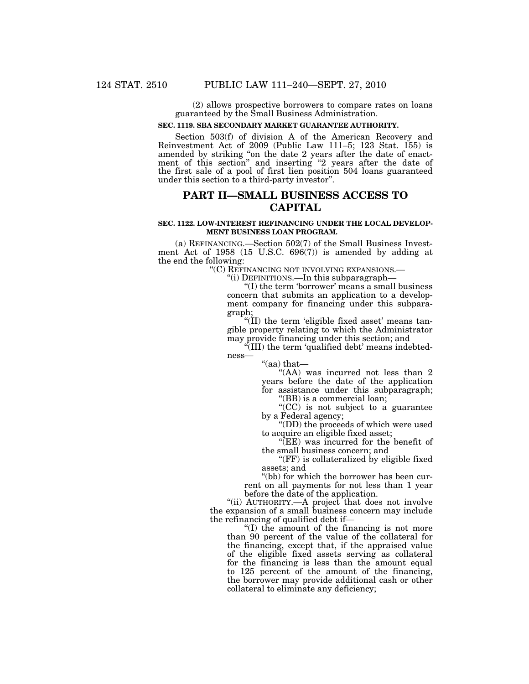(2) allows prospective borrowers to compare rates on loans guaranteed by the Small Business Administration.

### **SEC. 1119. SBA SECONDARY MARKET GUARANTEE AUTHORITY.**

Section 503(f) of division A of the American Recovery and Reinvestment Act of 2009 (Public Law 111–5; 123 Stat. 155) is amended by striking ''on the date 2 years after the date of enactment of this section" and inserting "2 years after the date of the first sale of a pool of first lien position 504 loans guaranteed under this section to a third-party investor''.

# **PART II—SMALL BUSINESS ACCESS TO CAPITAL**

# **SEC. 1122. LOW-INTEREST REFINANCING UNDER THE LOCAL DEVELOP-MENT BUSINESS LOAN PROGRAM.**

(a) REFINANCING.—Section 502(7) of the Small Business Investment Act of 1958 (15 U.S.C. 696(7)) is amended by adding at the end the following:<br>"(C) REFINANCING NOT INVOLVING EXPANSIONS.—

''(C) REFINANCING NOT INVOLVING EXPANSIONS.— ''(i) DEFINITIONS.—In this subparagraph—

''(I) the term 'borrower' means a small business concern that submits an application to a development company for financing under this subparagraph;

"(II) the term 'eligible fixed asset' means tangible property relating to which the Administrator may provide financing under this section; and

(III) the term 'qualified debt' means indebtedness—

''(aa) that— "(AA) was incurred not less than 2 years before the date of the application for assistance under this subparagraph;

''(BB) is a commercial loan;

''(CC) is not subject to a guarantee by a Federal agency;

''(DD) the proceeds of which were used to acquire an eligible fixed asset;

''(EE) was incurred for the benefit of the small business concern; and

"(FF) is collateralized by eligible fixed assets; and

''(bb) for which the borrower has been current on all payments for not less than 1 year before the date of the application.

"(ii) AUTHORITY.—A project that does not involve the expansion of a small business concern may include the refinancing of qualified debt if—

''(I) the amount of the financing is not more than 90 percent of the value of the collateral for the financing, except that, if the appraised value of the eligible fixed assets serving as collateral for the financing is less than the amount equal to 125 percent of the amount of the financing, the borrower may provide additional cash or other collateral to eliminate any deficiency;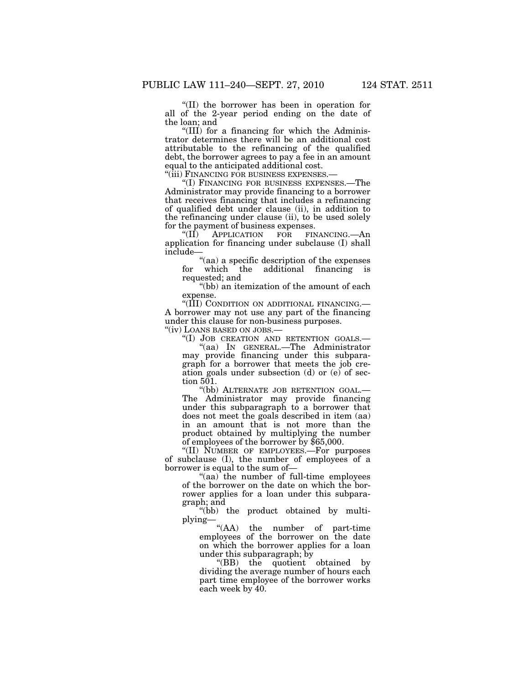''(II) the borrower has been in operation for all of the 2-year period ending on the date of the loan; and

''(III) for a financing for which the Administrator determines there will be an additional cost attributable to the refinancing of the qualified debt, the borrower agrees to pay a fee in an amount equal to the anticipated additional cost.<br>"(iii) FINANCING FOR BUSINESS EXPENSES.

"(I) FINANCING FOR BUSINESS EXPENSES.—The Administrator may provide financing to a borrower that receives financing that includes a refinancing of qualified debt under clause (ii), in addition to the refinancing under clause (ii), to be used solely for the payment of business expenses.<br>"(II) APPLICATION FOR FIN

APPLICATION FOR FINANCING.—An application for financing under subclause (I) shall include—

''(aa) a specific description of the expenses for which the additional financing is requested; and

''(bb) an itemization of the amount of each expense.

''(III) CONDITION ON ADDITIONAL FINANCING.— A borrower may not use any part of the financing under this clause for non-business purposes. ''(iv) LOANS BASED ON JOBS.—

''(I) JOB CREATION AND RETENTION GOALS.— ''(aa) IN GENERAL.—The Administrator may provide financing under this subparagraph for a borrower that meets the job creation goals under subsection (d) or (e) of section  $501$ .

''(bb) ALTERNATE JOB RETENTION GOAL.— The Administrator may provide financing under this subparagraph to a borrower that does not meet the goals described in item (aa) in an amount that is not more than the product obtained by multiplying the number of employees of the borrower by \$65,000.

''(II) NUMBER OF EMPLOYEES.—For purposes of subclause (I), the number of employees of a borrower is equal to the sum of—

''(aa) the number of full-time employees of the borrower on the date on which the borrower applies for a loan under this subparagraph; and

''(bb) the product obtained by multiplying—

''(AA) the number of part-time employees of the borrower on the date on which the borrower applies for a loan under this subparagraph; by

''(BB) the quotient obtained by dividing the average number of hours each part time employee of the borrower works each week by 40.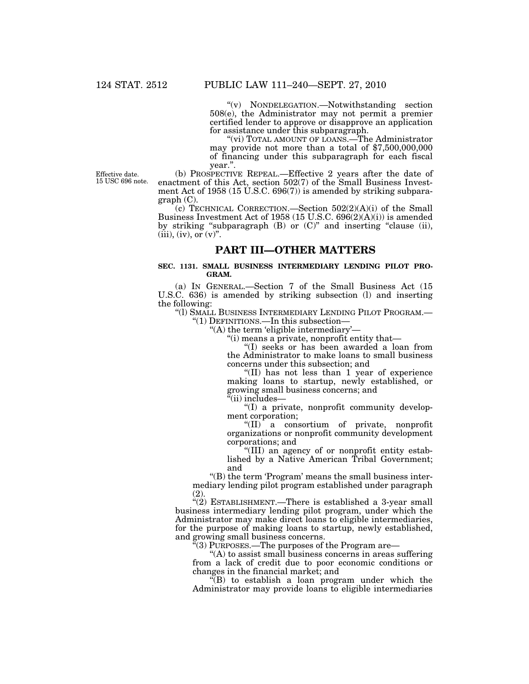''(v) NONDELEGATION.—Notwithstanding section 508(e), the Administrator may not permit a premier certified lender to approve or disapprove an application for assistance under this subparagraph.

"(vi) TOTAL AMOUNT OF LOANS.—The Administrator may provide not more than a total of \$7,500,000,000 of financing under this subparagraph for each fiscal year.''.

Effective date. 15 USC 696 note.

(b) PROSPECTIVE REPEAL.—Effective 2 years after the date of enactment of this Act, section 502(7) of the Small Business Investment Act of 1958 (15 U.S.C.  $696(7)$ ) is amended by striking subparagraph (C).

(c) TECHNICAL CORRECTION.—Section 502(2)(A)(i) of the Small Business Investment Act of 1958 (15 U.S.C. 696(2)(A)(i)) is amended by striking "subparagraph  $(B)$  or  $(C)$ " and inserting "clause (ii),  $(iii)$ ,  $(iv)$ , or  $(v)$ ".

# **PART III—OTHER MATTERS**

# **SEC. 1131. SMALL BUSINESS INTERMEDIARY LENDING PILOT PRO-GRAM.**

(a) IN GENERAL.—Section 7 of the Small Business Act (15 U.S.C. 636) is amended by striking subsection (l) and inserting the following:

''(l) SMALL BUSINESS INTERMEDIARY LENDING PILOT PROGRAM.— ''(1) DEFINITIONS.—In this subsection—

''(A) the term 'eligible intermediary'—

''(i) means a private, nonprofit entity that—

''(I) seeks or has been awarded a loan from the Administrator to make loans to small business concerns under this subsection; and

''(II) has not less than 1 year of experience making loans to startup, newly established, or growing small business concerns; and

 $\alpha$ (ii) includes—

''(I) a private, nonprofit community development corporation;

''(II) a consortium of private, nonprofit organizations or nonprofit community development corporations; and

''(III) an agency of or nonprofit entity established by a Native American Tribal Government; and

''(B) the term 'Program' means the small business intermediary lending pilot program established under paragraph (2).

"(2) ESTABLISHMENT.—There is established a 3-year small business intermediary lending pilot program, under which the Administrator may make direct loans to eligible intermediaries, for the purpose of making loans to startup, newly established, and growing small business concerns.

 $\mathbb{F}(3)$  PURPOSES.—The purposes of the Program are—

''(A) to assist small business concerns in areas suffering from a lack of credit due to poor economic conditions or changes in the financial market; and

''(B) to establish a loan program under which the Administrator may provide loans to eligible intermediaries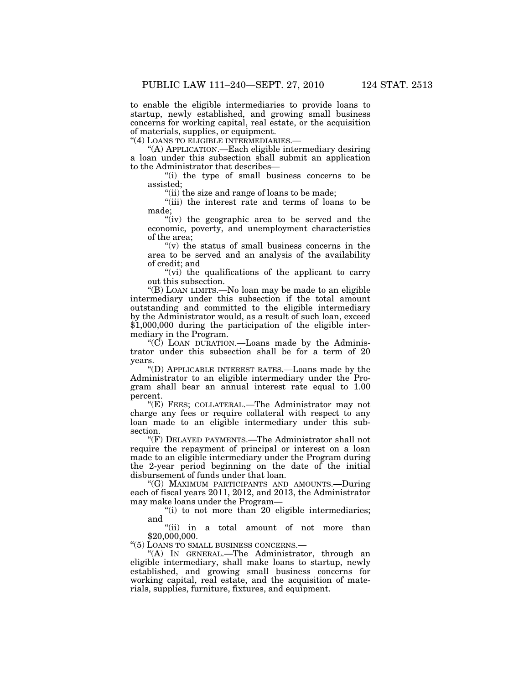to enable the eligible intermediaries to provide loans to startup, newly established, and growing small business concerns for working capital, real estate, or the acquisition of materials, supplies, or equipment.

''(4) LOANS TO ELIGIBLE INTERMEDIARIES.—

''(A) APPLICATION.—Each eligible intermediary desiring a loan under this subsection shall submit an application to the Administrator that describes—

''(i) the type of small business concerns to be assisted;

''(ii) the size and range of loans to be made;

''(iii) the interest rate and terms of loans to be made;

"(iv) the geographic area to be served and the economic, poverty, and unemployment characteristics of the area;

 $f'(v)$  the status of small business concerns in the area to be served and an analysis of the availability of credit; and

"(vi) the qualifications of the applicant to carry out this subsection.

''(B) LOAN LIMITS.—No loan may be made to an eligible intermediary under this subsection if the total amount outstanding and committed to the eligible intermediary by the Administrator would, as a result of such loan, exceed \$1,000,000 during the participation of the eligible intermediary in the Program.

" $(C)$  LOAN DURATION.—Loans made by the Administrator under this subsection shall be for a term of 20 years.

''(D) APPLICABLE INTEREST RATES.—Loans made by the Administrator to an eligible intermediary under the Program shall bear an annual interest rate equal to 1.00 percent.

''(E) FEES; COLLATERAL.—The Administrator may not charge any fees or require collateral with respect to any loan made to an eligible intermediary under this subsection.

''(F) DELAYED PAYMENTS.—The Administrator shall not require the repayment of principal or interest on a loan made to an eligible intermediary under the Program during the 2-year period beginning on the date of the initial disbursement of funds under that loan.

''(G) MAXIMUM PARTICIPANTS AND AMOUNTS.—During each of fiscal years 2011, 2012, and 2013, the Administrator may make loans under the Program—

 $(i)$  to not more than 20 eligible intermediaries; and

''(ii) in a total amount of not more than \$20,000,000.

''(5) LOANS TO SMALL BUSINESS CONCERNS.—

''(A) IN GENERAL.—The Administrator, through an eligible intermediary, shall make loans to startup, newly established, and growing small business concerns for working capital, real estate, and the acquisition of materials, supplies, furniture, fixtures, and equipment.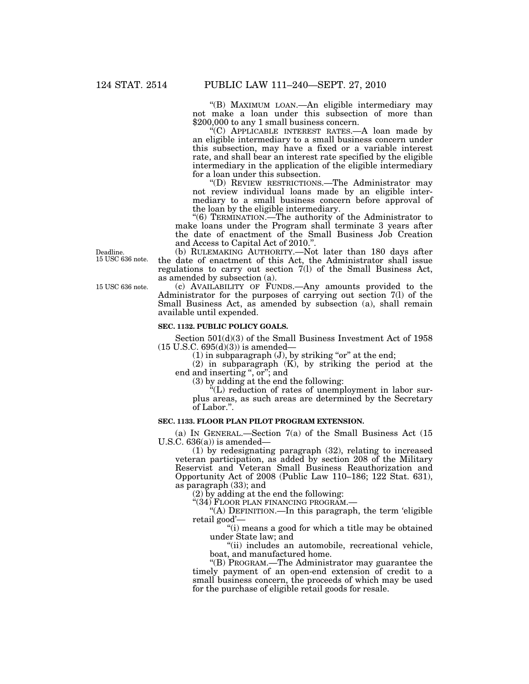''(B) MAXIMUM LOAN.—An eligible intermediary may not make a loan under this subsection of more than \$200,000 to any 1 small business concern.

''(C) APPLICABLE INTEREST RATES.—A loan made by an eligible intermediary to a small business concern under this subsection, may have a fixed or a variable interest rate, and shall bear an interest rate specified by the eligible intermediary in the application of the eligible intermediary for a loan under this subsection.

''(D) REVIEW RESTRICTIONS.—The Administrator may not review individual loans made by an eligible intermediary to a small business concern before approval of the loan by the eligible intermediary.

''(6) TERMINATION.—The authority of the Administrator to make loans under the Program shall terminate 3 years after the date of enactment of the Small Business Job Creation and Access to Capital Act of 2010.''.

(b) RULEMAKING AUTHORITY.—Not later than 180 days after the date of enactment of this Act, the Administrator shall issue regulations to carry out section 7(l) of the Small Business Act, as amended by subsection (a).

(c) AVAILABILITY OF FUNDS.—Any amounts provided to the Administrator for the purposes of carrying out section 7(l) of the Small Business Act, as amended by subsection (a), shall remain available until expended.

# **SEC. 1132. PUBLIC POLICY GOALS.**

Section  $501<sub>d</sub>(3)$  of the Small Business Investment Act of 1958  $(15 \text{ U.S.C. } 695(d)(3))$  is amended—

 $(1)$  in subparagraph  $(J)$ , by striking "or" at the end;

(2) in subparagraph (K), by striking the period at the end and inserting ", or"; and

(3) by adding at the end the following:

 $K(L)$  reduction of rates of unemployment in labor surplus areas, as such areas are determined by the Secretary of Labor.''.

# **SEC. 1133. FLOOR PLAN PILOT PROGRAM EXTENSION.**

(a) IN GENERAL.—Section 7(a) of the Small Business Act (15 U.S.C.  $636(a)$  is amended—

(1) by redesignating paragraph (32), relating to increased veteran participation, as added by section 208 of the Military Reservist and Veteran Small Business Reauthorization and Opportunity Act of 2008 (Public Law 110–186; 122 Stat. 631), as paragraph (33); and

(2) by adding at the end the following:

''(34) FLOOR PLAN FINANCING PROGRAM.—

''(A) DEFINITION.—In this paragraph, the term 'eligible retail good'—

''(i) means a good for which a title may be obtained under State law; and

"(ii) includes an automobile, recreational vehicle, boat, and manufactured home.

''(B) PROGRAM.—The Administrator may guarantee the timely payment of an open-end extension of credit to a small business concern, the proceeds of which may be used for the purchase of eligible retail goods for resale.

Deadline. 15 USC 636 note.

15 USC 636 note.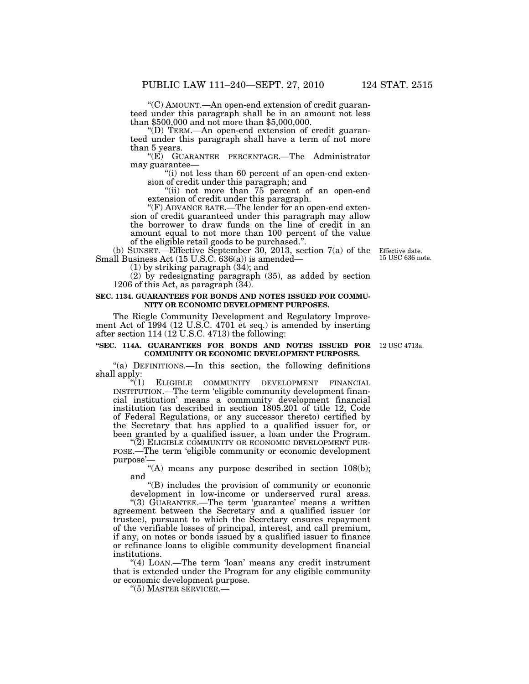''(C) AMOUNT.—An open-end extension of credit guaranteed under this paragraph shall be in an amount not less than \$500,000 and not more than \$5,000,000.

''(D) TERM.—An open-end extension of credit guaranteed under this paragraph shall have a term of not more than 5 years.

''(E) GUARANTEE PERCENTAGE.—The Administrator may guarantee—

"(i) not less than 60 percent of an open-end extension of credit under this paragraph; and

"(ii) not more than 75 percent of an open-end extension of credit under this paragraph.

''(F) ADVANCE RATE.—The lender for an open-end extension of credit guaranteed under this paragraph may allow the borrower to draw funds on the line of credit in an amount equal to not more than 100 percent of the value of the eligible retail goods to be purchased.''.

(b) SUNSET.—Effective September 30, 2013, section 7(a) of the Small Business Act (15 U.S.C. 636(a)) is amended—

(1) by striking paragraph (34); and

(2) by redesignating paragraph (35), as added by section 1206 of this Act, as paragraph (34).

# **SEC. 1134. GUARANTEES FOR BONDS AND NOTES ISSUED FOR COMMU-NITY OR ECONOMIC DEVELOPMENT PURPOSES.**

The Riegle Community Development and Regulatory Improvement Act of 1994 (12 U.S.C. 4701 et seq.) is amended by inserting after section 114 (12 U.S.C. 4713) the following:

### **''SEC. 114A. GUARANTEES FOR BONDS AND NOTES ISSUED FOR**  12 USC 4713a. **COMMUNITY OR ECONOMIC DEVELOPMENT PURPOSES.**

"(a) DEFINITIONS.—In this section, the following definitions shall apply:<br> $\binom{a}{1}$ 

ELIGIBLE COMMUNITY DEVELOPMENT FINANCIAL INSTITUTION.—The term 'eligible community development financial institution' means a community development financial institution (as described in section 1805.201 of title 12, Code of Federal Regulations, or any successor thereto) certified by the Secretary that has applied to a qualified issuer for, or

been granted by a qualified issuer, a loan under the Program.<br>"(2) ELIGIBLE COMMUNITY OR ECONOMIC DEVELOPMENT PUR-POSE.—The term 'eligible community or economic development purpose'—

"(A) means any purpose described in section  $108(b)$ ; and

''(B) includes the provision of community or economic development in low-income or underserved rural areas.

"(3) GUARANTEE.—The term 'guarantee' means a written agreement between the Secretary and a qualified issuer (or trustee), pursuant to which the Secretary ensures repayment of the verifiable losses of principal, interest, and call premium, if any, on notes or bonds issued by a qualified issuer to finance or refinance loans to eligible community development financial institutions.

''(4) LOAN.—The term 'loan' means any credit instrument that is extended under the Program for any eligible community or economic development purpose.

''(5) MASTER SERVICER.—

Effective date. 15 USC 636 note.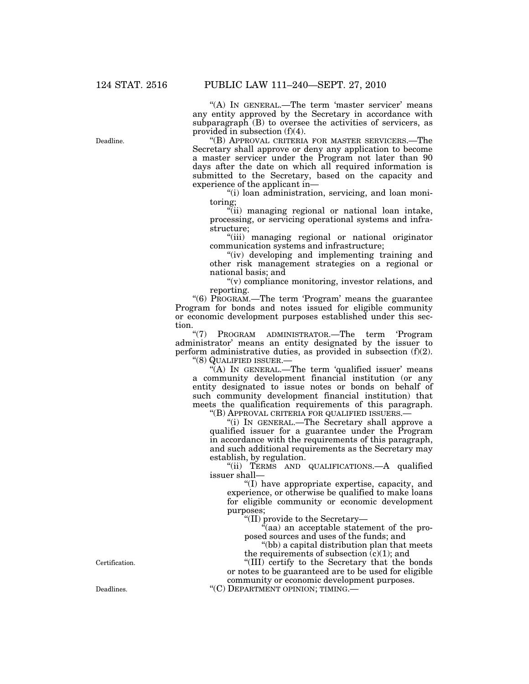"(A) IN GENERAL.—The term 'master servicer' means any entity approved by the Secretary in accordance with subparagraph  $(B)$  to oversee the activities of servicers, as provided in subsection (f)(4).

''(B) APPROVAL CRITERIA FOR MASTER SERVICERS.—The Secretary shall approve or deny any application to become a master servicer under the Program not later than 90 days after the date on which all required information is submitted to the Secretary, based on the capacity and experience of the applicant in—

''(i) loan administration, servicing, and loan monitoring;

"(ii) managing regional or national loan intake, processing, or servicing operational systems and infrastructure;

''(iii) managing regional or national originator communication systems and infrastructure;

"(iv) developing and implementing training and other risk management strategies on a regional or national basis; and

 $''(v)$  compliance monitoring, investor relations, and reporting.

"(6) PROGRAM.—The term 'Program' means the guarantee Program for bonds and notes issued for eligible community or economic development purposes established under this section.<br> $\frac{u(7)}{2}$ 

PROGRAM ADMINISTRATOR.—The term 'Program administrator' means an entity designated by the issuer to perform administrative duties, as provided in subsection (f)(2). ''(8) QUALIFIED ISSUER.—

"(A) IN GENERAL.—The term 'qualified issuer' means a community development financial institution (or any entity designated to issue notes or bonds on behalf of such community development financial institution) that meets the qualification requirements of this paragraph.

''(B) APPROVAL CRITERIA FOR QUALIFIED ISSUERS.—

''(i) IN GENERAL.—The Secretary shall approve a qualified issuer for a guarantee under the Program in accordance with the requirements of this paragraph, and such additional requirements as the Secretary may establish, by regulation.

"(ii) TERMS AND QUALIFICATIONS.—A qualified issuer shall—

''(I) have appropriate expertise, capacity, and experience, or otherwise be qualified to make loans for eligible community or economic development purposes;

''(II) provide to the Secretary—

''(aa) an acceptable statement of the proposed sources and uses of the funds; and

''(bb) a capital distribution plan that meets the requirements of subsection  $(c)(1)$ ; and

''(III) certify to the Secretary that the bonds or notes to be guaranteed are to be used for eligible community or economic development purposes. Deadlines. "(C) DEPARTMENT OPINION; TIMING.

Certification.

Deadline.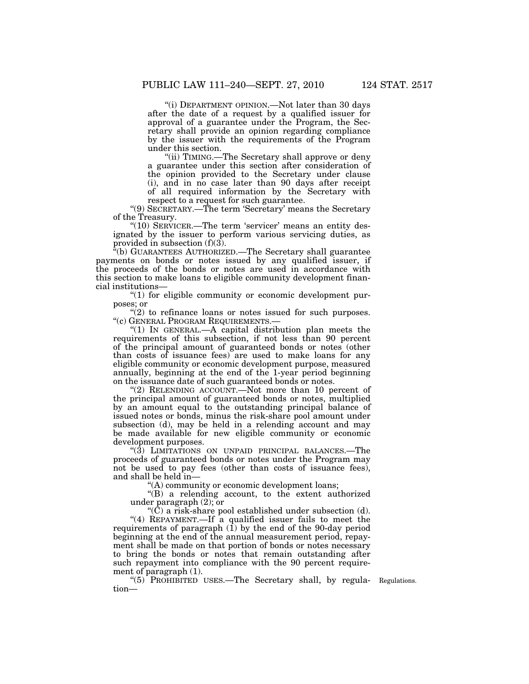''(i) DEPARTMENT OPINION.—Not later than 30 days after the date of a request by a qualified issuer for approval of a guarantee under the Program, the Secretary shall provide an opinion regarding compliance by the issuer with the requirements of the Program under this section.

"(ii) TIMING.—The Secretary shall approve or deny a guarantee under this section after consideration of the opinion provided to the Secretary under clause (i), and in no case later than 90 days after receipt of all required information by the Secretary with respect to a request for such guarantee.

''(9) SECRETARY.—The term 'Secretary' means the Secretary of the Treasury.

"(10) SERVICER.—The term 'servicer' means an entity designated by the issuer to perform various servicing duties, as provided in subsection  $(f)(3)$ .

''(b) GUARANTEES AUTHORIZED.—The Secretary shall guarantee payments on bonds or notes issued by any qualified issuer, if the proceeds of the bonds or notes are used in accordance with this section to make loans to eligible community development financial institutions—

''(1) for eligible community or economic development purposes; or

" $(2)$  to refinance loans or notes issued for such purposes. ''(c) GENERAL PROGRAM REQUIREMENTS.—

"(1) IN GENERAL.—A capital distribution plan meets the requirements of this subsection, if not less than 90 percent of the principal amount of guaranteed bonds or notes (other than costs of issuance fees) are used to make loans for any eligible community or economic development purpose, measured annually, beginning at the end of the 1-year period beginning on the issuance date of such guaranteed bonds or notes.

"(2) RELENDING ACCOUNT.—Not more than 10 percent of the principal amount of guaranteed bonds or notes, multiplied by an amount equal to the outstanding principal balance of issued notes or bonds, minus the risk-share pool amount under subsection (d), may be held in a relending account and may be made available for new eligible community or economic development purposes.

"(3) LIMITATIONS ON UNPAID PRINCIPAL BALANCES.—The proceeds of guaranteed bonds or notes under the Program may not be used to pay fees (other than costs of issuance fees), and shall be held in—

''(A) community or economic development loans;

''(B) a relending account, to the extent authorized under paragraph (2); or

 $\mathrm{``}(\mathrm{C})$  a risk-share pool established under subsection (d).

''(4) REPAYMENT.—If a qualified issuer fails to meet the requirements of paragraph  $(1)$  by the end of the 90-day period beginning at the end of the annual measurement period, repayment shall be made on that portion of bonds or notes necessary to bring the bonds or notes that remain outstanding after such repayment into compliance with the 90 percent requirement of paragraph (1).

"(5) PROHIBITED USES.—The Secretary shall, by regula- Regulations. tion—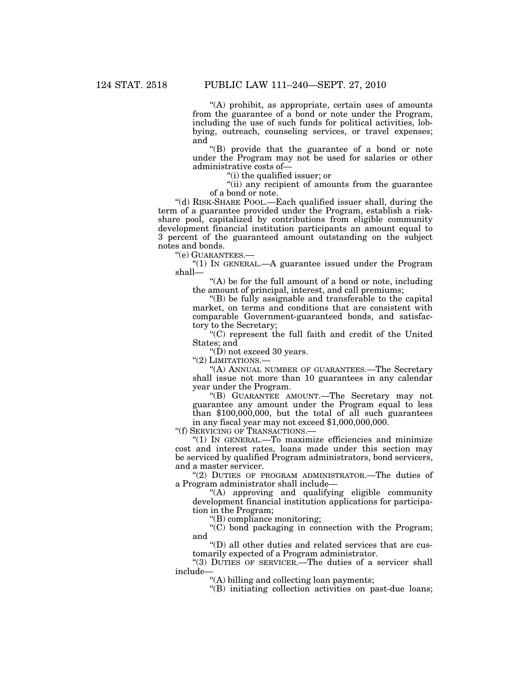''(A) prohibit, as appropriate, certain uses of amounts from the guarantee of a bond or note under the Program, including the use of such funds for political activities, lobbying, outreach, counseling services, or travel expenses; and

''(B) provide that the guarantee of a bond or note under the Program may not be used for salaries or other administrative costs of—

''(i) the qualified issuer; or

"(ii) any recipient of amounts from the guarantee" of a bond or note.

''(d) RISK-SHARE POOL.—Each qualified issuer shall, during the term of a guarantee provided under the Program, establish a riskshare pool, capitalized by contributions from eligible community development financial institution participants an amount equal to 3 percent of the guaranteed amount outstanding on the subject notes and bonds.

''(e) GUARANTEES.—

''(1) IN GENERAL.—A guarantee issued under the Program shall—

"(A) be for the full amount of a bond or note, including the amount of principal, interest, and call premiums;

''(B) be fully assignable and transferable to the capital market, on terms and conditions that are consistent with comparable Government-guaranteed bonds, and satisfactory to the Secretary;

''(C) represent the full faith and credit of the United States; and

" $(D)$  not exceed 30 years.

''(2) LIMITATIONS.—

''(A) ANNUAL NUMBER OF GUARANTEES.—The Secretary shall issue not more than 10 guarantees in any calendar year under the Program.

''(B) GUARANTEE AMOUNT.—The Secretary may not guarantee any amount under the Program equal to less than  $$100,000,000$ , but the total of all such guarantees in any fiscal year may not exceed \$1,000,000,000.

''(f) SERVICING OF TRANSACTIONS.—

''(1) IN GENERAL.—To maximize efficiencies and minimize cost and interest rates, loans made under this section may be serviced by qualified Program administrators, bond servicers, and a master servicer.

''(2) DUTIES OF PROGRAM ADMINISTRATOR.—The duties of a Program administrator shall include—

''(A) approving and qualifying eligible community development financial institution applications for participation in the Program;

''(B) compliance monitoring;

 $(C)$  bond packaging in connection with the Program; and

''(D) all other duties and related services that are customarily expected of a Program administrator.

"(3) DUTIES OF SERVICER.—The duties of a servicer shall include—

''(A) billing and collecting loan payments;

''(B) initiating collection activities on past-due loans;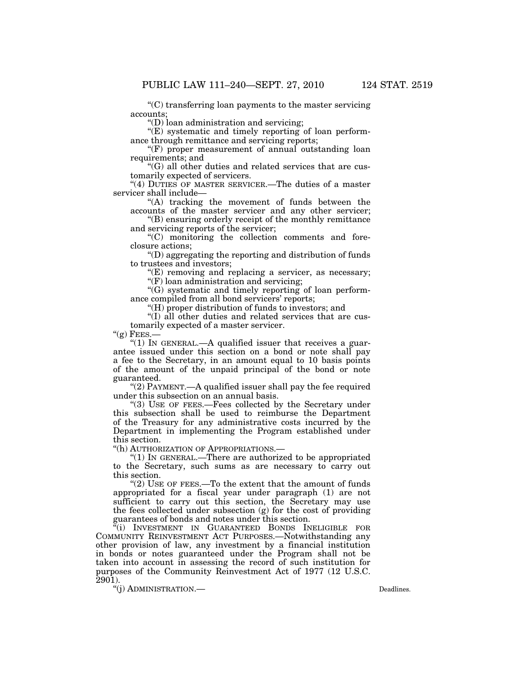''(C) transferring loan payments to the master servicing accounts;

''(D) loan administration and servicing;

 $\mathcal{L}(E)$  systematic and timely reporting of loan performance through remittance and servicing reports;

 $f(F)$  proper measurement of annual outstanding loan requirements; and

''(G) all other duties and related services that are customarily expected of servicers.

"(4) DUTIES OF MASTER SERVICER.—The duties of a master servicer shall include—

"(A) tracking the movement of funds between the accounts of the master servicer and any other servicer;

''(B) ensuring orderly receipt of the monthly remittance and servicing reports of the servicer;

''(C) monitoring the collection comments and foreclosure actions;

''(D) aggregating the reporting and distribution of funds to trustees and investors;

 $E$ ) removing and replacing a servicer, as necessary;

"(F) loan administration and servicing;

''(G) systematic and timely reporting of loan performance compiled from all bond servicers' reports;

''(H) proper distribution of funds to investors; and

''(I) all other duties and related services that are customarily expected of a master servicer.

 $''(g)$  Fees.-

"(1) IN GENERAL.—A qualified issuer that receives a guarantee issued under this section on a bond or note shall pay a fee to the Secretary, in an amount equal to 10 basis points of the amount of the unpaid principal of the bond or note guaranteed.

" $(2)$  PAYMENT.—A qualified issuer shall pay the fee required under this subsection on an annual basis.

''(3) USE OF FEES.—Fees collected by the Secretary under this subsection shall be used to reimburse the Department of the Treasury for any administrative costs incurred by the Department in implementing the Program established under this section.

''(h) AUTHORIZATION OF APPROPRIATIONS.—

''(1) IN GENERAL.—There are authorized to be appropriated to the Secretary, such sums as are necessary to carry out this section.

"(2) USE OF FEES.—To the extent that the amount of funds appropriated for a fiscal year under paragraph (1) are not sufficient to carry out this section, the Secretary may use the fees collected under subsection (g) for the cost of providing guarantees of bonds and notes under this section.

"(i) INVESTMENT IN GUARANTEED BONDS INELIGIBLE FOR COMMUNITY REINVESTMENT ACT PURPOSES.—Notwithstanding any other provision of law, any investment by a financial institution in bonds or notes guaranteed under the Program shall not be taken into account in assessing the record of such institution for purposes of the Community Reinvestment Act of 1977 (12 U.S.C.  $2901$ ).

"(i) ADMINISTRATION.— Deadlines.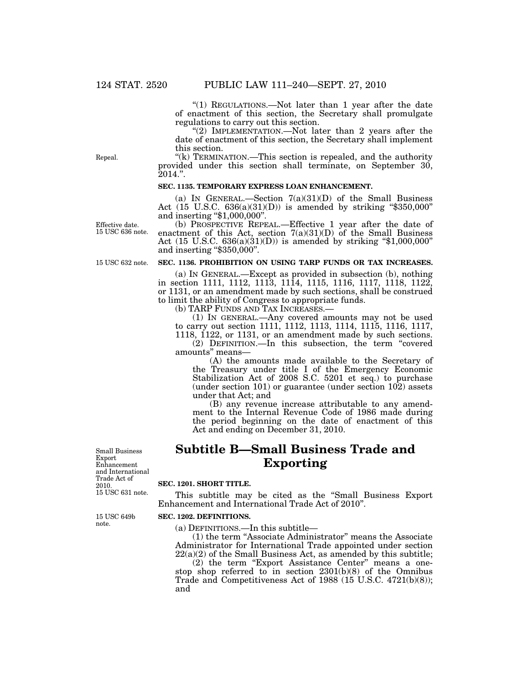"(1) REGULATIONS.—Not later than 1 year after the date of enactment of this section, the Secretary shall promulgate regulations to carry out this section.

"(2) IMPLEMENTATION.—Not later than 2 years after the date of enactment of this section, the Secretary shall implement this section.

" $(k)$  TERMINATION.—This section is repealed, and the authority provided under this section shall terminate, on September 30,  $2014.$ ".

# **SEC. 1135. TEMPORARY EXPRESS LOAN ENHANCEMENT.**

(a) IN GENERAL.—Section  $7(a)(31)(D)$  of the Small Business Act (15 U.S.C.  $636(a)(31)(D)$ ) is amended by striking "\$350,000" and inserting ''\$1,000,000''.

(b) PROSPECTIVE REPEAL.—Effective 1 year after the date of enactment of this Act, section  $7(a)(31)(D)$  of the Small Business Act (15 U.S.C.  $636(a)(31)(D)$ ) is amended by striking "\$1,000,000" and inserting "\$350,000".

15 USC 632 note.

Effective date. 15 USC 636 note.

Repeal.

# **SEC. 1136. PROHIBITION ON USING TARP FUNDS OR TAX INCREASES.**

(a) IN GENERAL.—Except as provided in subsection (b), nothing in section 1111, 1112, 1113, 1114, 1115, 1116, 1117, 1118, 1122, or 1131, or an amendment made by such sections, shall be construed to limit the ability of Congress to appropriate funds.

(b) TARP FUNDS AND TAX INCREASES.—

(1) IN GENERAL.—Any covered amounts may not be used to carry out section 1111, 1112, 1113, 1114, 1115, 1116, 1117, 1118, 1122, or 1131, or an amendment made by such sections.

(2) DEFINITION.—In this subsection, the term ''covered amounts'' means—

(A) the amounts made available to the Secretary of the Treasury under title I of the Emergency Economic Stabilization Act of 2008 S.C. 5201 et seq.) to purchase (under section 101) or guarantee (under section 102) assets under that Act; and

(B) any revenue increase attributable to any amendment to the Internal Revenue Code of 1986 made during the period beginning on the date of enactment of this Act and ending on December 31, 2010.

#### 15 USC 631 note. Small Business Export Enhancement and International Trade Act of 2010.

15 USC 649b note.

# **Subtitle B—Small Business Trade and Exporting**

### **SEC. 1201. SHORT TITLE.**

This subtitle may be cited as the ''Small Business Export Enhancement and International Trade Act of 2010''.

### **SEC. 1202. DEFINITIONS.**

(a) DEFINITIONS.—In this subtitle—

(1) the term ''Associate Administrator'' means the Associate Administrator for International Trade appointed under section  $22(a)(2)$  of the Small Business Act, as amended by this subtitle;

(2) the term "Export Assistance Center" means a onestop shop referred to in section 2301(b)(8) of the Omnibus Trade and Competitiveness Act of 1988 (15 U.S.C. 4721(b)(8)); and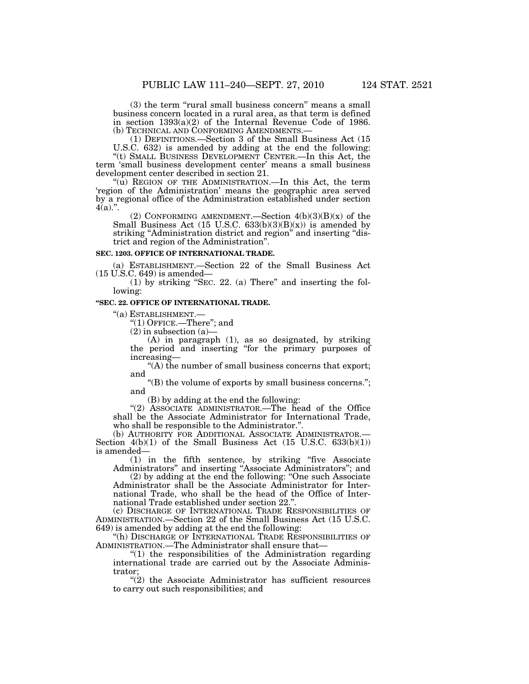(3) the term "rural small business concern" means a small business concern located in a rural area, as that term is defined in section 1393(a)(2) of the Internal Revenue Code of 1986.<br>(b) TECHNICAL AND CONFORMING AMENDMENTS.—

 $(1)$  DEFINITIONS.—Section 3 of the Small Business Act  $(15)$ U.S.C. 632) is amended by adding at the end the following:

''(t) SMALL BUSINESS DEVELOPMENT CENTER.—In this Act, the term 'small business development center' means a small business development center described in section 21.

''(u) REGION OF THE ADMINISTRATION.—In this Act, the term 'region of the Administration' means the geographic area served by a regional office of the Administration established under section  $4(a)$ .".

(2) CONFORMING AMENDMENT.—Section  $4(b)(3)(B)(x)$  of the Small Business Act (15 U.S.C.  $633(b)(3)(B)(x)$ ) is amended by striking "Administration district and region" and inserting "district and region of the Administration''.

# **SEC. 1203. OFFICE OF INTERNATIONAL TRADE.**

(a) ESTABLISHMENT.—Section 22 of the Small Business Act (15 U.S.C. 649) is amended—

(1) by striking ''SEC. 22. (a) There'' and inserting the following:

### **''SEC. 22. OFFICE OF INTERNATIONAL TRADE.**

''(a) ESTABLISHMENT.— ''(1) OFFICE.—There''; and

 $(2)$  in subsection  $(a)$ -

(A) in paragraph (1), as so designated, by striking the period and inserting ''for the primary purposes of increasing—

"(A) the number of small business concerns that export; and

''(B) the volume of exports by small business concerns.''; and

(B) by adding at the end the following:

"(2) ASSOCIATE ADMINISTRATOR.—The head of the Office shall be the Associate Administrator for International Trade, who shall be responsible to the Administrator.''.

(b) AUTHORITY FOR ADDITIONAL ASSOCIATE ADMINISTRATOR.— Section  $4(b)(1)$  of the Small Business Act (15 U.S.C. 633(b)(1)) is amended—

(1) in the fifth sentence, by striking ''five Associate Administrators'' and inserting ''Associate Administrators''; and

(2) by adding at the end the following: ''One such Associate Administrator shall be the Associate Administrator for International Trade, who shall be the head of the Office of International Trade established under section 22.''.

(c) DISCHARGE OF INTERNATIONAL TRADE RESPONSIBILITIES OF ADMINISTRATION.—Section 22 of the Small Business Act (15 U.S.C. 649) is amended by adding at the end the following:

''(h) DISCHARGE OF INTERNATIONAL TRADE RESPONSIBILITIES OF ADMINISTRATION.—The Administrator shall ensure that—

''(1) the responsibilities of the Administration regarding international trade are carried out by the Associate Administrator;

''(2) the Associate Administrator has sufficient resources to carry out such responsibilities; and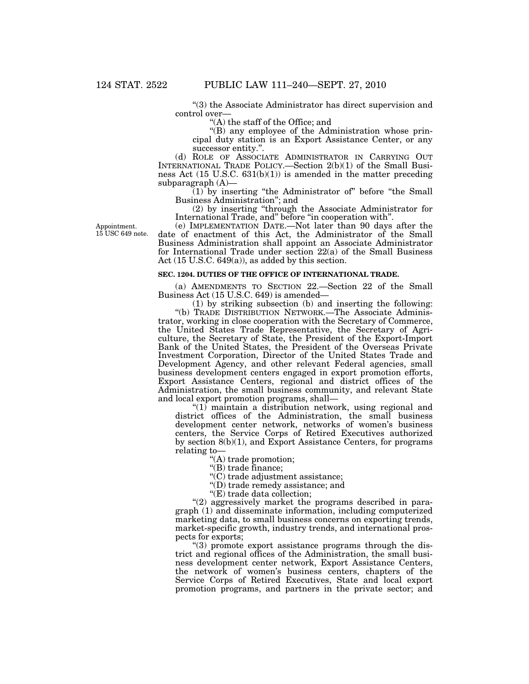''(3) the Associate Administrator has direct supervision and control over—

''(A) the staff of the Office; and

''(B) any employee of the Administration whose principal duty station is an Export Assistance Center, or any successor entity.''.

(d) ROLE OF ASSOCIATE ADMINISTRATOR IN CARRYING OUT INTERNATIONAL TRADE POLICY.—Section 2(b)(1) of the Small Business Act (15 U.S.C. 631(b)(1)) is amended in the matter preceding subparagraph (A)—

 $(1)$  by inserting "the Administrator of" before "the Small Business Administration''; and

(2) by inserting ''through the Associate Administrator for International Trade, and'' before ''in cooperation with''.

Appointment. 15 USC 649 note.

(e) IMPLEMENTATION DATE.—Not later than 90 days after the date of enactment of this Act, the Administrator of the Small Business Administration shall appoint an Associate Administrator for International Trade under section 22(a) of the Small Business Act (15 U.S.C. 649(a)), as added by this section.

# **SEC. 1204. DUTIES OF THE OFFICE OF INTERNATIONAL TRADE.**

(a) AMENDMENTS TO SECTION 22.—Section 22 of the Small Business Act (15 U.S.C. 649) is amended—

(1) by striking subsection (b) and inserting the following:

''(b) TRADE DISTRIBUTION NETWORK.—The Associate Administrator, working in close cooperation with the Secretary of Commerce, the United States Trade Representative, the Secretary of Agriculture, the Secretary of State, the President of the Export-Import Bank of the United States, the President of the Overseas Private Investment Corporation, Director of the United States Trade and Development Agency, and other relevant Federal agencies, small business development centers engaged in export promotion efforts, Export Assistance Centers, regional and district offices of the Administration, the small business community, and relevant State and local export promotion programs, shall—

" $(1)$  maintain a distribution network, using regional and district offices of the Administration, the small business development center network, networks of women's business centers, the Service Corps of Retired Executives authorized by section 8(b)(1), and Export Assistance Centers, for programs relating to—

''(A) trade promotion;

''(B) trade finance;

''(C) trade adjustment assistance;

''(D) trade remedy assistance; and

''(E) trade data collection;

"(2) aggressively market the programs described in paragraph (1) and disseminate information, including computerized marketing data, to small business concerns on exporting trends, market-specific growth, industry trends, and international prospects for exports;

''(3) promote export assistance programs through the district and regional offices of the Administration, the small business development center network, Export Assistance Centers, the network of women's business centers, chapters of the Service Corps of Retired Executives, State and local export promotion programs, and partners in the private sector; and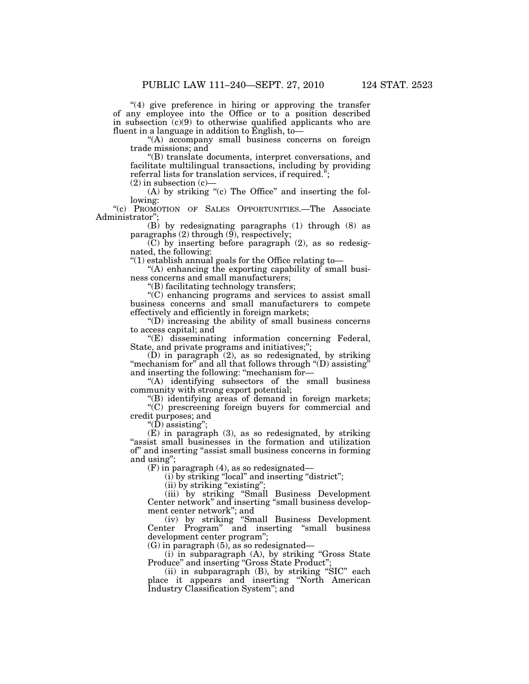"(4) give preference in hiring or approving the transfer of any employee into the Office or to a position described in subsection (c)(9) to otherwise qualified applicants who are fluent in a language in addition to English,  $\overline{to}$ 

"(A) accompany small business concerns on foreign trade missions; and

''(B) translate documents, interpret conversations, and facilitate multilingual transactions, including by providing referral lists for translation services, if required.'';

(2) in subsection (c)—

(A) by striking "(c) The Office" and inserting the following:

''(c) PROMOTION OF SALES OPPORTUNITIES.—The Associate Administrator'';

(B) by redesignating paragraphs (1) through (8) as paragraphs (2) through (9), respectively;

(C) by inserting before paragraph (2), as so redesignated, the following:

''(1) establish annual goals for the Office relating to—

''(A) enhancing the exporting capability of small business concerns and small manufacturers;

''(B) facilitating technology transfers;

''(C) enhancing programs and services to assist small business concerns and small manufacturers to compete effectively and efficiently in foreign markets;

''(D) increasing the ability of small business concerns to access capital; and

''(E) disseminating information concerning Federal, State, and private programs and initiatives;'';

(D) in paragraph (2), as so redesignated, by striking "mechanism for" and all that follows through " $(D)$  assisting" and inserting the following: ''mechanism for—

"(A) identifying subsectors of the small business community with strong export potential;

''(B) identifying areas of demand in foreign markets;

''(C) prescreening foreign buyers for commercial and credit purposes; and

 $\dddot{^{}}$ (D) assisting";

(E) in paragraph (3), as so redesignated, by striking "assist small businesses in the formation and utilization of'' and inserting ''assist small business concerns in forming and using'';

(F) in paragraph (4), as so redesignated—

(i) by striking ''local'' and inserting ''district'';

 $(i)$  by striking "existing";

(iii) by striking ''Small Business Development Center network'' and inserting ''small business development center network''; and

(iv) by striking ''Small Business Development Center Program'' and inserting ''small business development center program'';

(G) in paragraph (5), as so redesignated—

(i) in subparagraph (A), by striking ''Gross State Produce'' and inserting ''Gross State Product'';

(ii) in subparagraph  $(B)$ , by striking "SIC" each place it appears and inserting ''North American Industry Classification System''; and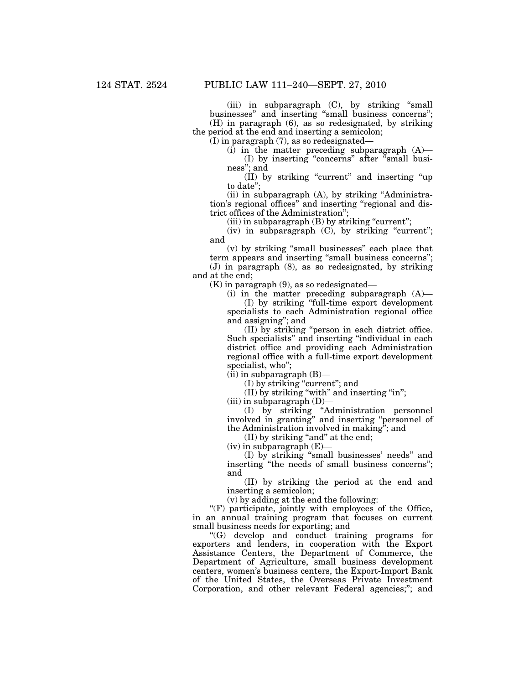(iii) in subparagraph (C), by striking ''small businesses'' and inserting ''small business concerns''; (H) in paragraph (6), as so redesignated, by striking the period at the end and inserting a semicolon;

(I) in paragraph (7), as so redesignated—

(i) in the matter preceding subparagraph  $(A)$ — (I) by inserting ''concerns'' after ''small business''; and

(II) by striking ''current'' and inserting ''up to date'';

(ii) in subparagraph (A), by striking ''Administration's regional offices'' and inserting ''regional and district offices of the Administration'';

 $(iii)$  in subparagraph  $(B)$  by striking "current";

 $(iv)$  in subparagraph  $(C)$ , by striking "current"; and

(v) by striking ''small businesses'' each place that term appears and inserting ''small business concerns''; (J) in paragraph (8), as so redesignated, by striking and at the end;

 $(K)$  in paragraph  $(9)$ , as so redesignated—

(i) in the matter preceding subparagraph (A)—

(I) by striking ''full-time export development specialists to each Administration regional office and assigning''; and

(II) by striking ''person in each district office. Such specialists'' and inserting ''individual in each district office and providing each Administration regional office with a full-time export development specialist, who'';

 $(iii)$  in subparagraph  $(B)$ —

(I) by striking ''current''; and

(II) by striking ''with'' and inserting ''in'';

 $(iii)$  in subparagraph  $(D)$ 

(I) by striking ''Administration personnel involved in granting'' and inserting ''personnel of the Administration involved in making''; and

(II) by striking "and" at the end;

 $(iv)$  in subparagraph  $(E)$ 

(I) by striking ''small businesses' needs'' and inserting ''the needs of small business concerns''; and

(II) by striking the period at the end and inserting a semicolon;

(v) by adding at the end the following:

"(F) participate, jointly with employees of the Office, in an annual training program that focuses on current small business needs for exporting; and

''(G) develop and conduct training programs for exporters and lenders, in cooperation with the Export Assistance Centers, the Department of Commerce, the Department of Agriculture, small business development centers, women's business centers, the Export-Import Bank of the United States, the Overseas Private Investment Corporation, and other relevant Federal agencies;"; and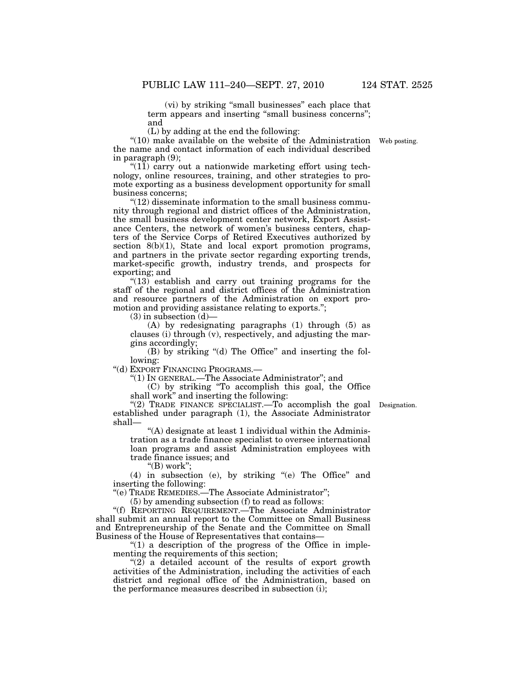(vi) by striking ''small businesses'' each place that term appears and inserting "small business concerns"; and

(L) by adding at the end the following:

" $(10)$  make available on the website of the Administration Web posting. the name and contact information of each individual described in paragraph (9);

" $(11)$  carry out a nationwide marketing effort using technology, online resources, training, and other strategies to promote exporting as a business development opportunity for small business concerns;

 $\degree$ (12) disseminate information to the small business community through regional and district offices of the Administration, the small business development center network, Export Assistance Centers, the network of women's business centers, chapters of the Service Corps of Retired Executives authorized by section 8(b)(1), State and local export promotion programs, and partners in the private sector regarding exporting trends, market-specific growth, industry trends, and prospects for exporting; and

" $(13)$  establish and carry out training programs for the staff of the regional and district offices of the Administration and resource partners of the Administration on export promotion and providing assistance relating to exports.'';

 $(3)$  in subsection  $(d)$ —

(A) by redesignating paragraphs (1) through (5) as clauses (i) through (v), respectively, and adjusting the margins accordingly;

(B) by striking "(d) The Office" and inserting the following:

''(d) EXPORT FINANCING PROGRAMS.—

''(1) IN GENERAL.—The Associate Administrator''; and

(C) by striking ''To accomplish this goal, the Office shall work'' and inserting the following:

"(2) TRADE FINANCE SPECIALIST.—To accomplish the goal Designation. established under paragraph (1), the Associate Administrator shall—

''(A) designate at least 1 individual within the Administration as a trade finance specialist to oversee international loan programs and assist Administration employees with trade finance issues; and

" $(B)$  work";

(4) in subsection (e), by striking ''(e) The Office'' and inserting the following:

''(e) TRADE REMEDIES.—The Associate Administrator'';

(5) by amending subsection (f) to read as follows:

''(f) REPORTING REQUIREMENT.—The Associate Administrator shall submit an annual report to the Committee on Small Business and Entrepreneurship of the Senate and the Committee on Small Business of the House of Representatives that contains—

" $(1)$  a description of the progress of the Office in implementing the requirements of this section;

" $(2)$  a detailed account of the results of export growth activities of the Administration, including the activities of each district and regional office of the Administration, based on the performance measures described in subsection (i);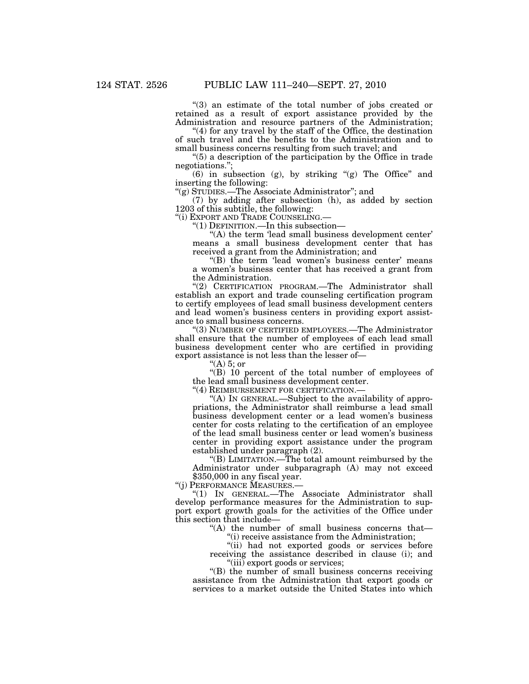''(3) an estimate of the total number of jobs created or retained as a result of export assistance provided by the Administration and resource partners of the Administration;

''(4) for any travel by the staff of the Office, the destination of such travel and the benefits to the Administration and to small business concerns resulting from such travel; and

" $(5)$  a description of the participation by the Office in trade negotiations.'';

(6) in subsection (g), by striking " $(g)$  The Office" and inserting the following:

''(g) STUDIES.—The Associate Administrator''; and

(7) by adding after subsection (h), as added by section 1203 of this subtitle, the following:

''(i) EXPORT AND TRADE COUNSELING.— ''(1) DEFINITION.—In this subsection—

"(A) the term 'lead small business development center' means a small business development center that has received a grant from the Administration; and

"(B) the term 'lead women's business center' means a women's business center that has received a grant from the Administration.

"(2) CERTIFICATION PROGRAM.—The Administrator shall establish an export and trade counseling certification program to certify employees of lead small business development centers and lead women's business centers in providing export assistance to small business concerns.

''(3) NUMBER OF CERTIFIED EMPLOYEES.—The Administrator shall ensure that the number of employees of each lead small business development center who are certified in providing export assistance is not less than the lesser of—

"(A) 5; or

"(B) 10 percent of the total number of employees of the lead small business development center.

"(4) REIMBURSEMENT FOR CERTIFICATION.-

''(A) IN GENERAL.—Subject to the availability of appropriations, the Administrator shall reimburse a lead small business development center or a lead women's business center for costs relating to the certification of an employee of the lead small business center or lead women's business center in providing export assistance under the program established under paragraph (2).

''(B) LIMITATION.—The total amount reimbursed by the Administrator under subparagraph (A) may not exceed \$350,000 in any fiscal year.

''(j) PERFORMANCE MEASURES.—

''(1) IN GENERAL.—The Associate Administrator shall develop performance measures for the Administration to support export growth goals for the activities of the Office under this section that include—

''(A) the number of small business concerns that— ''(i) receive assistance from the Administration;

"(ii) had not exported goods or services before

receiving the assistance described in clause (i); and ''(iii) export goods or services;

"(B) the number of small business concerns receiving assistance from the Administration that export goods or services to a market outside the United States into which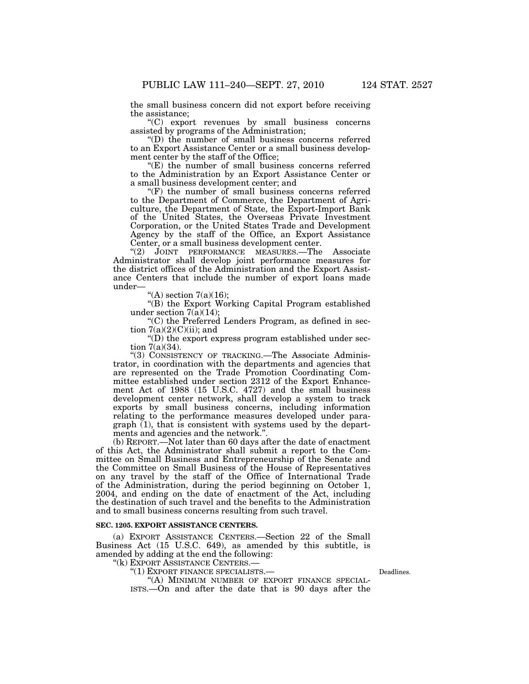the small business concern did not export before receiving the assistance;

''(C) export revenues by small business concerns assisted by programs of the Administration;

''(D) the number of small business concerns referred to an Export Assistance Center or a small business development center by the staff of the Office;

''(E) the number of small business concerns referred to the Administration by an Export Assistance Center or a small business development center; and

 $(F)$  the number of small business concerns referred to the Department of Commerce, the Department of Agriculture, the Department of State, the Export-Import Bank of the United States, the Overseas Private Investment Corporation, or the United States Trade and Development Agency by the staff of the Office, an Export Assistance Center, or a small business development center.

''(2) JOINT PERFORMANCE MEASURES.—The Associate Administrator shall develop joint performance measures for the district offices of the Administration and the Export Assistance Centers that include the number of export loans made under—

"(A) section  $7(a)(16)$ ;

''(B) the Export Working Capital Program established under section  $7(a)(14)$ ;

''(C) the Preferred Lenders Program, as defined in section  $7(a)(2)(C)(ii)$ ; and

 $\mathrm{``(D)}$  the export express program established under section 7(a)(34).

''(3) CONSISTENCY OF TRACKING.—The Associate Administrator, in coordination with the departments and agencies that are represented on the Trade Promotion Coordinating Committee established under section 2312 of the Export Enhancement Act of 1988 (15 U.S.C. 4727) and the small business development center network, shall develop a system to track exports by small business concerns, including information relating to the performance measures developed under paragraph (1), that is consistent with systems used by the departments and agencies and the network.''.

(b) REPORT.—Not later than 60 days after the date of enactment of this Act, the Administrator shall submit a report to the Committee on Small Business and Entrepreneurship of the Senate and the Committee on Small Business of the House of Representatives on any travel by the staff of the Office of International Trade of the Administration, during the period beginning on October 1, 2004, and ending on the date of enactment of the Act, including the destination of such travel and the benefits to the Administration and to small business concerns resulting from such travel.

# **SEC. 1205. EXPORT ASSISTANCE CENTERS.**

(a) EXPORT ASSISTANCE CENTERS.—Section 22 of the Small Business Act (15 U.S.C. 649), as amended by this subtitle, is amended by adding at the end the following:

''(k) EXPORT ASSISTANCE CENTERS.—

''(1) EXPORT FINANCE SPECIALISTS.— ''(A) MINIMUM NUMBER OF EXPORT FINANCE SPECIAL- ISTS.—On and after the date that is 90 days after the

Deadlines.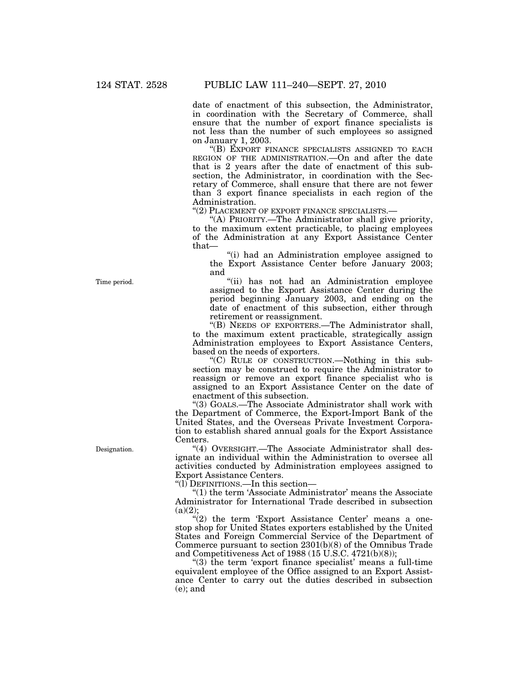date of enactment of this subsection, the Administrator, in coordination with the Secretary of Commerce, shall ensure that the number of export finance specialists is not less than the number of such employees so assigned on January 1, 2003.

''(B) EXPORT FINANCE SPECIALISTS ASSIGNED TO EACH REGION OF THE ADMINISTRATION.—On and after the date that is 2 years after the date of enactment of this subsection, the Administrator, in coordination with the Secretary of Commerce, shall ensure that there are not fewer than 3 export finance specialists in each region of the Administration.

''(2) PLACEMENT OF EXPORT FINANCE SPECIALISTS.—

''(A) PRIORITY.—The Administrator shall give priority, to the maximum extent practicable, to placing employees of the Administration at any Export Assistance Center that—

''(i) had an Administration employee assigned to the Export Assistance Center before January 2003; and

''(ii) has not had an Administration employee assigned to the Export Assistance Center during the period beginning January 2003, and ending on the date of enactment of this subsection, either through retirement or reassignment.

''(B) NEEDS OF EXPORTERS.—The Administrator shall, to the maximum extent practicable, strategically assign Administration employees to Export Assistance Centers, based on the needs of exporters.

''(C) RULE OF CONSTRUCTION.—Nothing in this subsection may be construed to require the Administrator to reassign or remove an export finance specialist who is assigned to an Export Assistance Center on the date of enactment of this subsection.

''(3) GOALS.—The Associate Administrator shall work with the Department of Commerce, the Export-Import Bank of the United States, and the Overseas Private Investment Corporation to establish shared annual goals for the Export Assistance Centers.

''(4) OVERSIGHT.—The Associate Administrator shall designate an individual within the Administration to oversee all activities conducted by Administration employees assigned to Export Assistance Centers.

''(l) DEFINITIONS.—In this section—

" $(1)$  the term 'Associate Administrator' means the Associate Administrator for International Trade described in subsection  $(a)(2);$ 

 $''(2)$  the term 'Export Assistance Center' means a onestop shop for United States exporters established by the United States and Foreign Commercial Service of the Department of Commerce pursuant to section 2301(b)(8) of the Omnibus Trade and Competitiveness Act of 1988 (15 U.S.C. 4721(b)(8));

" $(3)$  the term 'export finance specialist' means a full-time" equivalent employee of the Office assigned to an Export Assistance Center to carry out the duties described in subsection (e); and

Time period.

Designation.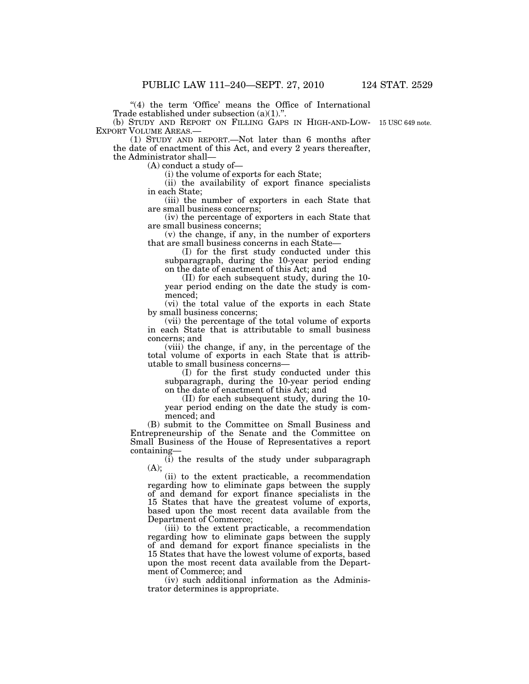"(4) the term 'Office' means the Office of International Trade established under subsection (a)(1).''.

(b) STUDY AND REPORT ON FILLING GAPS IN HIGH-AND-LOW-15 USC 649 note. EXPORT VOLUME AREAS.— (1) STUDY AND REPORT.—Not later than 6 months after

the date of enactment of this Act, and every 2 years thereafter, the Administrator shall—

(A) conduct a study of—

(i) the volume of exports for each State;

(ii) the availability of export finance specialists in each State;

(iii) the number of exporters in each State that are small business concerns;

(iv) the percentage of exporters in each State that are small business concerns;

(v) the change, if any, in the number of exporters that are small business concerns in each State—

(I) for the first study conducted under this subparagraph, during the 10-year period ending on the date of enactment of this Act; and

(II) for each subsequent study, during the 10 year period ending on the date the study is commenced;

(vi) the total value of the exports in each State by small business concerns;

(vii) the percentage of the total volume of exports in each State that is attributable to small business concerns; and

(viii) the change, if any, in the percentage of the total volume of exports in each State that is attributable to small business concerns—

(I) for the first study conducted under this subparagraph, during the 10-year period ending on the date of enactment of this Act; and

(II) for each subsequent study, during the 10 year period ending on the date the study is commenced; and

(B) submit to the Committee on Small Business and Entrepreneurship of the Senate and the Committee on Small Business of the House of Representatives a report containing—

(i) the results of the study under subparagraph (A);

(ii) to the extent practicable, a recommendation regarding how to eliminate gaps between the supply of and demand for export finance specialists in the 15 States that have the greatest volume of exports, based upon the most recent data available from the Department of Commerce;

(iii) to the extent practicable, a recommendation regarding how to eliminate gaps between the supply of and demand for export finance specialists in the 15 States that have the lowest volume of exports, based upon the most recent data available from the Department of Commerce; and

(iv) such additional information as the Administrator determines is appropriate.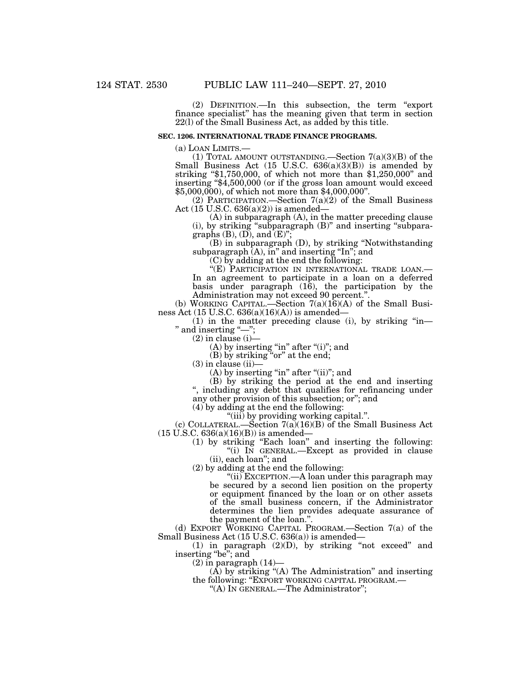(2) DEFINITION.—In this subsection, the term ''export finance specialist'' has the meaning given that term in section 22(l) of the Small Business Act, as added by this title.

# **SEC. 1206. INTERNATIONAL TRADE FINANCE PROGRAMS.**

(a) LOAN LIMITS.—<br>(1) TOTAL AMOUNT OUTSTANDING.—Section  $7(a)(3)(B)$  of the Small Business Act (15 U.S.C. 636(a)(3)(B)) is amended by striking "\$1,750,000, of which not more than \$1,250,000" and inserting ''\$4,500,000 (or if the gross loan amount would exceed \$5,000,000), of which not more than \$4,000,000''.

(2) PARTICIPATION.—Section  $7(a)(2)$  of the Small Business Act  $(15 \text{ U.S.C. } 636(a)(2))$  is amended-

(A) in subparagraph (A), in the matter preceding clause (i), by striking ''subparagraph (B)'' and inserting ''subparagraphs  $(B)$ ,  $(D)$ , and  $(E)$ ";

(B) in subparagraph (D), by striking ''Notwithstanding subparagraph  $(A)$ , in" and inserting "In"; and

(C) by adding at the end the following:

''(E) PARTICIPATION IN INTERNATIONAL TRADE LOAN.— In an agreement to participate in a loan on a deferred basis under paragraph (16), the participation by the Administration may not exceed 90 percent.''.

(b) WORKING CAPITAL.—Section 7(a)(16)(A) of the Small Business Act (15 U.S.C. 636(a)(16)(A)) is amended—

 $(1)$  in the matter preceding clause  $(i)$ , by striking "in— " and inserting "-";

 $(2)$  in clause  $(i)$ —

 $(A)$  by inserting "in" after " $(i)$ "; and

(B) by striking ''or'' at the end;

 $(3)$  in clause  $(ii)$ -

 $(A)$  by inserting "in" after " $(ii)$ "; and

(B) by striking the period at the end and inserting '', including any debt that qualifies for refinancing under

any other provision of this subsection; or''; and

(4) by adding at the end the following:

''(iii) by providing working capital.''.

(c) COLLATERAL.—Section  $7(a)(16)(B)$  of the Small Business Act  $(15 \text{ U.S.C. } 636(a)(16)(B))$  is amended–

> (1) by striking ''Each loan'' and inserting the following: ''(i) IN GENERAL.—Except as provided in clause (ii), each loan''; and

(2) by adding at the end the following:

''(ii) EXCEPTION.—A loan under this paragraph may be secured by a second lien position on the property or equipment financed by the loan or on other assets of the small business concern, if the Administrator determines the lien provides adequate assurance of the payment of the loan.''.

(d) EXPORT WORKING CAPITAL PROGRAM.—Section 7(a) of the Small Business Act (15 U.S.C. 636(a)) is amended—

(1) in paragraph (2)(D), by striking ''not exceed'' and inserting "be"; and

 $(2)$  in paragraph  $(14)$ —

 $(A)$  by striking " $(A)$  The Administration" and inserting the following: ''EXPORT WORKING CAPITAL PROGRAM.— ''(A) IN GENERAL.—The Administrator'';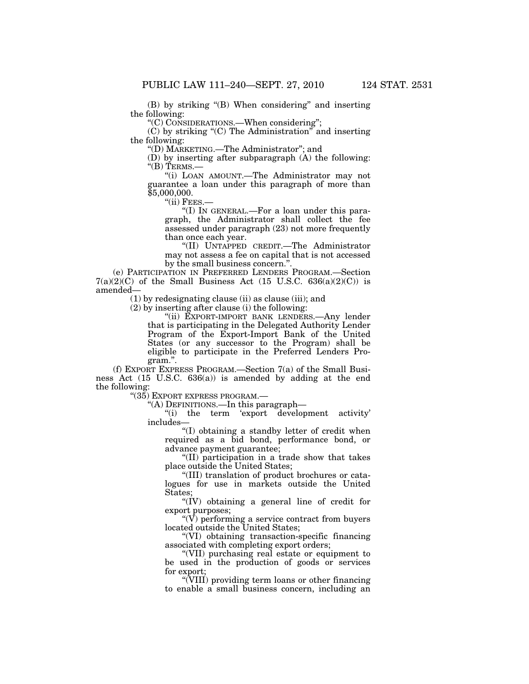(B) by striking "(B) When considering" and inserting the following:

''(C) CONSIDERATIONS.—When considering'';

(C) by striking ''(C) The Administration'' and inserting the following:

''(D) MARKETING.—The Administrator''; and

(D) by inserting after subparagraph (A) the following: " $(B)$  TERMS.—

''(i) LOAN AMOUNT.—The Administrator may not guarantee a loan under this paragraph of more than \$5,000,000.

''(ii) FEES.—

''(I) IN GENERAL.—For a loan under this paragraph, the Administrator shall collect the fee assessed under paragraph (23) not more frequently than once each year.

''(II) UNTAPPED CREDIT.—The Administrator may not assess a fee on capital that is not accessed by the small business concern."

(e) PARTICIPATION IN PREFERRED LENDERS PROGRAM.—Section  $7(a)(2)(C)$  of the Small Business Act (15 U.S.C. 636(a)(2)(C)) is amended—

(1) by redesignating clause (ii) as clause (iii); and

(2) by inserting after clause (i) the following:

"(ii) EXPORT-IMPORT BANK LENDERS.—Any lender that is participating in the Delegated Authority Lender Program of the Export-Import Bank of the United States (or any successor to the Program) shall be eligible to participate in the Preferred Lenders Program.''.

(f) EXPORT EXPRESS PROGRAM.—Section 7(a) of the Small Business Act (15 U.S.C. 636(a)) is amended by adding at the end the following:

''(35) EXPORT EXPRESS PROGRAM.—

''(A) DEFINITIONS.—In this paragraph—

"(i) the term 'export development activity' includes—

''(I) obtaining a standby letter of credit when required as a bid bond, performance bond, or advance payment guarantee;

''(II) participation in a trade show that takes place outside the United States;

''(III) translation of product brochures or catalogues for use in markets outside the United States;

''(IV) obtaining a general line of credit for export purposes;

" $(V)$  performing a service contract from buyers" located outside the United States;

''(VI) obtaining transaction-specific financing associated with completing export orders;

''(VII) purchasing real estate or equipment to be used in the production of goods or services for export;

''(VIII) providing term loans or other financing to enable a small business concern, including an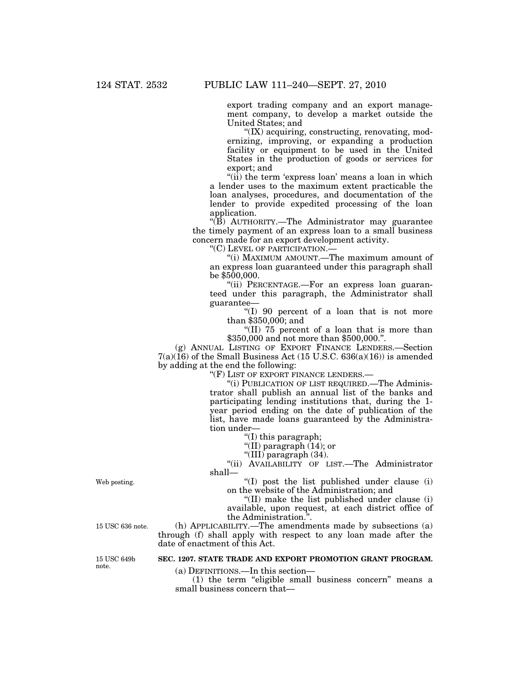export trading company and an export management company, to develop a market outside the United States; and

''(IX) acquiring, constructing, renovating, modernizing, improving, or expanding a production facility or equipment to be used in the United States in the production of goods or services for export; and

"(ii) the term 'express loan' means a loan in which a lender uses to the maximum extent practicable the loan analyses, procedures, and documentation of the lender to provide expedited processing of the loan application.

''(B) AUTHORITY.—The Administrator may guarantee the timely payment of an express loan to a small business concern made for an export development activity.

''(C) LEVEL OF PARTICIPATION.—

''(i) MAXIMUM AMOUNT.—The maximum amount of an express loan guaranteed under this paragraph shall be \$500,000.

''(ii) PERCENTAGE.—For an express loan guaranteed under this paragraph, the Administrator shall guarantee—

''(I) 90 percent of a loan that is not more than \$350,000; and

''(II) 75 percent of a loan that is more than \$350,000 and not more than \$500,000.''.

(g) ANNUAL LISTING OF EXPORT FINANCE LENDERS.—Section  $7(a)(16)$  of the Small Business Act (15 U.S.C. 636(a)(16)) is amended by adding at the end the following:

"(F) LIST OF EXPORT FINANCE LENDERS.-

''(i) PUBLICATION OF LIST REQUIRED.—The Administrator shall publish an annual list of the banks and participating lending institutions that, during the 1 year period ending on the date of publication of the list, have made loans guaranteed by the Administration under—

''(I) this paragraph;

''(II) paragraph (14); or

''(III) paragraph (34).

''(ii) AVAILABILITY OF LIST.—The Administrator shall—

''(I) post the list published under clause (i) on the website of the Administration; and

''(II) make the list published under clause (i) available, upon request, at each district office of the Administration.''.

(h) APPLICABILITY.—The amendments made by subsections (a) through (f) shall apply with respect to any loan made after the date of enactment of this Act.

# **SEC. 1207. STATE TRADE AND EXPORT PROMOTION GRANT PROGRAM.**

(a) DEFINITIONS.—In this section—

(1) the term "eligible small business concern" means a small business concern that—

Web posting.

15 USC 636 note.

15 USC 649b note.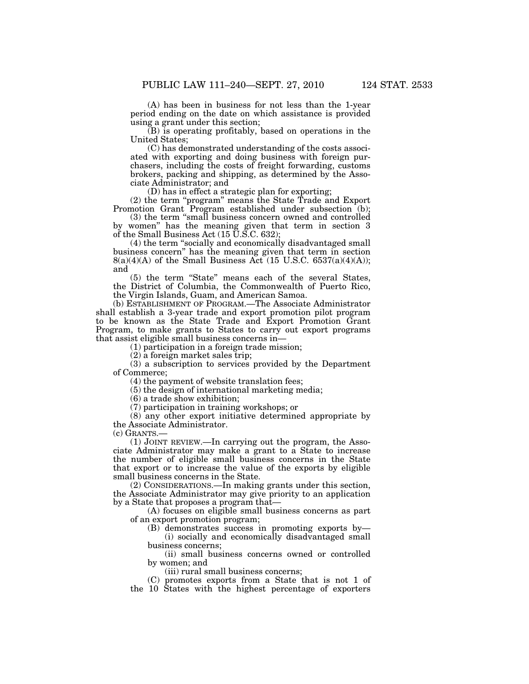(A) has been in business for not less than the 1-year period ending on the date on which assistance is provided using a grant under this section;

(B) is operating profitably, based on operations in the United States;

(C) has demonstrated understanding of the costs associated with exporting and doing business with foreign purchasers, including the costs of freight forwarding, customs brokers, packing and shipping, as determined by the Associate Administrator; and

(D) has in effect a strategic plan for exporting;

(2) the term ''program'' means the State Trade and Export Promotion Grant Program established under subsection (b);

(3) the term ''small business concern owned and controlled by women'' has the meaning given that term in section 3 of the Small Business Act  $(15 \text{ U}.\text{S}.\text{C}.\,632)$ ;

(4) the term ''socially and economically disadvantaged small business concern'' has the meaning given that term in section  $8(a)(4)(A)$  of the Small Business Act (15 U.S.C. 6537(a)(4)(A)); and

(5) the term ''State'' means each of the several States, the District of Columbia, the Commonwealth of Puerto Rico, the Virgin Islands, Guam, and American Samoa.

(b) ESTABLISHMENT OF PROGRAM.—The Associate Administrator shall establish a 3-year trade and export promotion pilot program to be known as the State Trade and Export Promotion Grant Program, to make grants to States to carry out export programs that assist eligible small business concerns in—

(1) participation in a foreign trade mission;

(2) a foreign market sales trip;

(3) a subscription to services provided by the Department of Commerce;

(4) the payment of website translation fees;

(5) the design of international marketing media;

(6) a trade show exhibition;

(7) participation in training workshops; or

(8) any other export initiative determined appropriate by the Associate Administrator.

(c) GRANTS.—

(1) JOINT REVIEW.—In carrying out the program, the Associate Administrator may make a grant to a State to increase the number of eligible small business concerns in the State that export or to increase the value of the exports by eligible small business concerns in the State.

(2) CONSIDERATIONS.—In making grants under this section, the Associate Administrator may give priority to an application by a State that proposes a program that—

(A) focuses on eligible small business concerns as part of an export promotion program;

(B) demonstrates success in promoting exports by— (i) socially and economically disadvantaged small business concerns;

(ii) small business concerns owned or controlled by women; and

(iii) rural small business concerns;

(C) promotes exports from a State that is not 1 of the 10 States with the highest percentage of exporters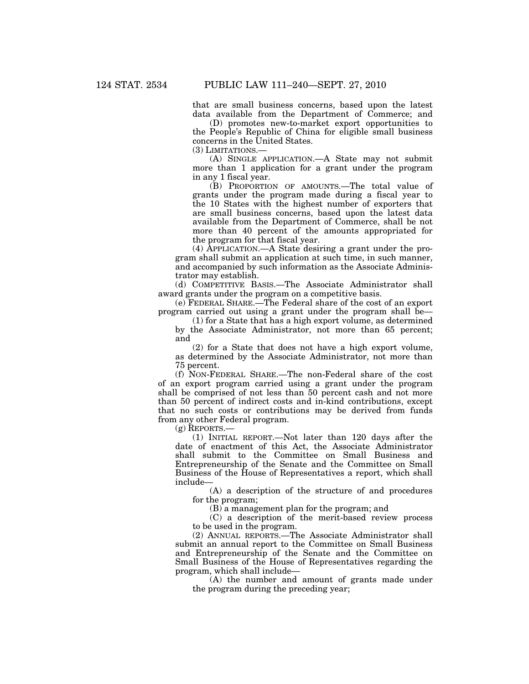that are small business concerns, based upon the latest data available from the Department of Commerce; and

(D) promotes new-to-market export opportunities to the People's Republic of China for eligible small business concerns in the United States.

(3) LIMITATIONS.—

(A) SINGLE APPLICATION.—A State may not submit more than 1 application for a grant under the program in any 1 fiscal year.

(B) PROPORTION OF AMOUNTS.—The total value of grants under the program made during a fiscal year to the 10 States with the highest number of exporters that are small business concerns, based upon the latest data available from the Department of Commerce, shall be not more than 40 percent of the amounts appropriated for the program for that fiscal year.

(4) APPLICATION.—A State desiring a grant under the program shall submit an application at such time, in such manner, and accompanied by such information as the Associate Administrator may establish.

(d) COMPETITIVE BASIS.—The Associate Administrator shall award grants under the program on a competitive basis.

(e) FEDERAL SHARE.—The Federal share of the cost of an export program carried out using a grant under the program shall be—

(1) for a State that has a high export volume, as determined by the Associate Administrator, not more than 65 percent; and

(2) for a State that does not have a high export volume, as determined by the Associate Administrator, not more than 75 percent.

(f) NON-FEDERAL SHARE.—The non-Federal share of the cost of an export program carried using a grant under the program shall be comprised of not less than 50 percent cash and not more than 50 percent of indirect costs and in-kind contributions, except that no such costs or contributions may be derived from funds from any other Federal program.

(g) REPORTS.—

(1) INITIAL REPORT.—Not later than 120 days after the date of enactment of this Act, the Associate Administrator shall submit to the Committee on Small Business and Entrepreneurship of the Senate and the Committee on Small Business of the House of Representatives a report, which shall include—

(A) a description of the structure of and procedures for the program;

(B) a management plan for the program; and

(C) a description of the merit-based review process to be used in the program.

(2) ANNUAL REPORTS.—The Associate Administrator shall submit an annual report to the Committee on Small Business and Entrepreneurship of the Senate and the Committee on Small Business of the House of Representatives regarding the program, which shall include—

(A) the number and amount of grants made under the program during the preceding year;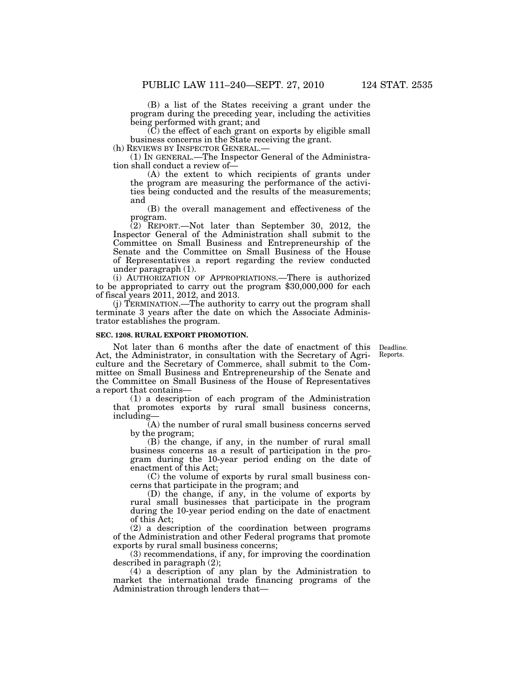(B) a list of the States receiving a grant under the program during the preceding year, including the activities being performed with grant; and

 $(C)$  the effect of each grant on exports by eligible small business concerns in the State receiving the grant.<br>(h) REVIEWS BY INSPECTOR GENERAL.—

 $(1)$  In GENERAL.—The Inspector General of the Administration shall conduct a review of—

(A) the extent to which recipients of grants under the program are measuring the performance of the activities being conducted and the results of the measurements; and

(B) the overall management and effectiveness of the program.

 $(2)$  REPORT.—Not later than September 30, 2012, the Inspector General of the Administration shall submit to the Committee on Small Business and Entrepreneurship of the Senate and the Committee on Small Business of the House of Representatives a report regarding the review conducted under paragraph (1).

(i) AUTHORIZATION OF APPROPRIATIONS.—There is authorized to be appropriated to carry out the program \$30,000,000 for each of fiscal years 2011, 2012, and 2013.

(j) TERMINATION.—The authority to carry out the program shall terminate 3 years after the date on which the Associate Administrator establishes the program.

# **SEC. 1208. RURAL EXPORT PROMOTION.**

Deadline. Reports.

Not later than 6 months after the date of enactment of this Act, the Administrator, in consultation with the Secretary of Agriculture and the Secretary of Commerce, shall submit to the Committee on Small Business and Entrepreneurship of the Senate and the Committee on Small Business of the House of Representatives a report that contains—

(1) a description of each program of the Administration that promotes exports by rural small business concerns, including—

(A) the number of rural small business concerns served by the program;

(B) the change, if any, in the number of rural small business concerns as a result of participation in the program during the 10-year period ending on the date of enactment of this Act;

(C) the volume of exports by rural small business concerns that participate in the program; and

(D) the change, if any, in the volume of exports by rural small businesses that participate in the program during the 10-year period ending on the date of enactment of this Act;

(2) a description of the coordination between programs of the Administration and other Federal programs that promote exports by rural small business concerns;

(3) recommendations, if any, for improving the coordination described in paragraph (2);

(4) a description of any plan by the Administration to market the international trade financing programs of the Administration through lenders that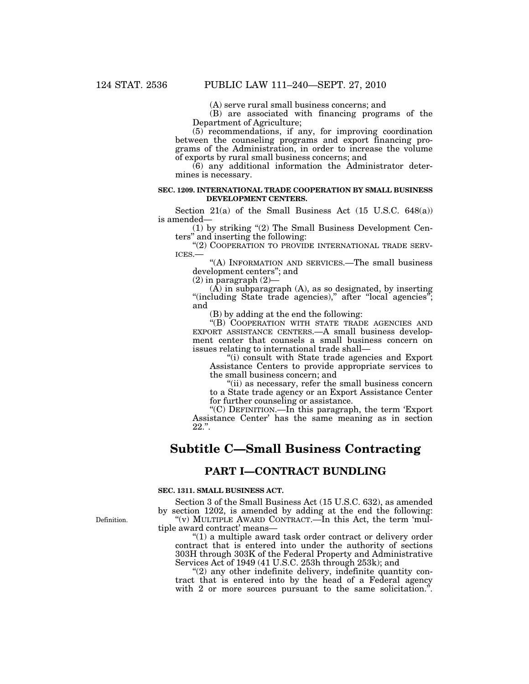(A) serve rural small business concerns; and

(B) are associated with financing programs of the Department of Agriculture;

(5) recommendations, if any, for improving coordination between the counseling programs and export financing programs of the Administration, in order to increase the volume of exports by rural small business concerns; and

(6) any additional information the Administrator determines is necessary.

# **SEC. 1209. INTERNATIONAL TRADE COOPERATION BY SMALL BUSINESS DEVELOPMENT CENTERS.**

Section 21(a) of the Small Business Act  $(15 \text{ U.S.C. } 648(a))$ is amended—

(1) by striking ''(2) The Small Business Development Centers'' and inserting the following:

"(2) COOPERATION TO PROVIDE INTERNATIONAL TRADE SERVICES.—<br>ICES.— "(A) INFORMATION AND SERVICES.—The small business

development centers''; and

 $(2)$  in paragraph  $(2)$ —

 $(A)$  in subparagraph  $(A)$ , as so designated, by inserting "(including State trade agencies)," after "local agencies"; and

(B) by adding at the end the following:

''(B) COOPERATION WITH STATE TRADE AGENCIES AND EXPORT ASSISTANCE CENTERS.—A small business development center that counsels a small business concern on issues relating to international trade shall—

''(i) consult with State trade agencies and Export Assistance Centers to provide appropriate services to the small business concern; and

"(ii) as necessary, refer the small business concern to a State trade agency or an Export Assistance Center for further counseling or assistance.

''(C) DEFINITION.—In this paragraph, the term 'Export Assistance Center' has the same meaning as in section  $22.$ ".

# **Subtitle C—Small Business Contracting**

# **PART I—CONTRACT BUNDLING**

# **SEC. 1311. SMALL BUSINESS ACT.**

Section 3 of the Small Business Act (15 U.S.C. 632), as amended by section 1202, is amended by adding at the end the following: ''(v) MULTIPLE AWARD CONTRACT.—In this Act, the term 'multiple award contract' means—

''(1) a multiple award task order contract or delivery order contract that is entered into under the authority of sections 303H through 303K of the Federal Property and Administrative Services Act of 1949 (41 U.S.C. 253h through 253k); and

 $\degree$ (2) any other indefinite delivery, indefinite quantity contract that is entered into by the head of a Federal agency with 2 or more sources pursuant to the same solicitation.".

Definition.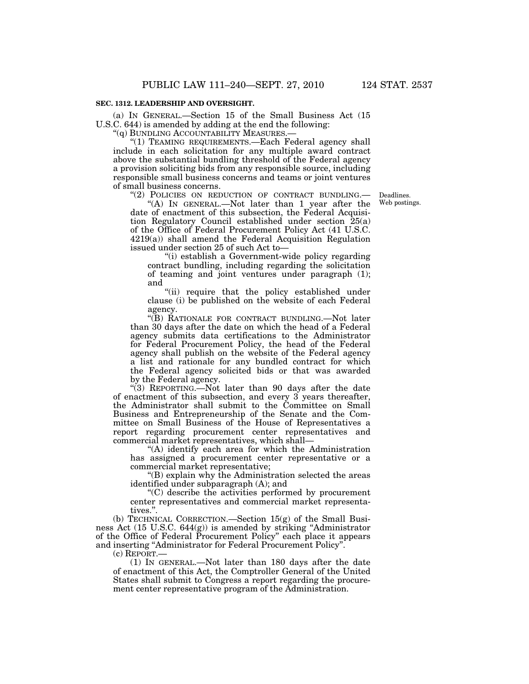# **SEC. 1312. LEADERSHIP AND OVERSIGHT.**

(a) IN GENERAL.—Section 15 of the Small Business Act (15 U.S.C. 644) is amended by adding at the end the following:

"(q) BUNDLING ACCOUNTABILITY MEASURES.-

''(1) TEAMING REQUIREMENTS.—Each Federal agency shall include in each solicitation for any multiple award contract above the substantial bundling threshold of the Federal agency a provision soliciting bids from any responsible source, including responsible small business concerns and teams or joint ventures of small business concerns.

"(2) POLICIES ON REDUCTION OF CONTRACT BUNDLING.

Deadlines. Web postings.

"(A) IN GENERAL.—Not later than 1 year after the date of enactment of this subsection, the Federal Acquisition Regulatory Council established under section 25(a) of the Office of Federal Procurement Policy Act (41 U.S.C. 4219(a)) shall amend the Federal Acquisition Regulation issued under section 25 of such Act to—

''(i) establish a Government-wide policy regarding contract bundling, including regarding the solicitation of teaming and joint ventures under paragraph (1); and

"(ii) require that the policy established under clause (i) be published on the website of each Federal agency.

''(B) RATIONALE FOR CONTRACT BUNDLING.—Not later than 30 days after the date on which the head of a Federal agency submits data certifications to the Administrator for Federal Procurement Policy, the head of the Federal agency shall publish on the website of the Federal agency a list and rationale for any bundled contract for which the Federal agency solicited bids or that was awarded by the Federal agency.

''(3) REPORTING.—Not later than 90 days after the date of enactment of this subsection, and every 3 years thereafter, the Administrator shall submit to the Committee on Small Business and Entrepreneurship of the Senate and the Committee on Small Business of the House of Representatives a report regarding procurement center representatives and commercial market representatives, which shall—

''(A) identify each area for which the Administration has assigned a procurement center representative or a commercial market representative;

''(B) explain why the Administration selected the areas identified under subparagraph (A); and

''(C) describe the activities performed by procurement center representatives and commercial market representatives.''.

(b) TECHNICAL CORRECTION.—Section 15(g) of the Small Business Act (15 U.S.C. 644(g)) is amended by striking ''Administrator of the Office of Federal Procurement Policy'' each place it appears and inserting ''Administrator for Federal Procurement Policy''.

(c) REPORT.—

(1) IN GENERAL.—Not later than 180 days after the date of enactment of this Act, the Comptroller General of the United States shall submit to Congress a report regarding the procurement center representative program of the Administration.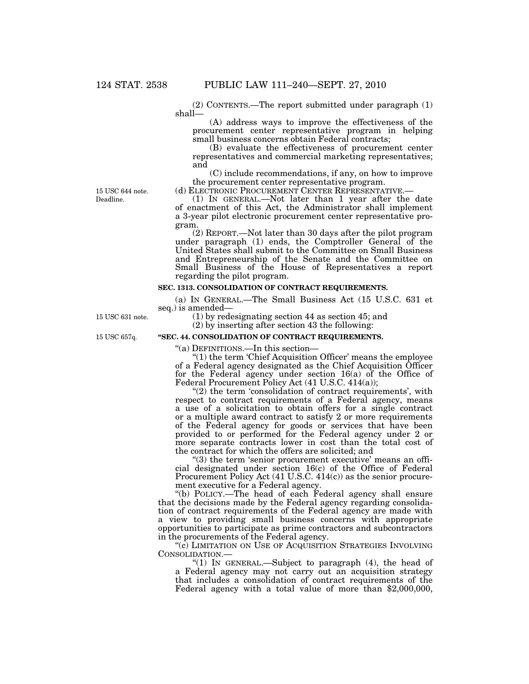(2) CONTENTS.—The report submitted under paragraph (1) shall—

(A) address ways to improve the effectiveness of the procurement center representative program in helping small business concerns obtain Federal contracts;

(B) evaluate the effectiveness of procurement center representatives and commercial marketing representatives; and

(C) include recommendations, if any, on how to improve the procurement center representative program.

(d) ELECTRONIC PROCUREMENT CENTER REPRESENTATIVE.— (1) IN GENERAL.—Not later than 1 year after the date of enactment of this Act, the Administrator shall implement a 3-year pilot electronic procurement center representative program.

(2) REPORT.—Not later than 30 days after the pilot program under paragraph (1) ends, the Comptroller General of the United States shall submit to the Committee on Small Business and Entrepreneurship of the Senate and the Committee on Small Business of the House of Representatives a report regarding the pilot program.

# **SEC. 1313. CONSOLIDATION OF CONTRACT REQUIREMENTS.**

(a) IN GENERAL.—The Small Business Act (15 U.S.C. 631 et seq.) is amended—

(1) by redesignating section 44 as section 45; and

(2) by inserting after section 43 the following:

15 USC 657q.

15 USC 631 note.

**''SEC. 44. CONSOLIDATION OF CONTRACT REQUIREMENTS.** 

''(a) DEFINITIONS.—In this section—

 $"(1)$  the term 'Chief Acquisition Officer' means the employee of a Federal agency designated as the Chief Acquisition Officer for the Federal agency under section 16(a) of the Office of Federal Procurement Policy Act (41 U.S.C. 414(a));

 $(2)$  the term 'consolidation of contract requirements', with respect to contract requirements of a Federal agency, means a use of a solicitation to obtain offers for a single contract or a multiple award contract to satisfy 2 or more requirements of the Federal agency for goods or services that have been provided to or performed for the Federal agency under 2 or more separate contracts lower in cost than the total cost of the contract for which the offers are solicited; and

 $(3)$  the term 'senior procurement executive' means an official designated under section 16(c) of the Office of Federal Procurement Policy Act (41 U.S.C. 414(c)) as the senior procurement executive for a Federal agency.

''(b) POLICY.—The head of each Federal agency shall ensure that the decisions made by the Federal agency regarding consolidation of contract requirements of the Federal agency are made with a view to providing small business concerns with appropriate opportunities to participate as prime contractors and subcontractors in the procurements of the Federal agency.

"(c) LIMITATION ON USE OF ACQUISITION STRATEGIES INVOLVING CONSOLIDATION.—

''(1) IN GENERAL.—Subject to paragraph (4), the head of a Federal agency may not carry out an acquisition strategy that includes a consolidation of contract requirements of the Federal agency with a total value of more than \$2,000,000,

Deadline. 15 USC 644 note.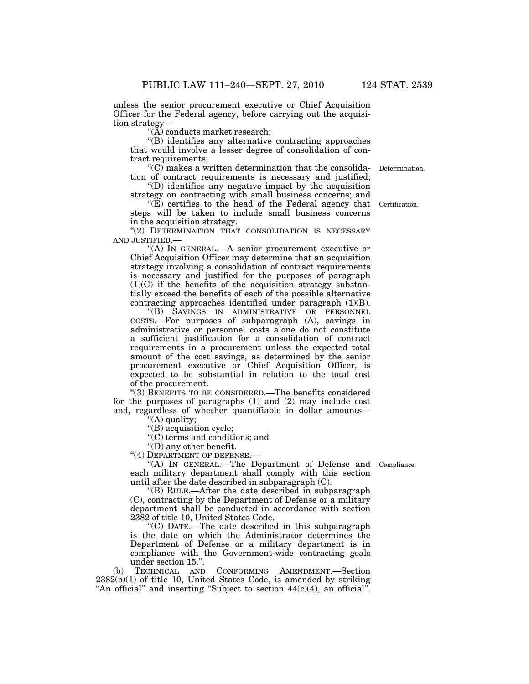unless the senior procurement executive or Chief Acquisition Officer for the Federal agency, before carrying out the acquisition strategy—

 $\mathcal{A}(\mathbf{A})$  conducts market research;

''(B) identifies any alternative contracting approaches that would involve a lesser degree of consolidation of contract requirements;

''(C) makes a written determination that the consolidation of contract requirements is necessary and justified; Determination.

''(D) identifies any negative impact by the acquisition strategy on contracting with small business concerns; and

" $(E)$  certifies to the head of the Federal agency that steps will be taken to include small business concerns in the acquisition strategy.

"(2) DETERMINATION THAT CONSOLIDATION IS NECESSARY AND JUSTIFIED.—

''(A) IN GENERAL.—A senior procurement executive or Chief Acquisition Officer may determine that an acquisition strategy involving a consolidation of contract requirements is necessary and justified for the purposes of paragraph  $(1)(C)$  if the benefits of the acquisition strategy substantially exceed the benefits of each of the possible alternative contracting approaches identified under paragraph  $(1)(B)$ .

''(B) SAVINGS IN ADMINISTRATIVE OR PERSONNEL COSTS.—For purposes of subparagraph (A), savings in administrative or personnel costs alone do not constitute a sufficient justification for a consolidation of contract requirements in a procurement unless the expected total amount of the cost savings, as determined by the senior procurement executive or Chief Acquisition Officer, is expected to be substantial in relation to the total cost of the procurement.

''(3) BENEFITS TO BE CONSIDERED.—The benefits considered for the purposes of paragraphs (1) and (2) may include cost and, regardless of whether quantifiable in dollar amounts—

''(A) quality;

''(B) acquisition cycle;

''(C) terms and conditions; and

''(D) any other benefit.

"(4) DEPARTMENT OF DEFENSE.-

"(A) IN GENERAL.—The Department of Defense and Compliance. each military department shall comply with this section until after the date described in subparagraph (C).

''(B) RULE.—After the date described in subparagraph (C), contracting by the Department of Defense or a military department shall be conducted in accordance with section 2382 of title 10, United States Code.

''(C) DATE.—The date described in this subparagraph is the date on which the Administrator determines the Department of Defense or a military department is in compliance with the Government-wide contracting goals

under section 15.".<br>TECHNICAL AND (b) TECHNICAL AND CONFORMING AMENDMENT.—Section 2382(b)(1) of title 10, United States Code, is amended by striking "An official" and inserting "Subject to section  $44(c)(4)$ , an official".

Certification.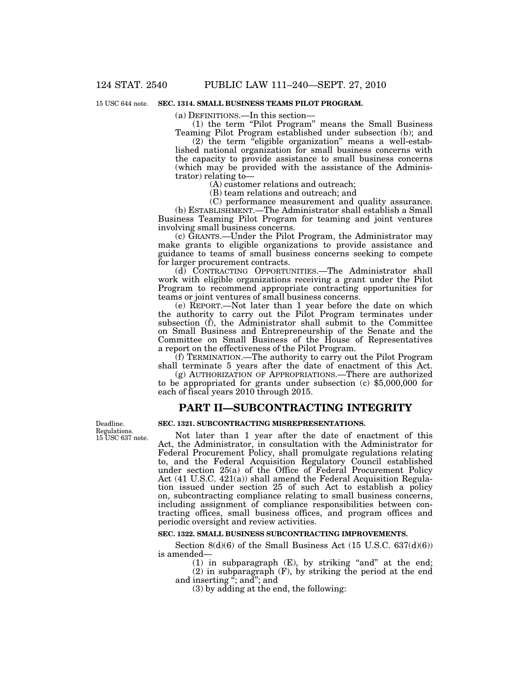#### 15 USC 644 note. **SEC. 1314. SMALL BUSINESS TEAMS PILOT PROGRAM.**

(a) DEFINITIONS.—In this section—

(1) the term ''Pilot Program'' means the Small Business Teaming Pilot Program established under subsection (b); and

(2) the term ''eligible organization'' means a well-established national organization for small business concerns with the capacity to provide assistance to small business concerns (which may be provided with the assistance of the Administrator) relating to—

(A) customer relations and outreach;

(B) team relations and outreach; and

(C) performance measurement and quality assurance.

(b) ESTABLISHMENT.—The Administrator shall establish a Small Business Teaming Pilot Program for teaming and joint ventures involving small business concerns.

(c) GRANTS.—Under the Pilot Program, the Administrator may make grants to eligible organizations to provide assistance and guidance to teams of small business concerns seeking to compete for larger procurement contracts.

(d) CONTRACTING OPPORTUNITIES.—The Administrator shall work with eligible organizations receiving a grant under the Pilot Program to recommend appropriate contracting opportunities for teams or joint ventures of small business concerns.

(e) REPORT.—Not later than 1 year before the date on which the authority to carry out the Pilot Program terminates under subsection (f), the Administrator shall submit to the Committee on Small Business and Entrepreneurship of the Senate and the Committee on Small Business of the House of Representatives a report on the effectiveness of the Pilot Program.

(f) TERMINATION.—The authority to carry out the Pilot Program shall terminate 5 years after the date of enactment of this Act.

(g) AUTHORIZATION OF APPROPRIATIONS.—There are authorized to be appropriated for grants under subsection (c) \$5,000,000 for each of fiscal years 2010 through 2015.

### **PART II—SUBCONTRACTING INTEGRITY**

Deadline. Regulations. 15 USC 637 note. **SEC. 1321. SUBCONTRACTING MISREPRESENTATIONS.** 

Not later than 1 year after the date of enactment of this Act, the Administrator, in consultation with the Administrator for Federal Procurement Policy, shall promulgate regulations relating to, and the Federal Acquisition Regulatory Council established under section 25(a) of the Office of Federal Procurement Policy Act (41 U.S.C. 421(a)) shall amend the Federal Acquisition Regulation issued under section 25 of such Act to establish a policy on, subcontracting compliance relating to small business concerns, including assignment of compliance responsibilities between contracting offices, small business offices, and program offices and periodic oversight and review activities.

#### **SEC. 1322. SMALL BUSINESS SUBCONTRACTING IMPROVEMENTS.**

Section 8(d)(6) of the Small Business Act (15 U.S.C. 637(d)(6)) is amended—

(1) in subparagraph  $(E)$ , by striking "and" at the end; (2) in subparagraph (F), by striking the period at the end and inserting  $\ddot{a}$ ; and  $\dddot{b}$ 

(3) by adding at the end, the following: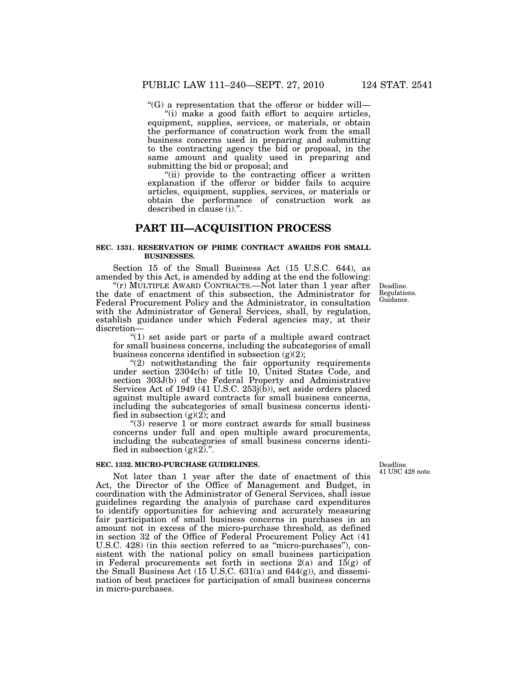$C'(G)$  a representation that the offeror or bidder will—

"(i) make a good faith effort to acquire articles, equipment, supplies, services, or materials, or obtain the performance of construction work from the small business concerns used in preparing and submitting to the contracting agency the bid or proposal, in the same amount and quality used in preparing and submitting the bid or proposal; and

"(ii) provide to the contracting officer a written explanation if the offeror or bidder fails to acquire articles, equipment, supplies, services, or materials or obtain the performance of construction work as described in clause (i).''.

### **PART III—ACQUISITION PROCESS**

### **SEC. 1331. RESERVATION OF PRIME CONTRACT AWARDS FOR SMALL BUSINESSES.**

Section 15 of the Small Business Act (15 U.S.C. 644), as amended by this Act, is amended by adding at the end the following:

" $(r)$  MULTIPLE AWARD CONTRACTS.—Not later than 1 year after the date of enactment of this subsection, the Administrator for Federal Procurement Policy and the Administrator, in consultation with the Administrator of General Services, shall, by regulation, establish guidance under which Federal agencies may, at their discretion—

" $(1)$  set aside part or parts of a multiple award contract for small business concerns, including the subcategories of small business concerns identified in subsection  $(g)(2)$ ;

"(2) notwithstanding the fair opportunity requirements under section 2304c(b) of title 10, United States Code, and section 303J(b) of the Federal Property and Administrative Services Act of 1949 (41 U.S.C. 253j(b)), set aside orders placed against multiple award contracts for small business concerns, including the subcategories of small business concerns identified in subsection  $(g)(2)$ ; and

" $(3)$  reserve 1 or more contract awards for small business concerns under full and open multiple award procurements, including the subcategories of small business concerns identified in subsection  $(g)(2)$ .".

### **SEC. 1332. MICRO-PURCHASE GUIDELINES.**

Not later than 1 year after the date of enactment of this Act, the Director of the Office of Management and Budget, in coordination with the Administrator of General Services, shall issue guidelines regarding the analysis of purchase card expenditures to identify opportunities for achieving and accurately measuring fair participation of small business concerns in purchases in an amount not in excess of the micro-purchase threshold, as defined in section 32 of the Office of Federal Procurement Policy Act (41 U.S.C. 428) (in this section referred to as ''micro-purchases''), consistent with the national policy on small business participation in Federal procurements set forth in sections  $2(a)$  and  $15(g)$  of the Small Business Act  $(15 \text{ U.S.C. } 631(a)$  and  $644(g)$ , and dissemination of best practices for participation of small business concerns in micro-purchases.

Deadline. 41 USC 428 note.

Deadline. Regulations. Guidance.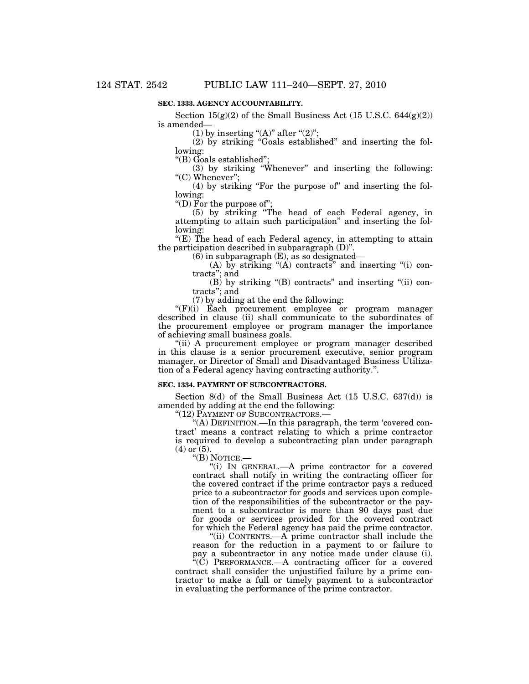### **SEC. 1333. AGENCY ACCOUNTABILITY.**

Section  $15(g)(2)$  of the Small Business Act (15 U.S.C. 644 $(g)(2)$ ) is amended—

(1) by inserting " $(A)$ " after " $(2)$ ";

(2) by striking ''Goals established'' and inserting the following:

''(B) Goals established'';

(3) by striking ''Whenever'' and inserting the following: "(C) Whenever";

(4) by striking ''For the purpose of'' and inserting the following:

''(D) For the purpose of'';

(5) by striking ''The head of each Federal agency, in attempting to attain such participation'' and inserting the following:

 $E(E)$  The head of each Federal agency, in attempting to attain the participation described in subparagraph (D)''.

 $(6)$  in subparagraph  $(E)$ , as so designated—

(A) by striking " $(A)$  contracts" and inserting " $(i)$  contracts''; and

 $(B)$  by striking " $(B)$  contracts" and inserting " $(ii)$  contracts''; and

(7) by adding at the end the following:

 $f(F)(i)$  Each procurement employee or program manager described in clause (ii) shall communicate to the subordinates of the procurement employee or program manager the importance of achieving small business goals.

"(ii) A procurement employee or program manager described in this clause is a senior procurement executive, senior program manager, or Director of Small and Disadvantaged Business Utilization of a Federal agency having contracting authority.''.

### **SEC. 1334. PAYMENT OF SUBCONTRACTORS.**

Section 8(d) of the Small Business Act (15 U.S.C. 637(d)) is amended by adding at the end the following:

''(12) PAYMENT OF SUBCONTRACTORS.—

''(A) DEFINITION.—In this paragraph, the term 'covered contract' means a contract relating to which a prime contractor is required to develop a subcontracting plan under paragraph  $(4)$  or  $(5)$ .

''(B) NOTICE.—

''(i) IN GENERAL.—A prime contractor for a covered contract shall notify in writing the contracting officer for the covered contract if the prime contractor pays a reduced price to a subcontractor for goods and services upon completion of the responsibilities of the subcontractor or the payment to a subcontractor is more than 90 days past due for goods or services provided for the covered contract for which the Federal agency has paid the prime contractor.

"(ii) CONTENTS.—A prime contractor shall include the reason for the reduction in a payment to or failure to pay a subcontractor in any notice made under clause (i).

 $\tilde{f}^{\alpha}(\tilde{C})$  PERFORMANCE.—A contracting officer for a covered contract shall consider the unjustified failure by a prime contractor to make a full or timely payment to a subcontractor in evaluating the performance of the prime contractor.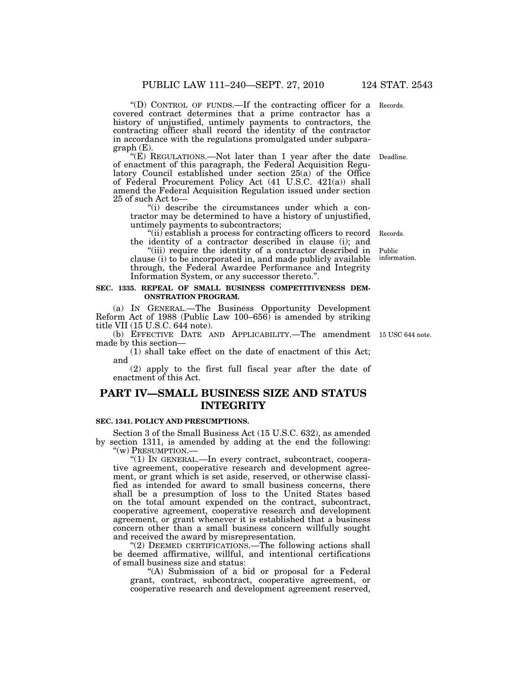''(D) CONTROL OF FUNDS.—If the contracting officer for a Records. covered contract determines that a prime contractor has a history of unjustified, untimely payments to contractors, the contracting officer shall record the identity of the contractor in accordance with the regulations promulgated under subparagraph (E).

"(E) REGULATIONS.—Not later than 1 year after the date Deadline. of enactment of this paragraph, the Federal Acquisition Regulatory Council established under section 25(a) of the Office of Federal Procurement Policy Act (41 U.S.C. 421(a)) shall amend the Federal Acquisition Regulation issued under section 25 of such Act to—

"(i) describe the circumstances under which a contractor may be determined to have a history of unjustified, untimely payments to subcontractors;

''(ii) establish a process for contracting officers to record the identity of a contractor described in clause (i); and

"(iii) require the identity of a contractor described in clause (i) to be incorporated in, and made publicly available through, the Federal Awardee Performance and Integrity Information System, or any successor thereto.''.

### **SEC. 1335. REPEAL OF SMALL BUSINESS COMPETITIVENESS DEM-ONSTRATION PROGRAM.**

(a) IN GENERAL.—The Business Opportunity Development Reform Act of 1988 (Public Law 100–656) is amended by striking title VII (15 U.S.C. 644 note).

(b) EFFECTIVE DATE AND APPLICABILITY.—The amendment 15 USC 644 note. made by this section—

(1) shall take effect on the date of enactment of this Act; and

(2) apply to the first full fiscal year after the date of enactment of this Act.

## **PART IV—SMALL BUSINESS SIZE AND STATUS INTEGRITY**

### **SEC. 1341. POLICY AND PRESUMPTIONS.**

Section 3 of the Small Business Act (15 U.S.C. 632), as amended by section 1311, is amended by adding at the end the following: ''(w) PRESUMPTION.—

''(1) IN GENERAL.—In every contract, subcontract, cooperative agreement, cooperative research and development agreement, or grant which is set aside, reserved, or otherwise classified as intended for award to small business concerns, there shall be a presumption of loss to the United States based on the total amount expended on the contract, subcontract, cooperative agreement, cooperative research and development agreement, or grant whenever it is established that a business concern other than a small business concern willfully sought and received the award by misrepresentation.

"(2) DEEMED CERTIFICATIONS.—The following actions shall be deemed affirmative, willful, and intentional certifications of small business size and status:

"(A) Submission of a bid or proposal for a Federal grant, contract, subcontract, cooperative agreement, or cooperative research and development agreement reserved,

Records.

Public information.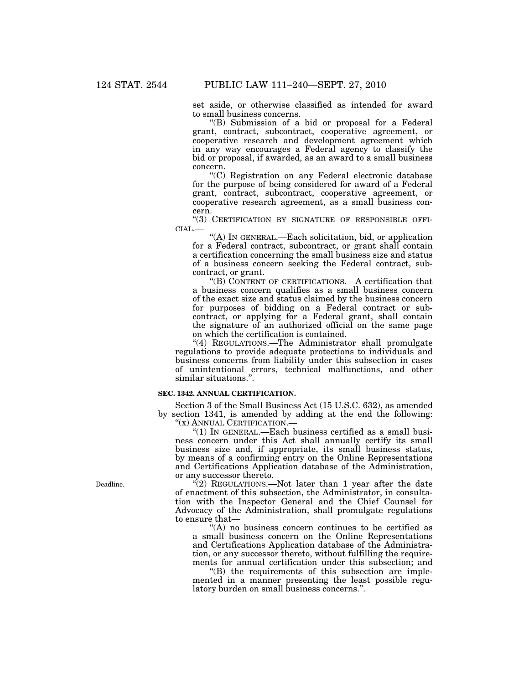set aside, or otherwise classified as intended for award to small business concerns.

''(B) Submission of a bid or proposal for a Federal grant, contract, subcontract, cooperative agreement, or cooperative research and development agreement which in any way encourages a Federal agency to classify the bid or proposal, if awarded, as an award to a small business concern.

''(C) Registration on any Federal electronic database for the purpose of being considered for award of a Federal grant, contract, subcontract, cooperative agreement, or cooperative research agreement, as a small business concern.

''(3) CERTIFICATION BY SIGNATURE OF RESPONSIBLE OFFI-CIAL.—

''(A) IN GENERAL.—Each solicitation, bid, or application for a Federal contract, subcontract, or grant shall contain a certification concerning the small business size and status of a business concern seeking the Federal contract, subcontract, or grant.

''(B) CONTENT OF CERTIFICATIONS.—A certification that a business concern qualifies as a small business concern of the exact size and status claimed by the business concern for purposes of bidding on a Federal contract or subcontract, or applying for a Federal grant, shall contain the signature of an authorized official on the same page on which the certification is contained.

"(4) REGULATIONS.—The Administrator shall promulgate regulations to provide adequate protections to individuals and business concerns from liability under this subsection in cases of unintentional errors, technical malfunctions, and other similar situations.''.

### **SEC. 1342. ANNUAL CERTIFICATION.**

Section 3 of the Small Business Act (15 U.S.C. 632), as amended by section 1341, is amended by adding at the end the following: ''(x) ANNUAL CERTIFICATION.—

''(1) IN GENERAL.—Each business certified as a small business concern under this Act shall annually certify its small business size and, if appropriate, its small business status, by means of a confirming entry on the Online Representations and Certifications Application database of the Administration, or any successor thereto.

 $\sqrt{\hat{a}}$ ) REGULATIONS.—Not later than 1 year after the date of enactment of this subsection, the Administrator, in consultation with the Inspector General and the Chief Counsel for Advocacy of the Administration, shall promulgate regulations to ensure that—

"(A) no business concern continues to be certified as a small business concern on the Online Representations and Certifications Application database of the Administration, or any successor thereto, without fulfilling the requirements for annual certification under this subsection; and

 $H(B)$  the requirements of this subsection are implemented in a manner presenting the least possible regulatory burden on small business concerns.".

Deadline.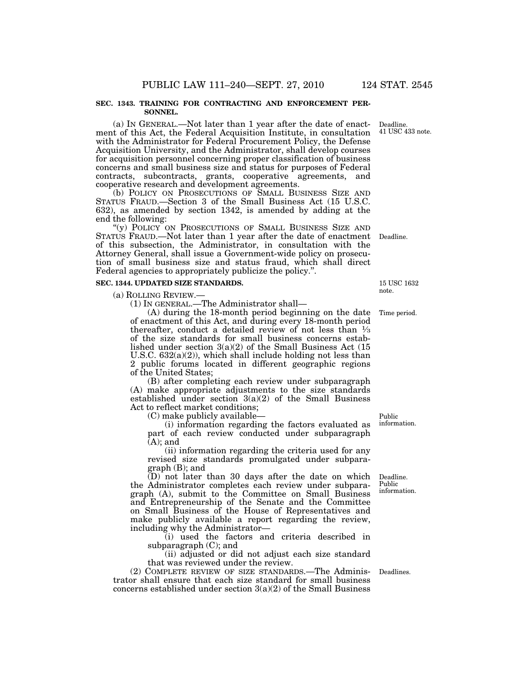#### **SEC. 1343. TRAINING FOR CONTRACTING AND ENFORCEMENT PER-SONNEL.**

(a) IN GENERAL.—Not later than 1 year after the date of enactment of this Act, the Federal Acquisition Institute, in consultation with the Administrator for Federal Procurement Policy, the Defense Acquisition University, and the Administrator, shall develop courses for acquisition personnel concerning proper classification of business concerns and small business size and status for purposes of Federal contracts, subcontracts, grants, cooperative agreements, and cooperative research and development agreements.

(b) POLICY ON PROSECUTIONS OF SMALL BUSINESS SIZE AND STATUS FRAUD.—Section 3 of the Small Business Act (15 U.S.C. 632), as amended by section 1342, is amended by adding at the end the following:

''(y) POLICY ON PROSECUTIONS OF SMALL BUSINESS SIZE AND STATUS FRAUD.—Not later than 1 year after the date of enactment Deadline. of this subsection, the Administrator, in consultation with the Attorney General, shall issue a Government-wide policy on prosecution of small business size and status fraud, which shall direct Federal agencies to appropriately publicize the policy.''.

#### **SEC. 1344. UPDATED SIZE STANDARDS.**

(a) ROLLING REVIEW.—

(1) IN GENERAL.—The Administrator shall—

(A) during the 18-month period beginning on the date of enactment of this Act, and during every 18-month period thereafter, conduct a detailed review of not less than  $\frac{1}{3}$ of the size standards for small business concerns established under section 3(a)(2) of the Small Business Act (15 U.S.C. 632(a)(2)), which shall include holding not less than 2 public forums located in different geographic regions of the United States;

(B) after completing each review under subparagraph (A) make appropriate adjustments to the size standards established under section 3(a)(2) of the Small Business Act to reflect market conditions;

(C) make publicly available—

(i) information regarding the factors evaluated as part of each review conducted under subparagraph  $(A)$ ; and

(ii) information regarding the criteria used for any revised size standards promulgated under subparagraph (B); and

(D) not later than 30 days after the date on which the Administrator completes each review under subparagraph (A), submit to the Committee on Small Business and Entrepreneurship of the Senate and the Committee on Small Business of the House of Representatives and make publicly available a report regarding the review, including why the Administrator—

(i) used the factors and criteria described in subparagraph (C); and

(ii) adjusted or did not adjust each size standard that was reviewed under the review.

(2) COMPLETE REVIEW OF SIZE STANDARDS.—The Administrator shall ensure that each size standard for small business concerns established under section 3(a)(2) of the Small Business Deadlines.

Public information.

Deadline. Public information.

Deadline. 41 USC 433 note.

15 USC 1632 note.

Time period.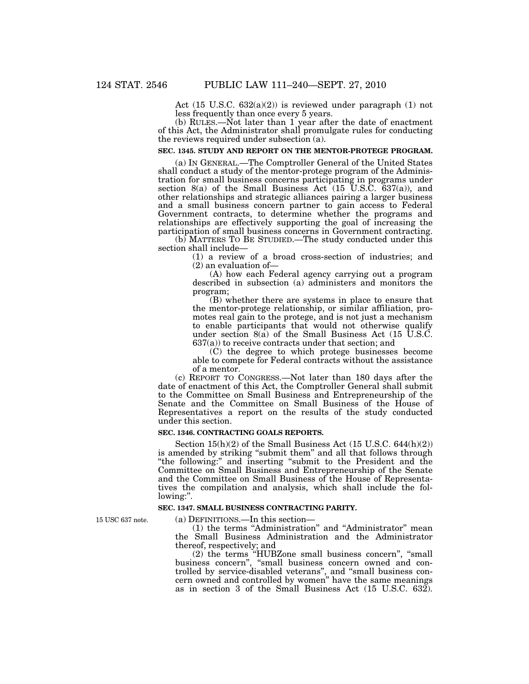Act (15 U.S.C. 632(a)(2)) is reviewed under paragraph (1) not less frequently than once every 5 years.

(b) RULES.—Not later than 1 year after the date of enactment of this Act, the Administrator shall promulgate rules for conducting the reviews required under subsection (a).

### **SEC. 1345. STUDY AND REPORT ON THE MENTOR-PROTEGE PROGRAM.**

(a) IN GENERAL.—The Comptroller General of the United States shall conduct a study of the mentor-protege program of the Administration for small business concerns participating in programs under section 8(a) of the Small Business Act  $(15 \text{ U.S.C. } 637(a))$ , and other relationships and strategic alliances pairing a larger business and a small business concern partner to gain access to Federal Government contracts, to determine whether the programs and relationships are effectively supporting the goal of increasing the participation of small business concerns in Government contracting.

(b) MATTERS TO BE STUDIED.—The study conducted under this section shall include—

(1) a review of a broad cross-section of industries; and (2) an evaluation of—

(A) how each Federal agency carrying out a program described in subsection (a) administers and monitors the program;

(B) whether there are systems in place to ensure that the mentor-protege relationship, or similar affiliation, promotes real gain to the protege, and is not just a mechanism to enable participants that would not otherwise qualify under section  $8(a)$  of the Small Business Act (15 U.S.C. 637(a)) to receive contracts under that section; and

(C) the degree to which protege businesses become able to compete for Federal contracts without the assistance of a mentor.

(c) REPORT TO CONGRESS.—Not later than 180 days after the date of enactment of this Act, the Comptroller General shall submit to the Committee on Small Business and Entrepreneurship of the Senate and the Committee on Small Business of the House of Representatives a report on the results of the study conducted under this section.

#### **SEC. 1346. CONTRACTING GOALS REPORTS.**

Section  $15(h)(2)$  of the Small Business Act  $(15 \text{ U.S.C. } 644(h)(2))$ is amended by striking "submit them" and all that follows through "the following:" and inserting "submit to the President and the Committee on Small Business and Entrepreneurship of the Senate and the Committee on Small Business of the House of Representatives the compilation and analysis, which shall include the following:''.

### **SEC. 1347. SMALL BUSINESS CONTRACTING PARITY.**

15 USC 637 note.

(a) DEFINITIONS.—In this section—

(1) the terms ''Administration'' and ''Administrator'' mean the Small Business Administration and the Administrator thereof, respectively; and

(2) the terms ''HUBZone small business concern'', ''small business concern'', ''small business concern owned and controlled by service-disabled veterans'', and ''small business concern owned and controlled by women'' have the same meanings as in section 3 of the Small Business Act (15 U.S.C. 632).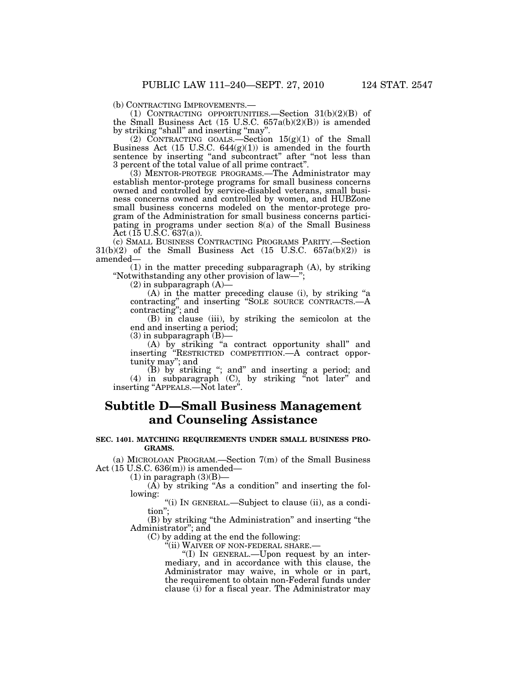(b) CONTRACTING IMPROVEMENTS.—<br>
(1) CONTRACTING OPPORTUNITIES.—Section  $31(b)(2)(B)$  of the Small Business Act  $(15 \text{ U.S.C. } 657a(b)(2)(B))$  is amended by striking "shall" and inserting "may".

(2) CONTRACTING GOALS.—Section  $15(g)(1)$  of the Small Business Act  $(15 \text{ U.S.C. } 644(g)(1))$  is amended in the fourth sentence by inserting "and subcontract" after "not less than 3 percent of the total value of all prime contract''.

(3) MENTOR-PROTEGE PROGRAMS.—The Administrator may establish mentor-protege programs for small business concerns owned and controlled by service-disabled veterans, small business concerns owned and controlled by women, and HUBZone small business concerns modeled on the mentor-protege program of the Administration for small business concerns participating in programs under section 8(a) of the Small Business Act (15 U.S.C. 637(a)).

(c) SMALL BUSINESS CONTRACTING PROGRAMS PARITY.—Section  $31(b)(2)$  of the Small Business Act  $(15 \text{ U.S.C. } 657a(b)(2))$  is amended—

(1) in the matter preceding subparagraph (A), by striking ''Notwithstanding any other provision of law—'';

 $(2)$  in subparagraph  $(A)$ —

(A) in the matter preceding clause (i), by striking ''a contracting'' and inserting ''SOLE SOURCE CONTRACTS.—A contracting''; and

(B) in clause (iii), by striking the semicolon at the end and inserting a period;

 $(3)$  in subparagraph  $(B)$ –

(A) by striking ''a contract opportunity shall'' and inserting ''RESTRICTED COMPETITION.—A contract opportunity may''; and

(B) by striking ''; and'' and inserting a period; and (4) in subparagraph  $(C)$ , by striking "not later" and inserting ''APPEALS.—Not later''.

# **Subtitle D—Small Business Management and Counseling Assistance**

### **SEC. 1401. MATCHING REQUIREMENTS UNDER SMALL BUSINESS PRO-GRAMS.**

(a) MICROLOAN PROGRAM.—Section 7(m) of the Small Business Act (15 U.S.C. 636(m)) is amended—

 $(1)$  in paragraph  $(3)(B)$ –

 $(A)$  by striking "As a condition" and inserting the following:

''(i) IN GENERAL.—Subject to clause (ii), as a condition'';

(B) by striking ''the Administration'' and inserting ''the Administrator''; and

(C) by adding at the end the following:

''(ii) WAIVER OF NON-FEDERAL SHARE.—

''(I) IN GENERAL.—Upon request by an intermediary, and in accordance with this clause, the Administrator may waive, in whole or in part, the requirement to obtain non-Federal funds under clause (i) for a fiscal year. The Administrator may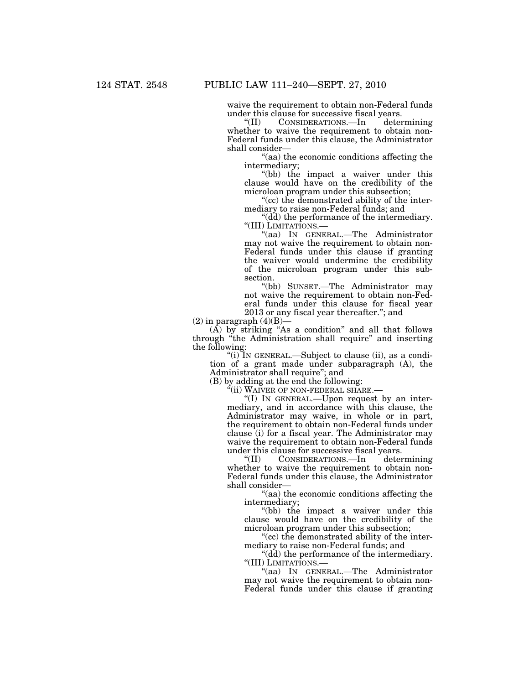waive the requirement to obtain non-Federal funds under this clause for successive fiscal years.<br>
"(II) CONSIDERATIONS.—In deter

CONSIDERATIONS.—In determining whether to waive the requirement to obtain non-Federal funds under this clause, the Administrator shall consider—

''(aa) the economic conditions affecting the intermediary;

"(bb) the impact a waiver under this clause would have on the credibility of the microloan program under this subsection;

"(cc) the demonstrated ability of the intermediary to raise non-Federal funds; and

"(dd) the performance of the intermediary.<br>"(III) LIMITATIONS.—

"(aa) In GENERAL.—The Administrator may not waive the requirement to obtain non-Federal funds under this clause if granting the waiver would undermine the credibility of the microloan program under this subsection.

''(bb) SUNSET.—The Administrator may not waive the requirement to obtain non-Federal funds under this clause for fiscal year 2013 or any fiscal year thereafter.''; and

 $(2)$  in paragraph  $(4)(B)$ —

 $(A)$  by striking "As a condition" and all that follows through ''the Administration shall require'' and inserting the following:

''(i) IN GENERAL.—Subject to clause (ii), as a condition of a grant made under subparagraph (A), the Administrator shall require''; and

(B) by adding at the end the following:

''(ii) WAIVER OF NON-FEDERAL SHARE.—

''(I) IN GENERAL.—Upon request by an intermediary, and in accordance with this clause, the Administrator may waive, in whole or in part, the requirement to obtain non-Federal funds under clause (i) for a fiscal year. The Administrator may waive the requirement to obtain non-Federal funds under this clause for successive fiscal years.<br>
"(II) CONSIDERATIONS.—In deter

CONSIDERATIONS.—In determining whether to waive the requirement to obtain non-Federal funds under this clause, the Administrator shall consider—

''(aa) the economic conditions affecting the intermediary;

"(bb) the impact a waiver under this clause would have on the credibility of the microloan program under this subsection;

''(cc) the demonstrated ability of the intermediary to raise non-Federal funds; and

''(dd) the performance of the intermediary. ''(III) LIMITATIONS.—

''(aa) IN GENERAL.—The Administrator may not waive the requirement to obtain non-Federal funds under this clause if granting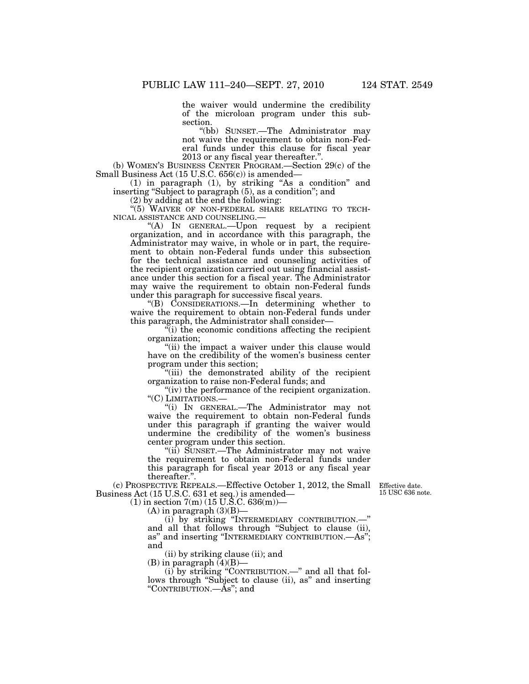the waiver would undermine the credibility of the microloan program under this subsection.

''(bb) SUNSET.—The Administrator may not waive the requirement to obtain non-Federal funds under this clause for fiscal year 2013 or any fiscal year thereafter.''.

(b) WOMEN'S BUSINESS CENTER PROGRAM.—Section 29(c) of the Small Business Act (15 U.S.C. 656(c)) is amended—

(1) in paragraph (1), by striking ''As a condition'' and inserting ''Subject to paragraph (5), as a condition''; and

(2) by adding at the end the following:

 $\mathrm{``(5)}$  WAIVER OF NON-FEDERAL SHARE RELATING TO TECHNICAL ASSISTANCE AND COUNSELING.—

 $H(A)$  In GENERAL.—Upon request by a recipient organization, and in accordance with this paragraph, the Administrator may waive, in whole or in part, the requirement to obtain non-Federal funds under this subsection for the technical assistance and counseling activities of the recipient organization carried out using financial assistance under this section for a fiscal year. The Administrator may waive the requirement to obtain non-Federal funds under this paragraph for successive fiscal years.

''(B) CONSIDERATIONS.—In determining whether to waive the requirement to obtain non-Federal funds under this paragraph, the Administrator shall consider—

''(i) the economic conditions affecting the recipient organization;

"(ii) the impact a waiver under this clause would have on the credibility of the women's business center program under this section;

''(iii) the demonstrated ability of the recipient organization to raise non-Federal funds; and

"(iv) the performance of the recipient organization. " $(C)$  LIMITATIONS.—

"(i) IN GENERAL.—The Administrator may not waive the requirement to obtain non-Federal funds under this paragraph if granting the waiver would undermine the credibility of the women's business center program under this section.

''(ii) SUNSET.—The Administrator may not waive the requirement to obtain non-Federal funds under this paragraph for fiscal year 2013 or any fiscal year thereafter.''.

(c) PROSPECTIVE REPEALS.—Effective October 1, 2012, the Small Business Act (15 U.S.C. 631 et seq.) is amended—

(1) in section  $7(m)$  (15 U.S.C. 636 $(m)$ )—

 $(A)$  in paragraph  $(3)(B)$ —

(i) by striking ''INTERMEDIARY CONTRIBUTION.—'' and all that follows through ''Subject to clause (ii), as'' and inserting ''INTERMEDIARY CONTRIBUTION.—As''; and

(ii) by striking clause (ii); and

 $(B)$  in paragraph  $(4)(B)$ —

(i) by striking ''CONTRIBUTION.—'' and all that follows through "Subject to clause (ii), as" and inserting "CONTRIBUTION.—As"; and

Effective date. 15 USC 636 note.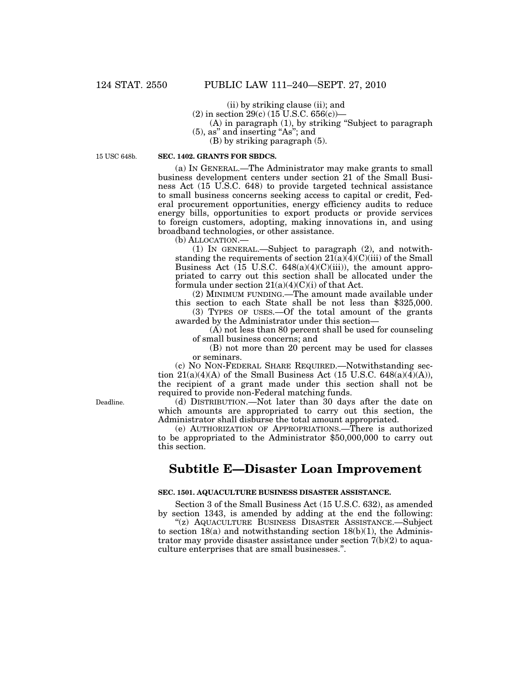(ii) by striking clause (ii); and

(2) in section 29(c) (15 U.S.C. 656(c))—

(A) in paragraph (1), by striking ''Subject to paragraph

(5), as'' and inserting ''As''; and

(B) by striking paragraph (5).

15 USC 648b.

### **SEC. 1402. GRANTS FOR SBDCS.**

(a) IN GENERAL.—The Administrator may make grants to small business development centers under section 21 of the Small Business Act (15 U.S.C. 648) to provide targeted technical assistance to small business concerns seeking access to capital or credit, Federal procurement opportunities, energy efficiency audits to reduce energy bills, opportunities to export products or provide services to foreign customers, adopting, making innovations in, and using broadband technologies, or other assistance.

(b) ALLOCATION.—

(1) IN GENERAL.—Subject to paragraph (2), and notwithstanding the requirements of section  $21(a)(4)(C)(iii)$  of the Small Business Act  $(15 \text{ U.S.C. } 648(a)(4)(C)(iii))$ , the amount appropriated to carry out this section shall be allocated under the formula under section  $21(a)(4)(C)(i)$  of that Act.

(2) MINIMUM FUNDING.—The amount made available under this section to each State shall be not less than \$325,000.

(3) TYPES OF USES.—Of the total amount of the grants awarded by the Administrator under this section—

(A) not less than 80 percent shall be used for counseling of small business concerns; and

(B) not more than 20 percent may be used for classes or seminars.

(c) NO NON-FEDERAL SHARE REQUIRED.—Notwithstanding section  $21(a)(4)(A)$  of the Small Business Act (15 U.S.C. 648(a)( $\widetilde{4}$ )(A)), the recipient of a grant made under this section shall not be required to provide non-Federal matching funds.

(d) DISTRIBUTION.—Not later than 30 days after the date on which amounts are appropriated to carry out this section, the Administrator shall disburse the total amount appropriated.

(e) AUTHORIZATION OF APPROPRIATIONS.—There is authorized to be appropriated to the Administrator \$50,000,000 to carry out this section.

## **Subtitle E—Disaster Loan Improvement**

### **SEC. 1501. AQUACULTURE BUSINESS DISASTER ASSISTANCE.**

Section 3 of the Small Business Act (15 U.S.C. 632), as amended by section 1343, is amended by adding at the end the following:

''(z) AQUACULTURE BUSINESS DISASTER ASSISTANCE.—Subject to section  $18(a)$  and notwithstanding section  $18(b)(1)$ , the Administrator may provide disaster assistance under section  $7(b)(2)$  to aquaculture enterprises that are small businesses.''.

Deadline.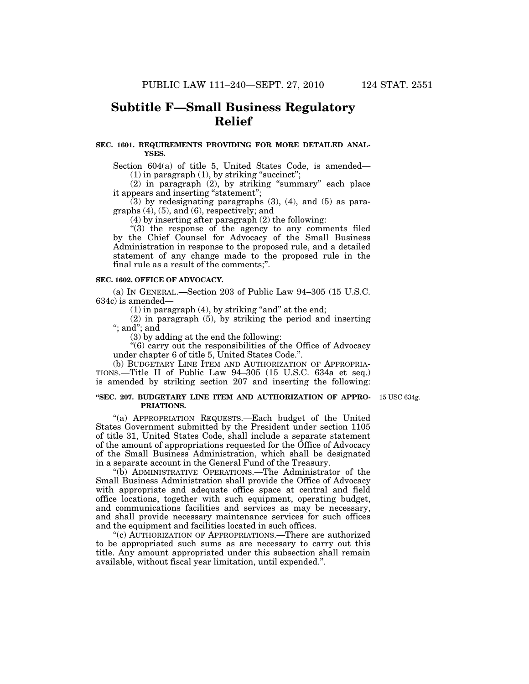# **Subtitle F—Small Business Regulatory Relief**

### **SEC. 1601. REQUIREMENTS PROVIDING FOR MORE DETAILED ANAL-YSES.**

Section 604(a) of title 5, United States Code, is amended—  $(1)$  in paragraph  $(1)$ , by striking "succinct";

(2) in paragraph (2), by striking ''summary'' each place it appears and inserting ''statement'';

(3) by redesignating paragraphs (3), (4), and (5) as paragraphs (4), (5), and (6), respectively; and

(4) by inserting after paragraph (2) the following:

"(3) the response of the agency to any comments filed by the Chief Counsel for Advocacy of the Small Business Administration in response to the proposed rule, and a detailed statement of any change made to the proposed rule in the final rule as a result of the comments;''.

### **SEC. 1602. OFFICE OF ADVOCACY.**

(a) IN GENERAL.—Section 203 of Public Law 94–305 (15 U.S.C. 634c) is amended—

 $(1)$  in paragraph  $(4)$ , by striking "and" at the end;

(2) in paragraph (5), by striking the period and inserting ''; and''; and

(3) by adding at the end the following:

''(6) carry out the responsibilities of the Office of Advocacy under chapter 6 of title 5, United States Code.''.

(b) BUDGETARY LINE ITEM AND AUTHORIZATION OF APPROPRIA-TIONS.—Title II of Public Law 94–305 (15 U.S.C. 634a et seq.) is amended by striking section 207 and inserting the following:

#### **''SEC. 207. BUDGETARY LINE ITEM AND AUTHORIZATION OF APPRO-**15 USC 634g. **PRIATIONS.**

''(a) APPROPRIATION REQUESTS.—Each budget of the United States Government submitted by the President under section 1105 of title 31, United States Code, shall include a separate statement of the amount of appropriations requested for the Office of Advocacy of the Small Business Administration, which shall be designated in a separate account in the General Fund of the Treasury.

''(b) ADMINISTRATIVE OPERATIONS.—The Administrator of the Small Business Administration shall provide the Office of Advocacy with appropriate and adequate office space at central and field office locations, together with such equipment, operating budget, and communications facilities and services as may be necessary, and shall provide necessary maintenance services for such offices and the equipment and facilities located in such offices.

''(c) AUTHORIZATION OF APPROPRIATIONS.—There are authorized to be appropriated such sums as are necessary to carry out this title. Any amount appropriated under this subsection shall remain available, without fiscal year limitation, until expended.''.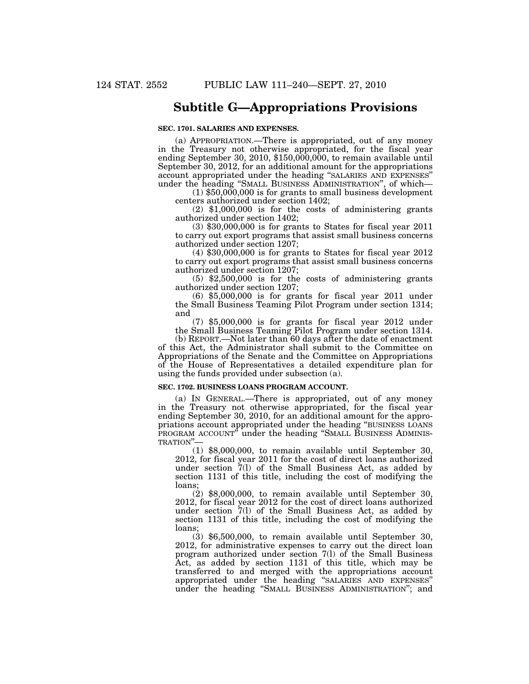## **Subtitle G—Appropriations Provisions**

### **SEC. 1701. SALARIES AND EXPENSES.**

(a) APPROPRIATION.—There is appropriated, out of any money in the Treasury not otherwise appropriated, for the fiscal year ending September 30, 2010, \$150,000,000, to remain available until September 30, 2012, for an additional amount for the appropriations account appropriated under the heading ''SALARIES AND EXPENSES'' under the heading ''SMALL BUSINESS ADMINISTRATION'', of which—

(1) \$50,000,000 is for grants to small business development centers authorized under section 1402;

(2) \$1,000,000 is for the costs of administering grants authorized under section 1402;

(3) \$30,000,000 is for grants to States for fiscal year 2011 to carry out export programs that assist small business concerns authorized under section 1207;

(4) \$30,000,000 is for grants to States for fiscal year 2012 to carry out export programs that assist small business concerns authorized under section 1207;

(5) \$2,500,000 is for the costs of administering grants authorized under section 1207;

(6) \$5,000,000 is for grants for fiscal year 2011 under the Small Business Teaming Pilot Program under section 1314; and

(7) \$5,000,000 is for grants for fiscal year 2012 under the Small Business Teaming Pilot Program under section 1314.

(b) REPORT.—Not later than 60 days after the date of enactment of this Act, the Administrator shall submit to the Committee on Appropriations of the Senate and the Committee on Appropriations of the House of Representatives a detailed expenditure plan for using the funds provided under subsection (a).

#### **SEC. 1702. BUSINESS LOANS PROGRAM ACCOUNT.**

(a) IN GENERAL.—There is appropriated, out of any money in the Treasury not otherwise appropriated, for the fiscal year ending September 30, 2010, for an additional amount for the appropriations account appropriated under the heading ''BUSINESS LOANS PROGRAM ACCOUNT" under the heading "SMALL BUSINESS ADMINIS-<br>TRATION"—

(1) \$8,000,000, to remain available until September 30, 2012, for fiscal year 2011 for the cost of direct loans authorized under section 7(l) of the Small Business Act, as added by section 1131 of this title, including the cost of modifying the loans;

(2) \$8,000,000, to remain available until September 30, 2012, for fiscal year 2012 for the cost of direct loans authorized under section 7(l) of the Small Business Act, as added by section 1131 of this title, including the cost of modifying the loans;

(3) \$6,500,000, to remain available until September 30, 2012, for administrative expenses to carry out the direct loan program authorized under section 7(l) of the Small Business Act, as added by section 1131 of this title, which may be transferred to and merged with the appropriations account appropriated under the heading ''SALARIES AND EXPENSES'' under the heading ''SMALL BUSINESS ADMINISTRATION''; and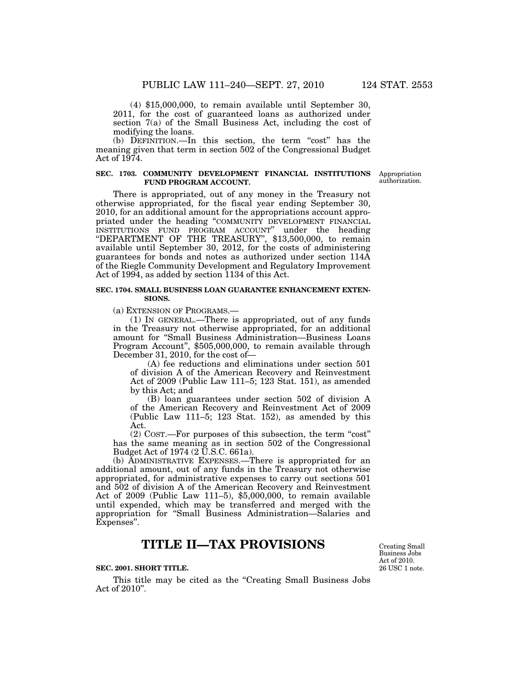(4) \$15,000,000, to remain available until September 30, 2011, for the cost of guaranteed loans as authorized under section 7(a) of the Small Business Act, including the cost of modifying the loans.

(b) DEFINITION.—In this section, the term ''cost'' has the meaning given that term in section 502 of the Congressional Budget Act of 1974.

### **SEC. 1703. COMMUNITY DEVELOPMENT FINANCIAL INSTITUTIONS FUND PROGRAM ACCOUNT.**

**Appropriation** authorization.

There is appropriated, out of any money in the Treasury not otherwise appropriated, for the fiscal year ending September 30, 2010, for an additional amount for the appropriations account appropriated under the heading ''COMMUNITY DEVELOPMENT FINANCIAL INSTITUTIONS FUND PROGRAM ACCOUNT'' under the heading "DEPARTMENT OF THE TREASURY", \$13,500,000, to remain available until September 30, 2012, for the costs of administering guarantees for bonds and notes as authorized under section 114A of the Riegle Community Development and Regulatory Improvement Act of 1994, as added by section 1134 of this Act.

### **SEC. 1704. SMALL BUSINESS LOAN GUARANTEE ENHANCEMENT EXTEN-SIONS.**

(a) EXTENSION OF PROGRAMS.—

(1) IN GENERAL.—There is appropriated, out of any funds in the Treasury not otherwise appropriated, for an additional amount for ''Small Business Administration—Business Loans Program Account'', \$505,000,000, to remain available through December 31, 2010, for the cost of—

(A) fee reductions and eliminations under section 501 of division A of the American Recovery and Reinvestment Act of 2009 (Public Law 111–5; 123 Stat. 151), as amended by this Act; and

(B) loan guarantees under section 502 of division A of the American Recovery and Reinvestment Act of 2009 (Public Law 111–5; 123 Stat. 152), as amended by this Act.

(2) COST.—For purposes of this subsection, the term "cost" has the same meaning as in section 502 of the Congressional Budget Act of 1974 (2 U.S.C. 661a).

(b) ADMINISTRATIVE EXPENSES.—There is appropriated for an additional amount, out of any funds in the Treasury not otherwise appropriated, for administrative expenses to carry out sections 501 and 502 of division A of the American Recovery and Reinvestment Act of 2009 (Public Law 111–5), \$5,000,000, to remain available until expended, which may be transferred and merged with the appropriation for ''Small Business Administration—Salaries and Expenses''.

## **TITLE II—TAX PROVISIONS**

### **SEC. 2001. SHORT TITLE.**

This title may be cited as the "Creating Small Business Jobs Act of 2010''.

26 USC 1 note. Creating Small Business Jobs Act of 2010.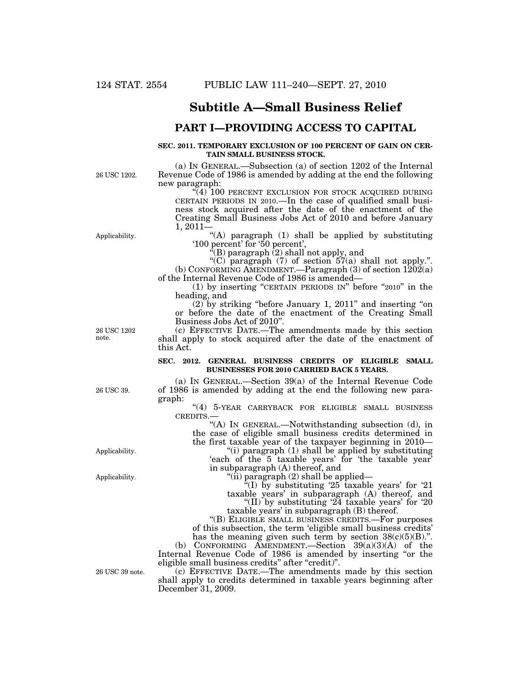## **Subtitle A—Small Business Relief**

### **PART I—PROVIDING ACCESS TO CAPITAL**

#### **SEC. 2011. TEMPORARY EXCLUSION OF 100 PERCENT OF GAIN ON CER-TAIN SMALL BUSINESS STOCK.**

26 USC 1202.

(a) IN GENERAL.—Subsection (a) of section 1202 of the Internal Revenue Code of 1986 is amended by adding at the end the following new paragraph:

"(4) 100 PERCENT EXCLUSION FOR STOCK ACQUIRED DURING CERTAIN PERIODS IN 2010.—In the case of qualified small business stock acquired after the date of the enactment of the Creating Small Business Jobs Act of 2010 and before January 1, 2011—

"(A) paragraph (1) shall be applied by substituting '100 percent' for '50 percent',

 $\bar{f}(B)$  paragraph  $(2)$  shall not apply, and

"(C) paragraph (7) of section  $57(a)$  shall not apply.". (b) CONFORMING AMENDMENT.—Paragraph  $(3)$  of section  $1202(a)$ of the Internal Revenue Code of 1986 is amended—

(1) by inserting ''CERTAIN PERIODS IN'' before ''2010'' in the heading, and

 $(2)$  by striking "before January 1, 2011" and inserting "on or before the date of the enactment of the Creating Small Business Jobs Act of 2010''.

(c) EFFECTIVE DATE.—The amendments made by this section shall apply to stock acquired after the date of the enactment of this Act.

### **SEC. 2012. GENERAL BUSINESS CREDITS OF ELIGIBLE SMALL BUSINESSES FOR 2010 CARRIED BACK 5 YEARS.**

(a) IN GENERAL.—Section 39(a) of the Internal Revenue Code of 1986 is amended by adding at the end the following new paragraph:

"(4) 5-YEAR CARRYBACK FOR ELIGIBLE SMALL BUSINESS CREDITS.—

''(A) IN GENERAL.—Notwithstanding subsection (d), in the case of eligible small business credits determined in the first taxable year of the taxpayer beginning in 2010—

''(i) paragraph (1) shall be applied by substituting 'each of the 5 taxable years' for 'the taxable year' in subparagraph (A) thereof, and

''(ii) paragraph (2) shall be applied—

 $\sqrt[\alpha]{(I)}$  by substituting '25 taxable years' for '21 taxable years' in subparagraph (A) thereof, and

"(II) by substituting  $24$  taxable years' for  $20$ taxable years' in subparagraph (B) thereof.

''(B) ELIGIBLE SMALL BUSINESS CREDITS.—For purposes of this subsection, the term 'eligible small business credits' has the meaning given such term by section  $38(c)(5)(B)$ .".

(b) CONFORMING AMENDMENT.—Section 39(a)(3)(A) of the Internal Revenue Code of 1986 is amended by inserting "or the eligible small business credits" after "credit)".

(c) EFFECTIVE DATE.—The amendments made by this section shall apply to credits determined in taxable years beginning after December 31, 2009.

26 USC 1202 note.

Applicability.

Applicability.

26 USC 39.

26 USC 39 note.

Applicability.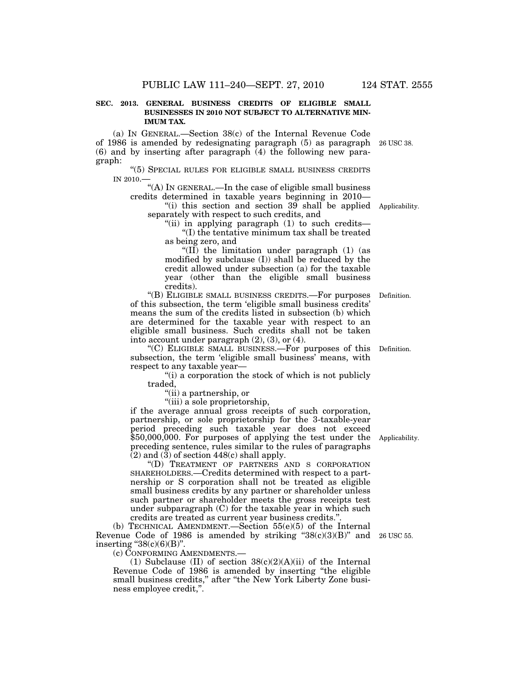### **SEC. 2013. GENERAL BUSINESS CREDITS OF ELIGIBLE SMALL BUSINESSES IN 2010 NOT SUBJECT TO ALTERNATIVE MIN-IMUM TAX.**

(a) IN GENERAL.—Section 38(c) of the Internal Revenue Code of 1986 is amended by redesignating paragraph (5) as paragraph 26 USC 38. (6) and by inserting after paragraph (4) the following new paragraph:

''(5) SPECIAL RULES FOR ELIGIBLE SMALL BUSINESS CREDITS IN 2010.—

''(A) IN GENERAL.—In the case of eligible small business credits determined in taxable years beginning in 2010—

"(i) this section and section 39 shall be applied Applicability. separately with respect to such credits, and

"(ii) in applying paragraph (1) to such credits-''(I) the tentative minimum tax shall be treated as being zero, and

" $(II)$  the limitation under paragraph  $(1)$  (as modified by subclause (I)) shall be reduced by the credit allowed under subsection (a) for the taxable year (other than the eligible small business credits).

''(B) ELIGIBLE SMALL BUSINESS CREDITS.—For purposes Definition. of this subsection, the term 'eligible small business credits' means the sum of the credits listed in subsection (b) which are determined for the taxable year with respect to an eligible small business. Such credits shall not be taken into account under paragraph (2), (3), or (4).

''(C) ELIGIBLE SMALL BUSINESS.—For purposes of this Definition. subsection, the term 'eligible small business' means, with respect to any taxable year—

"(i) a corporation the stock of which is not publicly traded,

''(ii) a partnership, or

''(iii) a sole proprietorship,

if the average annual gross receipts of such corporation, partnership, or sole proprietorship for the 3-taxable-year period preceding such taxable year does not exceed \$50,000,000. For purposes of applying the test under the preceding sentence, rules similar to the rules of paragraphs  $(2)$  and  $(3)$  of section 448(c) shall apply.

''(D) TREATMENT OF PARTNERS AND S CORPORATION SHAREHOLDERS.—Credits determined with respect to a partnership or S corporation shall not be treated as eligible small business credits by any partner or shareholder unless such partner or shareholder meets the gross receipts test under subparagraph (C) for the taxable year in which such credits are treated as current year business credits.''.

(b) TECHNICAL AMENDMENT.—Section 55(e)(5) of the Internal Revenue Code of 1986 is amended by striking " $38(c)(3)(B)$ " and 26 USC 55. inserting " $38(c)(6)(B)$ ".

(c) CONFORMING AMENDMENTS.—

(1) Subclause (II) of section  $38(c)(2)(A)(ii)$  of the Internal Revenue Code of 1986 is amended by inserting ''the eligible small business credits," after "the New York Liberty Zone business employee credit,''.

Applicability.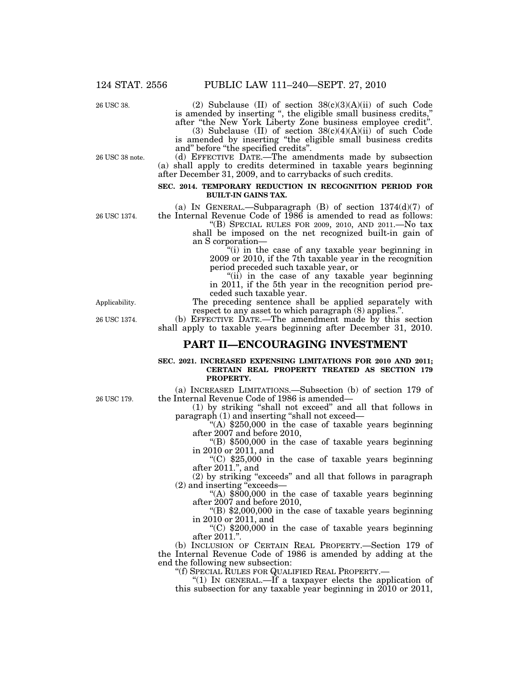26 USC 38.

26 USC 38 note.

(2) Subclause (II) of section 38(c)(3)(A)(ii) of such Code is amended by inserting '', the eligible small business credits,'' after ''the New York Liberty Zone business employee credit''.

(3) Subclause (II) of section  $38(c)(4)(A)(ii)$  of such Code is amended by inserting ''the eligible small business credits and'' before ''the specified credits''.

(d) EFFECTIVE DATE.—The amendments made by subsection (a) shall apply to credits determined in taxable years beginning after December 31, 2009, and to carrybacks of such credits.

### **SEC. 2014. TEMPORARY REDUCTION IN RECOGNITION PERIOD FOR BUILT-IN GAINS TAX.**

(a) IN GENERAL.—Subparagraph  $(B)$  of section  $1374(d)(7)$  of the Internal Revenue Code of 1986 is amended to read as follows:

''(B) SPECIAL RULES FOR 2009, 2010, AND 2011.—No tax shall be imposed on the net recognized built-in gain of an S corporation—

''(i) in the case of any taxable year beginning in 2009 or 2010, if the 7th taxable year in the recognition period preceded such taxable year, or

"(ii) in the case of any taxable year beginning in 2011, if the 5th year in the recognition period preceded such taxable year.

The preceding sentence shall be applied separately with respect to any asset to which paragraph (8) applies.''.

(b) EFFECTIVE DATE.—The amendment made by this section shall apply to taxable years beginning after December 31, 2010.

### **PART II—ENCOURAGING INVESTMENT**

### **SEC. 2021. INCREASED EXPENSING LIMITATIONS FOR 2010 AND 2011; CERTAIN REAL PROPERTY TREATED AS SECTION 179 PROPERTY.**

(a) INCREASED LIMITATIONS.—Subsection (b) of section 179 of the Internal Revenue Code of 1986 is amended—

(1) by striking ''shall not exceed'' and all that follows in paragraph (1) and inserting ''shall not exceed—

"(A)  $$250,000$  in the case of taxable years beginning after 2007 and before 2010,

''(B) \$500,000 in the case of taxable years beginning in 2010 or 2011, and

"(C)  $$25,000$  in the case of taxable years beginning after 2011.'', and

(2) by striking ''exceeds'' and all that follows in paragraph (2) and inserting ''exceeds—

"(A)  $$800,000$  in the case of taxable years beginning after 2007 and before 2010,

 $\degree$ (B) \$2,000,000 in the case of taxable years beginning in 2010 or 2011, and

"(C)  $$200,000$  in the case of taxable years beginning after 2011.''.

(b) INCLUSION OF CERTAIN REAL PROPERTY.—Section 179 of the Internal Revenue Code of 1986 is amended by adding at the end the following new subsection:

''(f) SPECIAL RULES FOR QUALIFIED REAL PROPERTY.— ''(1) IN GENERAL.—If a taxpayer elects the application of this subsection for any taxable year beginning in 2010 or 2011,

Applicability.

26 USC 1374.

26 USC 179.

26 USC 1374.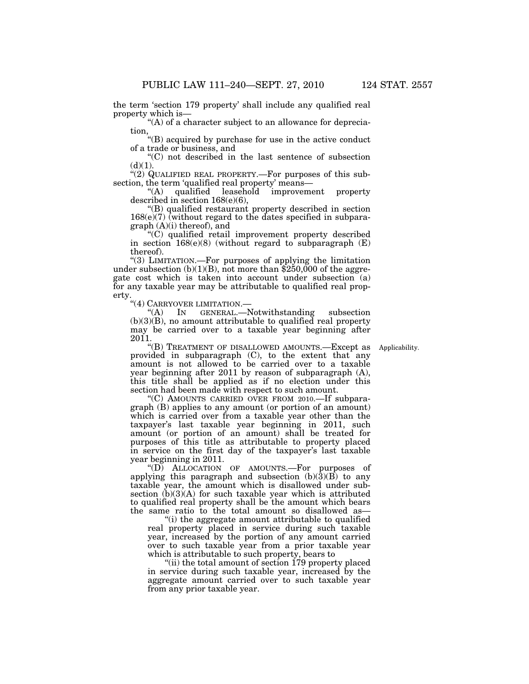the term 'section 179 property' shall include any qualified real property which is—

''(A) of a character subject to an allowance for depreciation,

''(B) acquired by purchase for use in the active conduct of a trade or business, and

''(C) not described in the last sentence of subsection  $(d)(1)$ .

" $(2)$  QUALIFIED REAL PROPERTY.—For purposes of this subsection, the term 'qualified real property' means—

''(A) qualified leasehold improvement property described in section 168(e)(6),

''(B) qualified restaurant property described in section  $168(e)(7)$  (without regard to the dates specified in subparagraph (A)(i) thereof), and

''(C) qualified retail improvement property described in section  $168(e)(8)$  (without regard to subparagraph  $(E)$ ) thereof).

''(3) LIMITATION.—For purposes of applying the limitation under subsection  $(b)(1)(B)$ , not more than \$250,000 of the aggregate cost which is taken into account under subsection (a) for any taxable year may be attributable to qualified real property.

''(4) CARRYOVER LIMITATION.—

''(A) IN GENERAL.—Notwithstanding subsection  $(b)(3)(B)$ , no amount attributable to qualified real property may be carried over to a taxable year beginning after 2011.

Applicability.

''(B) TREATMENT OF DISALLOWED AMOUNTS.—Except as provided in subparagraph (C), to the extent that any amount is not allowed to be carried over to a taxable year beginning after 2011 by reason of subparagraph (A), this title shall be applied as if no election under this section had been made with respect to such amount.

''(C) AMOUNTS CARRIED OVER FROM 2010.—If subparagraph (B) applies to any amount (or portion of an amount) which is carried over from a taxable year other than the taxpayer's last taxable year beginning in 2011, such amount (or portion of an amount) shall be treated for purposes of this title as attributable to property placed in service on the first day of the taxpayer's last taxable year beginning in 2011.

''(D) ALLOCATION OF AMOUNTS.—For purposes of applying this paragraph and subsection  $(b)(3)(\vec{B})$  to any taxable year, the amount which is disallowed under subsection  $(b)(3)(A)$  for such taxable year which is attributed to qualified real property shall be the amount which bears the same ratio to the total amount so disallowed as—

''(i) the aggregate amount attributable to qualified real property placed in service during such taxable year, increased by the portion of any amount carried over to such taxable year from a prior taxable year which is attributable to such property, bears to

''(ii) the total amount of section 179 property placed in service during such taxable year, increased by the aggregate amount carried over to such taxable year from any prior taxable year.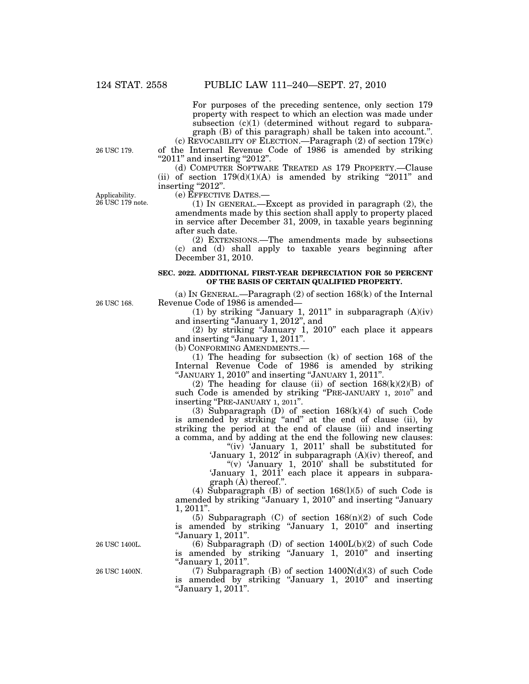For purposes of the preceding sentence, only section 179 property with respect to which an election was made under subsection  $(c)(1)$  (determined without regard to subparagraph (B) of this paragraph) shall be taken into account.''.

(c) REVOCABILITY OF ELECTION.—Paragraph (2) of section 179(c) of the Internal Revenue Code of 1986 is amended by striking "2011" and inserting "2012".

(d) COMPUTER SOFTWARE TREATED AS 179 PROPERTY.—Clause (ii) of section  $179(d)(1)(A)$  is amended by striking "2011" and inserting "2012".

Applicability.  $26$  USC  $179$  note. (e) EFFECTIVE DATES.—

(1) IN GENERAL.—Except as provided in paragraph (2), the amendments made by this section shall apply to property placed in service after December 31, 2009, in taxable years beginning after such date.

(2) EXTENSIONS.—The amendments made by subsections (c) and (d) shall apply to taxable years beginning after December 31, 2010.

### **SEC. 2022. ADDITIONAL FIRST-YEAR DEPRECIATION FOR 50 PERCENT OF THE BASIS OF CERTAIN QUALIFIED PROPERTY.**

(a) IN GENERAL.—Paragraph (2) of section 168(k) of the Internal Revenue Code of 1986 is amended—

(1) by striking "January 1, 2011" in subparagraph  $(A)(iv)$ and inserting ''January 1, 2012'', and

(2) by striking ''January 1, 2010'' each place it appears and inserting "January 1, 2011".

(b) CONFORMING AMENDMENTS.—

(1) The heading for subsection (k) of section 168 of the Internal Revenue Code of 1986 is amended by striking ''JANUARY 1, 2010'' and inserting ''JANUARY 1, 2011''.

(2) The heading for clause (ii) of section  $168(k)(2)(B)$  of such Code is amended by striking "PRE-JANUARY 1, 2010" and inserting "PRE-JANUARY 1, 2011".

(3) Subparagraph (D) of section 168(k)(4) of such Code is amended by striking "and" at the end of clause (ii), by striking the period at the end of clause (iii) and inserting a comma, and by adding at the end the following new clauses:

"(iv) 'January 1, 2011' shall be substituted for 'January 1, 2012' in subparagraph  $(A)(iv)$  thereof, and

"(v) 'January 1,  $2010$ ' shall be substituted for 'January 1, 2011' each place it appears in subparagraph (A) thereof.''.

(4) Subparagraph (B) of section  $168(1)(5)$  of such Code is amended by striking ''January 1, 2010'' and inserting ''January 1, 2011''.

(5) Subparagraph (C) of section  $168(n)(2)$  of such Code is amended by striking ''January 1, 2010'' and inserting ''January 1, 2011''.

(6) Subparagraph (D) of section  $1400L(b)(2)$  of such Code is amended by striking ''January 1, 2010'' and inserting ''January 1, 2011''.

(7) Subparagraph (B) of section 1400N(d)(3) of such Code is amended by striking ''January 1, 2010'' and inserting ''January 1, 2011''.

26 USC 1400L.

26 USC 1400N.

26 USC 179.

26 USC 168.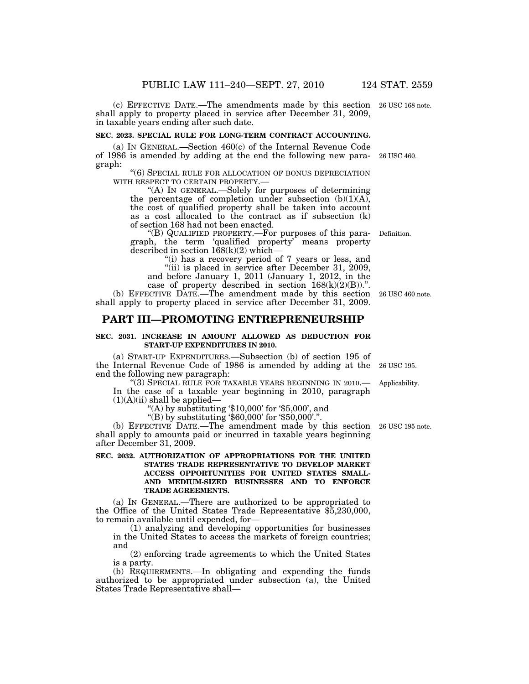(c) EFFECTIVE DATE.—The amendments made by this section 26 USC 168 note. shall apply to property placed in service after December 31, 2009, in taxable years ending after such date.

#### **SEC. 2023. SPECIAL RULE FOR LONG-TERM CONTRACT ACCOUNTING.**

(a) IN GENERAL.—Section 460(c) of the Internal Revenue Code of 1986 is amended by adding at the end the following new para-26 USC 460. graph:

''(6) SPECIAL RULE FOR ALLOCATION OF BONUS DEPRECIATION WITH RESPECT TO CERTAIN PROPERTY.—<br>"(A) IN GENERAL.—Solely for purposes of determining

the percentage of completion under subsection  $(b)(1)(A)$ , the cost of qualified property shall be taken into account as a cost allocated to the contract as if subsection (k) of section 168 had not been enacted.

''(B) QUALIFIED PROPERTY.—For purposes of this para-Definition. graph, the term 'qualified property' means property described in section  $168(k)(2)$  which—

"(i) has a recovery period of 7 years or less, and ''(ii) is placed in service after December 31, 2009,

and before January 1, 2011 (January 1, 2012, in the case of property described in section  $168(k)(2)(B)$ .".

(b) EFFECTIVE DATE.—The amendment made by this section 26 USC 460 note. shall apply to property placed in service after December 31, 2009.

### **PART III—PROMOTING ENTREPRENEURSHIP**

### **SEC. 2031. INCREASE IN AMOUNT ALLOWED AS DEDUCTION FOR START-UP EXPENDITURES IN 2010.**

(a) START-UP EXPENDITURES.—Subsection (b) of section 195 of the Internal Revenue Code of 1986 is amended by adding at the 26 USC 195. end the following new paragraph:

''(3) SPECIAL RULE FOR TAXABLE YEARS BEGINNING IN 2010.— In the case of a taxable year beginning in 2010, paragraph  $(1)(A)(ii)$  shall be applied-

"(A) by substituting  $$10,000$  for  $$5,000$ , and

"(B) by substituting  $$60,000$  for  $$50,000$ ".".

(b) EFFECTIVE DATE.—The amendment made by this section 26 USC 195 note. shall apply to amounts paid or incurred in taxable years beginning after December 31, 2009.

### **SEC. 2032. AUTHORIZATION OF APPROPRIATIONS FOR THE UNITED STATES TRADE REPRESENTATIVE TO DEVELOP MARKET ACCESS OPPORTUNITIES FOR UNITED STATES SMALL-AND MEDIUM-SIZED BUSINESSES AND TO ENFORCE TRADE AGREEMENTS.**

(a) IN GENERAL.—There are authorized to be appropriated to the Office of the United States Trade Representative \$5,230,000, to remain available until expended, for—

(1) analyzing and developing opportunities for businesses in the United States to access the markets of foreign countries; and

(2) enforcing trade agreements to which the United States is a party.

(b) REQUIREMENTS.—In obligating and expending the funds authorized to be appropriated under subsection (a), the United States Trade Representative shall—

Applicability.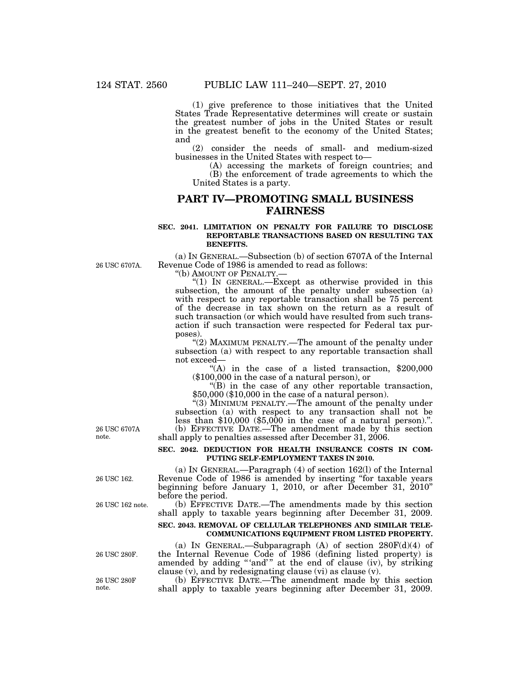(1) give preference to those initiatives that the United States Trade Representative determines will create or sustain the greatest number of jobs in the United States or result in the greatest benefit to the economy of the United States; and

(2) consider the needs of small- and medium-sized businesses in the United States with respect to—

(A) accessing the markets of foreign countries; and (B) the enforcement of trade agreements to which the United States is a party.

### **PART IV—PROMOTING SMALL BUSINESS FAIRNESS**

### **SEC. 2041. LIMITATION ON PENALTY FOR FAILURE TO DISCLOSE REPORTABLE TRANSACTIONS BASED ON RESULTING TAX BENEFITS.**

(a) IN GENERAL.—Subsection (b) of section 6707A of the Internal Revenue Code of 1986 is amended to read as follows:

''(b) AMOUNT OF PENALTY.—

''(1) IN GENERAL.—Except as otherwise provided in this subsection, the amount of the penalty under subsection (a) with respect to any reportable transaction shall be 75 percent of the decrease in tax shown on the return as a result of such transaction (or which would have resulted from such transaction if such transaction were respected for Federal tax purposes).

"(2) MAXIMUM PENALTY.—The amount of the penalty under subsection (a) with respect to any reportable transaction shall not exceed—

"(A) in the case of a listed transaction,  $$200,000$ (\$100,000 in the case of a natural person), or

''(B) in the case of any other reportable transaction, \$50,000 (\$10,000 in the case of a natural person).

''(3) MINIMUM PENALTY.—The amount of the penalty under subsection (a) with respect to any transaction shall not be less than  $$10,000$   $$5,000$  in the case of a natural person).". (b) EFFECTIVE DATE.—The amendment made by this section

shall apply to penalties assessed after December 31, 2006.

### **SEC. 2042. DEDUCTION FOR HEALTH INSURANCE COSTS IN COM-PUTING SELF-EMPLOYMENT TAXES IN 2010.**

(a) IN GENERAL.—Paragraph (4) of section 162(l) of the Internal Revenue Code of 1986 is amended by inserting ''for taxable years beginning before January 1, 2010, or after December 31, 2010'' before the period.

(b) EFFECTIVE DATE.—The amendments made by this section shall apply to taxable years beginning after December 31, 2009.

### **SEC. 2043. REMOVAL OF CELLULAR TELEPHONES AND SIMILAR TELE-COMMUNICATIONS EQUIPMENT FROM LISTED PROPERTY.**

(a) IN GENERAL.—Subparagraph (A) of section 280F(d)(4) of the Internal Revenue Code of 1986 (defining listed property) is amended by adding "'and'" at the end of clause (iv), by striking clause (v), and by redesignating clause (vi) as clause (v).

(b) EFFECTIVE DATE.—The amendment made by this section shall apply to taxable years beginning after December 31, 2009.

26 USC 6707A note.

26 USC 6707A.

26 USC 162.

26 USC 162 note.

26 USC 280F.

26 USC 280F note.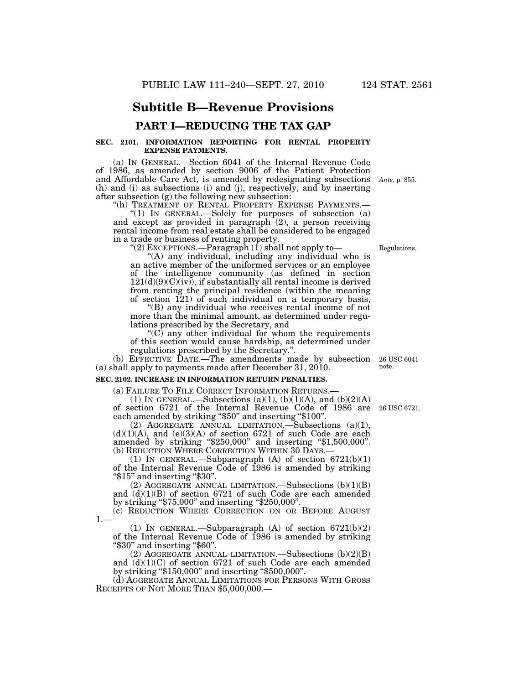## **Subtitle B—Revenue Provisions**

### **PART I—REDUCING THE TAX GAP**

### **SEC. 2101. INFORMATION REPORTING FOR RENTAL PROPERTY EXPENSE PAYMENTS.**

(a) IN GENERAL.—Section 6041 of the Internal Revenue Code of 1986, as amended by section 9006 of the Patient Protection and Affordable Care Act, is amended by redesignating subsections *Ante*, p. 855. (h) and (i) as subsections (i) and (j), respectively, and by inserting after subsection (g) the following new subsection:

''(h) TREATMENT OF RENTAL PROPERTY EXPENSE PAYMENTS.— ''(1) IN GENERAL.—Solely for purposes of subsection (a)

and except as provided in paragraph (2), a person receiving rental income from real estate shall be considered to be engaged in a trade or business of renting property.

"(2) EXCEPTIONS.—Paragraph (1) shall not apply to—

"(A) any individual, including any individual who is an active member of the uniformed services or an employee of the intelligence community (as defined in section  $121(d)(9)(C)(iv)$ , if substantially all rental income is derived from renting the principal residence (within the meaning of section  $121$ ) of such individual on a temporary basis,

''(B) any individual who receives rental income of not more than the minimal amount, as determined under regulations prescribed by the Secretary, and

 $C$ ) any other individual for whom the requirements of this section would cause hardship, as determined under regulations prescribed by the Secretary.''.

(b) EFFECTIVE DATE.—The amendments made by subsection (a) shall apply to payments made after December 31, 2010.

### **SEC. 2102. INCREASE IN INFORMATION RETURN PENALTIES.**

(a) FAILURE TO FILE CORRECT INFORMATION RETURNS.—<br>(1) IN GENERAL.—Subsections (a)(1), (b)(1)(A), and (b)(2)(A) of section 6721 of the Internal Revenue Code of 1986 are 26 USC 6721. each amended by striking "\$50" and inserting "\$100".

(2) AGGREGATE ANNUAL LIMITATION.—Subsections (a)(1),  $(d)(1)(A)$ , and  $(e)(3)(A)$  of section 6721 of such Code are each amended by striking "\$250,000" and inserting "\$1,500,000".

(b) REDUCTION WHERE CORRECTION WITHIN 30 DAYS.—<br>(1) IN GENERAL.—Subparagraph (A) of section 6721(b)(1) of the Internal Revenue Code of 1986 is amended by striking " $$15"$  and inserting " $$30"$ .

(2) AGGREGATE ANNUAL LIMITATION.—Subsections (b)(1)(B) and (d)(1)(B) of section 6721 of such Code are each amended by striking ''\$75,000'' and inserting ''\$250,000''.

(c) REDUCTION WHERE CORRECTION ON OR BEFORE AUGUST  $1 -$ 

(1) IN GENERAL.—Subparagraph  $(A)$  of section  $6721(b)(2)$ of the Internal Revenue Code of 1986 is amended by striking ''\$30'' and inserting ''\$60''.

(2) AGGREGATE ANNUAL LIMITATION.—Subsections (b)(2)(B) and  $(d)(1)(C)$  of section 6721 of such Code are each amended by striking ''\$150,000'' and inserting ''\$500,000''.

(d) AGGREGATE ANNUAL LIMITATIONS FOR PERSONS WITH GROSS RECEIPTS OF NOT MORE THAN \$5,000,000.—

26 USC 6041 note.

Regulations.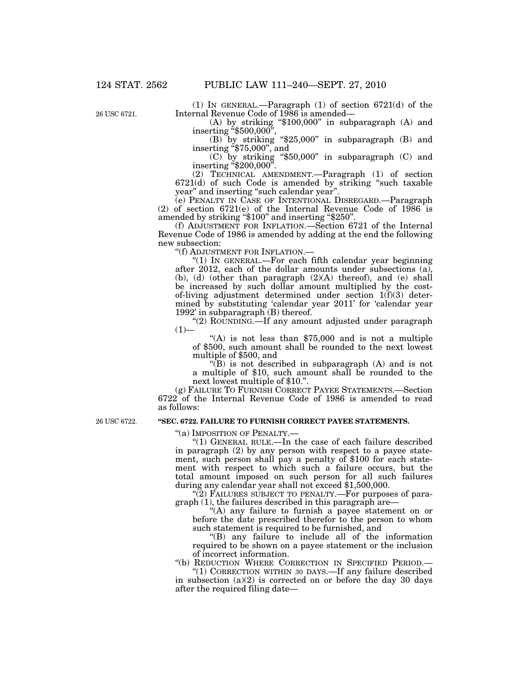26 USC 6721.

(1) IN GENERAL.—Paragraph (1) of section 6721(d) of the Internal Revenue Code of 1986 is amended—

(A) by striking " $$100,000"$  in subparagraph (A) and inserting " $$500,000"$ ,

 $(B)$  by striking "\$25,000" in subparagraph  $(B)$  and inserting " $$75,000$ ", and

(C) by striking ''\$50,000'' in subparagraph (C) and inserting "\$200,000".

(2) TECHNICAL AMENDMENT.—Paragraph (1) of section 6721(d) of such Code is amended by striking ''such taxable year'' and inserting ''such calendar year''.

(e) PENALTY IN CASE OF INTENTIONAL DISREGARD.—Paragraph (2) of section  $6721(e)$  of the Internal Revenue Code of  $1986$  is amended by striking ''\$100'' and inserting ''\$250''.

(f) ADJUSTMENT FOR INFLATION.—Section 6721 of the Internal Revenue Code of 1986 is amended by adding at the end the following new subsection:

''(f) ADJUSTMENT FOR INFLATION.—

''(1) IN GENERAL.—For each fifth calendar year beginning after 2012, each of the dollar amounts under subsections (a), (b), (d) (other than paragraph (2)(A) thereof), and (e) shall be increased by such dollar amount multiplied by the costof-living adjustment determined under section 1(f)(3) determined by substituting 'calendar year 2011' for 'calendar year 1992' in subparagraph  $(B)$  thereof.

"(2) ROUNDING.—If any amount adjusted under paragraph  $(1)$ —

"(A) is not less than  $$75,000$  and is not a multiple of \$500, such amount shall be rounded to the next lowest multiple of \$500, and

''(B) is not described in subparagraph (A) and is not a multiple of \$10, such amount shall be rounded to the next lowest multiple of \$10.''.

(g) FAILURE TO FURNISH CORRECT PAYEE STATEMENTS.—Section 6722 of the Internal Revenue Code of 1986 is amended to read as follows:

26 USC 6722.

### **''SEC. 6722. FAILURE TO FURNISH CORRECT PAYEE STATEMENTS.**

''(a) IMPOSITION OF PENALTY.—

''(1) GENERAL RULE.—In the case of each failure described in paragraph (2) by any person with respect to a payee statement, such person shall pay a penalty of \$100 for each statement with respect to which such a failure occurs, but the total amount imposed on such person for all such failures during any calendar year shall not exceed \$1,500,000.

"(2) FAILURES SUBJECT TO PENALTY.—For purposes of paragraph (1), the failures described in this paragraph are—

''(A) any failure to furnish a payee statement on or before the date prescribed therefor to the person to whom such statement is required to be furnished, and

''(B) any failure to include all of the information required to be shown on a payee statement or the inclusion of incorrect information.

''(b) REDUCTION WHERE CORRECTION IN SPECIFIED PERIOD.—

"(1) CORRECTION WITHIN 30 DAYS.—If any failure described in subsection (a)(2) is corrected on or before the day 30 days after the required filing date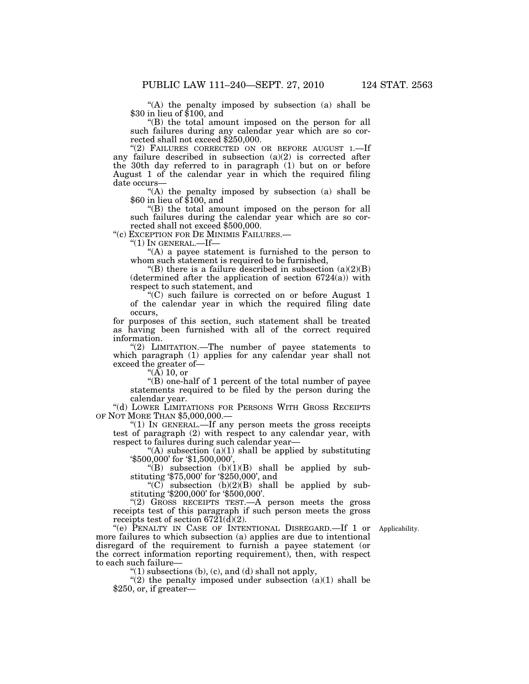''(A) the penalty imposed by subsection (a) shall be \$30 in lieu of \$100, and

''(B) the total amount imposed on the person for all such failures during any calendar year which are so corrected shall not exceed \$250,000.

''(2) FAILURES CORRECTED ON OR BEFORE AUGUST 1.—If any failure described in subsection  $(a)(2)$  is corrected after the 30th day referred to in paragraph (1) but on or before August 1 of the calendar year in which the required filing date occurs—

 $\mbox{``(A)}$  the penalty imposed by subsection (a) shall be<br>  $\$60$  in lieu of  $\$100,$  and

''(B) the total amount imposed on the person for all such failures during the calendar year which are so corrected shall not exceed \$500,000.

''(c) EXCEPTION FOR DE MINIMIS FAILURES.—

 $"(1)$  In general.—If—

"(A) a payee statement is furnished to the person to whom such statement is required to be furnished,

"(B) there is a failure described in subsection  $(a)(2)(B)$ (determined after the application of section  $6724(a)$ ) with respect to such statement, and

''(C) such failure is corrected on or before August 1 of the calendar year in which the required filing date occurs,

for purposes of this section, such statement shall be treated as having been furnished with all of the correct required information.

"(2) LIMITATION.—The number of payee statements to which paragraph (1) applies for any calendar year shall not exceed the greater of—

" $(\breve{\rm A})$  10, or

''(B) one-half of 1 percent of the total number of payee statements required to be filed by the person during the calendar year.

''(d) LOWER LIMITATIONS FOR PERSONS WITH GROSS RECEIPTS OF NOT MORE THAN \$5,000,000.—

"(1) In GENERAL.—If any person meets the gross receipts test of paragraph (2) with respect to any calendar year, with respect to failures during such calendar year—

"(A) subsection  $(a)(1)$  shall be applied by substituting '\$500,000' for '\$1,500,000',

"(B) subsection  $(b)(1)(B)$  shall be applied by substituting '\$75,000' for '\$250,000', and

" $(C)$  subsection  $(b)(2)(B)$  shall be applied by substituting '\$200,000' for '\$500,000'.

"(2) GROSS RECEIPTS TEST.—A person meets the gross receipts test of this paragraph if such person meets the gross receipts test of section  $6721(d)(2)$ .

Applicability.

''(e) PENALTY IN CASE OF INTENTIONAL DISREGARD.—If 1 or more failures to which subsection (a) applies are due to intentional disregard of the requirement to furnish a payee statement (or the correct information reporting requirement), then, with respect to each such failure—

" $(1)$  subsections  $(b)$ ,  $(c)$ , and  $(d)$  shall not apply,

"(2) the penalty imposed under subsection  $(a)(1)$  shall be \$250, or, if greater—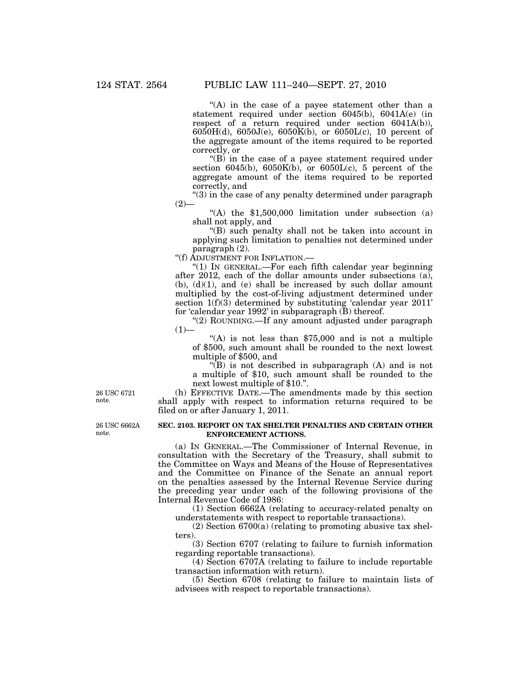"(A) in the case of a payee statement other than a statement required under section 6045(b), 6041A(e) (in respect of a return required under section 6041A(b)), 6050H(d), 6050J(e), 6050K(b), or 6050L(c), 10 percent of the aggregate amount of the items required to be reported correctly, or

 $'(B)$  in the case of a payee statement required under section 6045(b), 6050K(b), or 6050L(c), 5 percent of the aggregate amount of the items required to be reported correctly, and

''(3) in the case of any penalty determined under paragraph  $(2)$ —

"(A) the  $$1,500,000$  limitation under subsection (a) shall not apply, and

''(B) such penalty shall not be taken into account in applying such limitation to penalties not determined under paragraph (2).

''(f) ADJUSTMENT FOR INFLATION.—

" $(1)$  In GENERAL.—For each fifth calendar year beginning after 2012, each of the dollar amounts under subsections (a),  $(b)$ ,  $(d)(1)$ , and  $(e)$  shall be increased by such dollar amount multiplied by the cost-of-living adjustment determined under section 1(f)(3) determined by substituting 'calendar year 2011' for 'calendar year 1992' in subparagraph (B) thereof.

"(2) ROUNDING.—If any amount adjusted under paragraph  $(1)$ —

"(A) is not less than  $$75,000$  and is not a multiple of \$500, such amount shall be rounded to the next lowest multiple of \$500, and

 $\sqrt{\text{B}}$  is not described in subparagraph (A) and is not a multiple of \$10, such amount shall be rounded to the next lowest multiple of \$10.''.

(h) EFFECTIVE DATE.—The amendments made by this section shall apply with respect to information returns required to be filed on or after January 1, 2011.

26 USC 6721 note.

26 USC 6662A note.

### **SEC. 2103. REPORT ON TAX SHELTER PENALTIES AND CERTAIN OTHER ENFORCEMENT ACTIONS.**

(a) IN GENERAL.—The Commissioner of Internal Revenue, in consultation with the Secretary of the Treasury, shall submit to the Committee on Ways and Means of the House of Representatives and the Committee on Finance of the Senate an annual report on the penalties assessed by the Internal Revenue Service during the preceding year under each of the following provisions of the Internal Revenue Code of 1986:

(1) Section 6662A (relating to accuracy-related penalty on understatements with respect to reportable transactions).

(2) Section 6700(a) (relating to promoting abusive tax shelters).

(3) Section 6707 (relating to failure to furnish information regarding reportable transactions).

(4) Section 6707A (relating to failure to include reportable transaction information with return).

(5) Section 6708 (relating to failure to maintain lists of advisees with respect to reportable transactions).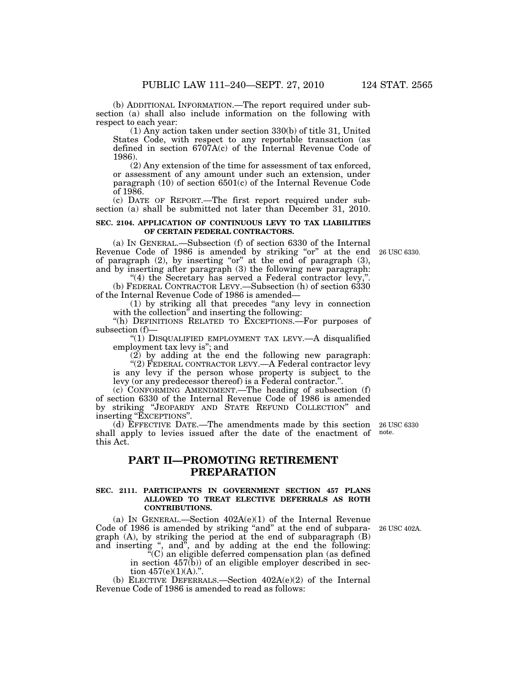(b) ADDITIONAL INFORMATION.—The report required under subsection (a) shall also include information on the following with respect to each year:

(1) Any action taken under section 330(b) of title 31, United States Code, with respect to any reportable transaction (as defined in section 6707A(c) of the Internal Revenue Code of 1986).

(2) Any extension of the time for assessment of tax enforced, or assessment of any amount under such an extension, under paragraph (10) of section 6501(c) of the Internal Revenue Code of 1986.

(c) DATE OF REPORT.—The first report required under subsection (a) shall be submitted not later than December 31, 2010.

### **SEC. 2104. APPLICATION OF CONTINUOUS LEVY TO TAX LIABILITIES OF CERTAIN FEDERAL CONTRACTORS.**

(a) IN GENERAL.—Subsection (f) of section 6330 of the Internal Revenue Code of 1986 is amended by striking "or" at the end 26 USC 6330. of paragraph  $(2)$ , by inserting "or" at the end of paragraph  $(3)$ , and by inserting after paragraph (3) the following new paragraph:

"(4) the Secretary has served a Federal contractor levy, (b) FEDERAL CONTRACTOR LEVY.—Subsection (h) of section 6330 of the Internal Revenue Code of 1986 is amended—

(1) by striking all that precedes ''any levy in connection with the collection<sup>"</sup> and inserting the following:

"(h) DEFINITIONS RELATED TO EXCEPTIONS.—For purposes of subsection (f)—

"(1) DISQUALIFIED EMPLOYMENT TAX LEVY.—A disqualified employment tax levy is''; and

(2) by adding at the end the following new paragraph:

 $\cdot$ (2) FEDERAL CONTRACTOR LEVY.—A Federal contractor levy is any levy if the person whose property is subject to the levy (or any predecessor thereof) is a Federal contractor.''.

(c) CONFORMING AMENDMENT.—The heading of subsection (f) of section 6330 of the Internal Revenue Code of 1986 is amended by striking ''JEOPARDY AND STATE REFUND COLLECTION'' and inserting "EXCEPTIONS".

(d) EFFECTIVE DATE.—The amendments made by this section shall apply to levies issued after the date of the enactment of this Act.

## **PART II—PROMOTING RETIREMENT PREPARATION**

### **SEC. 2111. PARTICIPANTS IN GOVERNMENT SECTION 457 PLANS ALLOWED TO TREAT ELECTIVE DEFERRALS AS ROTH CONTRIBUTIONS.**

(a) IN GENERAL.—Section  $402A(e)(1)$  of the Internal Revenue Code of 1986 is amended by striking "and" at the end of subparagraph (A), by striking the period at the end of subparagraph (B) and inserting ", and", and by adding at the end the following:

 $\rm ^{\ddot{o}}(C)$  an eligible deferred compensation plan (as defined in section  $457(b)$  of an eligible employer described in section  $457(e)(1)(A)$ .".

(b) ELECTIVE DEFERRALS.—Section 402A(e)(2) of the Internal Revenue Code of 1986 is amended to read as follows:

26 USC 402A.

26 USC 6330 note.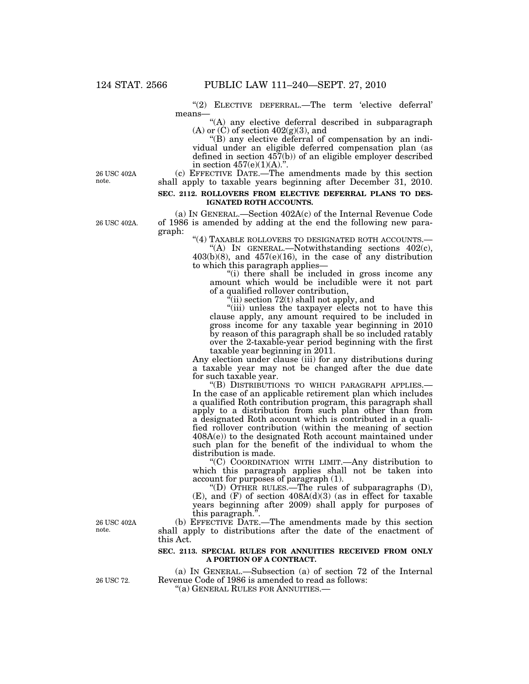"(2) ELECTIVE DEFERRAL.—The term 'elective deferral' means—

"(A) any elective deferral described in subparagraph (A) or (C) of section  $402(g)(3)$ , and

''(B) any elective deferral of compensation by an individual under an eligible deferred compensation plan (as defined in section 457(b)) of an eligible employer described in section  $457(e)(1)(A)$ .".

26 USC 402A note.

(c) EFFECTIVE DATE.—The amendments made by this section shall apply to taxable years beginning after December 31, 2010.

### **SEC. 2112. ROLLOVERS FROM ELECTIVE DEFERRAL PLANS TO DES-IGNATED ROTH ACCOUNTS.**

(a) IN GENERAL.—Section 402A(c) of the Internal Revenue Code of 1986 is amended by adding at the end the following new paragraph:

''(4) TAXABLE ROLLOVERS TO DESIGNATED ROTH ACCOUNTS.— ''(A) IN GENERAL.—Notwithstanding sections 402(c),

403(b)(8), and 457(e)(16), in the case of any distribution to which this paragraph applies—

''(i) there shall be included in gross income any amount which would be includible were it not part of a qualified rollover contribution,

 $\hat{f}$ (ii) section 72(t) shall not apply, and

"(iii) unless the taxpayer elects not to have this clause apply, any amount required to be included in gross income for any taxable year beginning in 2010 by reason of this paragraph shall be so included ratably over the 2-taxable-year period beginning with the first taxable year beginning in 2011.

Any election under clause (iii) for any distributions during a taxable year may not be changed after the due date for such taxable year.

''(B) DISTRIBUTIONS TO WHICH PARAGRAPH APPLIES.— In the case of an applicable retirement plan which includes a qualified Roth contribution program, this paragraph shall apply to a distribution from such plan other than from a designated Roth account which is contributed in a qualified rollover contribution (within the meaning of section 408A(e)) to the designated Roth account maintained under such plan for the benefit of the individual to whom the distribution is made.

''(C) COORDINATION WITH LIMIT.—Any distribution to which this paragraph applies shall not be taken into account for purposes of paragraph (1).

''(D) OTHER RULES.—The rules of subparagraphs (D),  $(E)$ , and  $(F)$  of section  $408A(d)(3)$  (as in effect for taxable years beginning after 2009) shall apply for purposes of this paragraph."

(b) EFFECTIVE DATE.—The amendments made by this section shall apply to distributions after the date of the enactment of this Act.

### **SEC. 2113. SPECIAL RULES FOR ANNUITIES RECEIVED FROM ONLY A PORTION OF A CONTRACT.**

(a) IN GENERAL.—Subsection (a) of section 72 of the Internal Revenue Code of 1986 is amended to read as follows:

''(a) GENERAL RULES FOR ANNUITIES.—

26 USC 402A note.

26 USC 72.

26 USC 402A.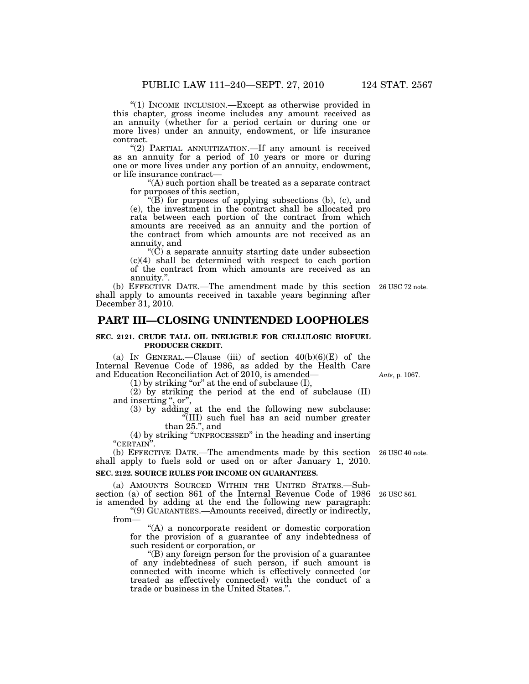"(1) INCOME INCLUSION.—Except as otherwise provided in this chapter, gross income includes any amount received as an annuity (whether for a period certain or during one or more lives) under an annuity, endowment, or life insurance contract.

''(2) PARTIAL ANNUITIZATION.—If any amount is received as an annuity for a period of 10 years or more or during one or more lives under any portion of an annuity, endowment, or life insurance contract—

''(A) such portion shall be treated as a separate contract for purposes of this section,

" $(B)$  for purposes of applying subsections (b), (c), and (e), the investment in the contract shall be allocated pro rata between each portion of the contract from which amounts are received as an annuity and the portion of the contract from which amounts are not received as an annuity, and

 $\mathrm{``}(\check{C})$  a separate annuity starting date under subsection (c)(4) shall be determined with respect to each portion of the contract from which amounts are received as an annuity.''.

(b) EFFECTIVE DATE.—The amendment made by this section 26 USC 72 note. shall apply to amounts received in taxable years beginning after December 31, 2010.

### **PART III—CLOSING UNINTENDED LOOPHOLES**

### **SEC. 2121. CRUDE TALL OIL INELIGIBLE FOR CELLULOSIC BIOFUEL PRODUCER CREDIT.**

(a) IN GENERAL.—Clause (iii) of section  $40(b)(6)(E)$  of the Internal Revenue Code of 1986, as added by the Health Care and Education Reconciliation Act of 2010, is amended—

(1) by striking "or" at the end of subclause  $(I)$ ,

(2) by striking the period at the end of subclause (II) and inserting ", or",

(3) by adding at the end the following new subclause: ''(III) such fuel has an acid number greater than 25.'', and

(4) by striking ''UNPROCESSED'' in the heading and inserting ''CERTAIN''.

(b) EFFECTIVE DATE.—The amendments made by this section 26 USC 40 note. shall apply to fuels sold or used on or after January 1, 2010.

### **SEC. 2122. SOURCE RULES FOR INCOME ON GUARANTEES.**

(a) AMOUNTS SOURCED WITHIN THE UNITED STATES.—Subsection (a) of section 861 of the Internal Revenue Code of 1986 is amended by adding at the end the following new paragraph:

''(9) GUARANTEES.—Amounts received, directly or indirectly, from—

"(A) a noncorporate resident or domestic corporation for the provision of a guarantee of any indebtedness of such resident or corporation, or

''(B) any foreign person for the provision of a guarantee of any indebtedness of such person, if such amount is connected with income which is effectively connected (or treated as effectively connected) with the conduct of a trade or business in the United States.''.

*Ante*, p. 1067.

26 USC 861.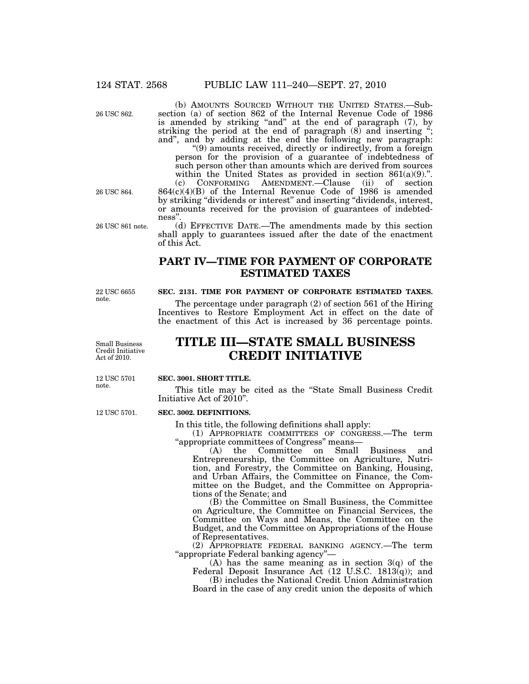26 USC 862.

(b) AMOUNTS SOURCED WITHOUT THE UNITED STATES.—Subsection (a) of section 862 of the Internal Revenue Code of 1986 is amended by striking "and" at the end of paragraph (7), by striking the period at the end of paragraph  $(8)$  and inserting  $\ddot{\cdot}$ ; and'', and by adding at the end the following new paragraph:

''(9) amounts received, directly or indirectly, from a foreign person for the provision of a guarantee of indebtedness of such person other than amounts which are derived from sources within the United States as provided in section  $861(a)(9)$ .". (c) CONFORMING AMENDMENT.—Clause (ii) of section

864(c)(4)(B) of the Internal Revenue Code of 1986 is amended by striking "dividends or interest" and inserting "dividends, interest, or amounts received for the provision of guarantees of indebtedness''.

(d) EFFECTIVE DATE.—The amendments made by this section shall apply to guarantees issued after the date of the enactment of this Act.

## **PART IV—TIME FOR PAYMENT OF CORPORATE ESTIMATED TAXES**

22 USC 6655 note.

26 USC 861 note.

26 USC 864.

### **SEC. 2131. TIME FOR PAYMENT OF CORPORATE ESTIMATED TAXES.**

The percentage under paragraph (2) of section 561 of the Hiring Incentives to Restore Employment Act in effect on the date of the enactment of this Act is increased by 36 percentage points.

Small Business Credit Initiative Act of 2010.

# **TITLE III—STATE SMALL BUSINESS CREDIT INITIATIVE**

### **SEC. 3001. SHORT TITLE.**

This title may be cited as the ''State Small Business Credit Initiative Act of 2010''.

### **SEC. 3002. DEFINITIONS.**

In this title, the following definitions shall apply:

(1) APPROPRIATE COMMITTEES OF CONGRESS.—The term ''appropriate committees of Congress'' means—

(A) the Committee on Small Business and Entrepreneurship, the Committee on Agriculture, Nutrition, and Forestry, the Committee on Banking, Housing, and Urban Affairs, the Committee on Finance, the Committee on the Budget, and the Committee on Appropriations of the Senate; and

(B) the Committee on Small Business, the Committee on Agriculture, the Committee on Financial Services, the Committee on Ways and Means, the Committee on the Budget, and the Committee on Appropriations of the House of Representatives.

(2) APPROPRIATE FEDERAL BANKING AGENCY.—The term ''appropriate Federal banking agency''—

(A) has the same meaning as in section 3(q) of the Federal Deposit Insurance Act  $(12 \text{ U.S.C. } 1813(q))$ ; and

(B) includes the National Credit Union Administration Board in the case of any credit union the deposits of which

12 USC 5701

12 USC 5701.

note.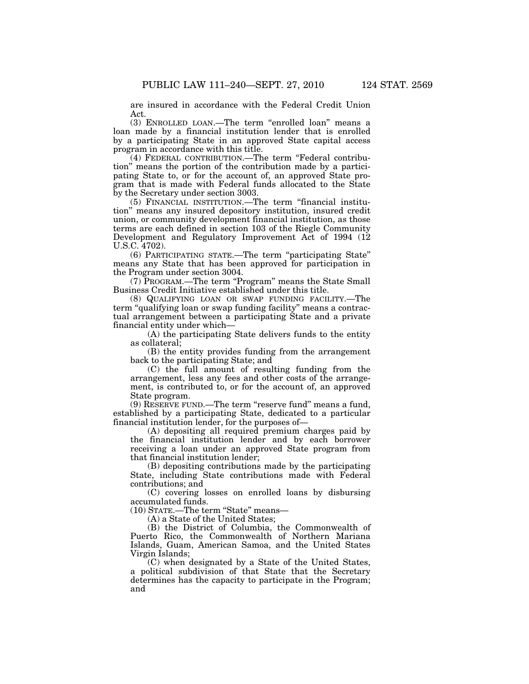are insured in accordance with the Federal Credit Union Act.

(3) ENROLLED LOAN.—The term ''enrolled loan'' means a loan made by a financial institution lender that is enrolled by a participating State in an approved State capital access program in accordance with this title.

(4) FEDERAL CONTRIBUTION.—The term ''Federal contribution'' means the portion of the contribution made by a participating State to, or for the account of, an approved State program that is made with Federal funds allocated to the State by the Secretary under section 3003.

(5) FINANCIAL INSTITUTION.—The term ''financial institution'' means any insured depository institution, insured credit union, or community development financial institution, as those terms are each defined in section 103 of the Riegle Community Development and Regulatory Improvement Act of 1994 (12 U.S.C. 4702).

(6) PARTICIPATING STATE.—The term ''participating State'' means any State that has been approved for participation in the Program under section 3004.

(7) PROGRAM.—The term "Program" means the State Small Business Credit Initiative established under this title.

(8) QUALIFYING LOAN OR SWAP FUNDING FACILITY.—The term ''qualifying loan or swap funding facility'' means a contractual arrangement between a participating State and a private financial entity under which—

(A) the participating State delivers funds to the entity as collateral;

(B) the entity provides funding from the arrangement back to the participating State; and

(C) the full amount of resulting funding from the arrangement, less any fees and other costs of the arrangement, is contributed to, or for the account of, an approved State program.

(9) RESERVE FUND.—The term ''reserve fund'' means a fund, established by a participating State, dedicated to a particular financial institution lender, for the purposes of—

(A) depositing all required premium charges paid by the financial institution lender and by each borrower receiving a loan under an approved State program from that financial institution lender;

(B) depositing contributions made by the participating State, including State contributions made with Federal contributions; and

(C) covering losses on enrolled loans by disbursing accumulated funds.

(10) STATE.-The term "State" means-

(A) a State of the United States;

(B) the District of Columbia, the Commonwealth of Puerto Rico, the Commonwealth of Northern Mariana Islands, Guam, American Samoa, and the United States Virgin Islands;

(C) when designated by a State of the United States, a political subdivision of that State that the Secretary determines has the capacity to participate in the Program; and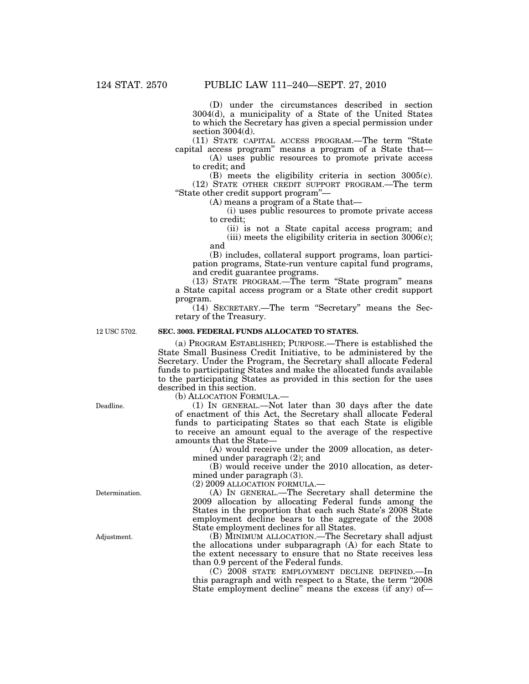(D) under the circumstances described in section 3004(d), a municipality of a State of the United States to which the Secretary has given a special permission under section  $3004(d)$ .

(11) STATE CAPITAL ACCESS PROGRAM.—The term ''State capital access program'' means a program of a State that—

(A) uses public resources to promote private access to credit; and

(B) meets the eligibility criteria in section 3005(c). (12) STATE OTHER CREDIT SUPPORT PROGRAM.—The term ''State other credit support program''—

(A) means a program of a State that—

(i) uses public resources to promote private access to credit;

(ii) is not a State capital access program; and (iii) meets the eligibility criteria in section 3006(c); and

(B) includes, collateral support programs, loan participation programs, State-run venture capital fund programs, and credit guarantee programs.

(13) STATE PROGRAM.—The term ''State program'' means a State capital access program or a State other credit support program.

(14) SECRETARY.—The term ''Secretary'' means the Secretary of the Treasury.

12 USC 5702.

### **SEC. 3003. FEDERAL FUNDS ALLOCATED TO STATES.**

(a) PROGRAM ESTABLISHED; PURPOSE.—There is established the State Small Business Credit Initiative, to be administered by the Secretary. Under the Program, the Secretary shall allocate Federal funds to participating States and make the allocated funds available to the participating States as provided in this section for the uses described in this section.

(b) ALLOCATION FORMULA.—

(1) IN GENERAL.—Not later than 30 days after the date of enactment of this Act, the Secretary shall allocate Federal funds to participating States so that each State is eligible to receive an amount equal to the average of the respective amounts that the State—

(A) would receive under the 2009 allocation, as determined under paragraph (2); and

(B) would receive under the 2010 allocation, as determined under paragraph (3).

(2) 2009 ALLOCATION FORMULA.—

(A) IN GENERAL.—The Secretary shall determine the 2009 allocation by allocating Federal funds among the States in the proportion that each such State's 2008 State employment decline bears to the aggregate of the 2008 State employment declines for all States.

(B) MINIMUM ALLOCATION.—The Secretary shall adjust the allocations under subparagraph (A) for each State to the extent necessary to ensure that no State receives less than 0.9 percent of the Federal funds.

(C) 2008 STATE EMPLOYMENT DECLINE DEFINED.—In this paragraph and with respect to a State, the term "2008 State employment decline'' means the excess (if any) of—

Deadline.

Determination.

Adjustment.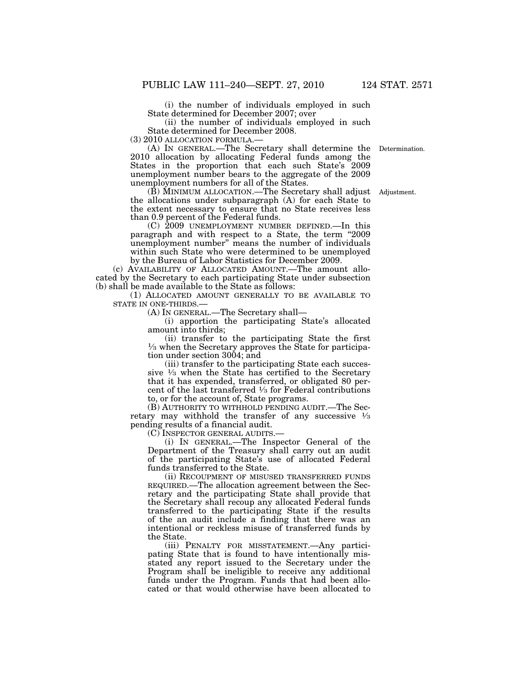(i) the number of individuals employed in such State determined for December 2007; over

(ii) the number of individuals employed in such State determined for December 2008.<br>(3) 2010 ALLOCATION FORMULA.—

(3) 2010 ALLOCATION FORMULA.— (A) IN GENERAL.—The Secretary shall determine the Determination. 2010 allocation by allocating Federal funds among the States in the proportion that each such State's 2009 unemployment number bears to the aggregate of the 2009 unemployment numbers for all of the States.

(B) MINIMUM ALLOCATION.—The Secretary shall adjust the allocations under subparagraph (A) for each State to the extent necessary to ensure that no State receives less than 0.9 percent of the Federal funds.

(C) 2009 UNEMPLOYMENT NUMBER DEFINED.—In this paragraph and with respect to a State, the term "2009" unemployment number'' means the number of individuals within such State who were determined to be unemployed by the Bureau of Labor Statistics for December 2009.

(c) AVAILABILITY OF ALLOCATED AMOUNT.—The amount allocated by the Secretary to each participating State under subsection (b) shall be made available to the State as follows:

(1) ALLOCATED AMOUNT GENERALLY TO BE AVAILABLE TO STATE IN ONE-THIRDS.—

(A) IN GENERAL.—The Secretary shall—

(i) apportion the participating State's allocated amount into thirds;

(ii) transfer to the participating State the first 1⁄3 when the Secretary approves the State for participation under section 3004; and

(iii) transfer to the participating State each successive  $\frac{1}{3}$  when the State has certified to the Secretary that it has expended, transferred, or obligated 80 percent of the last transferred  $\frac{1}{3}$  for Federal contributions to, or for the account of, State programs.

(B) AUTHORITY TO WITHHOLD PENDING AUDIT.—The Secretary may withhold the transfer of any successive  $\frac{1}{3}$ pending results of a financial audit.

(C) INSPECTOR GENERAL AUDITS.—

(i) IN GENERAL.—The Inspector General of the Department of the Treasury shall carry out an audit of the participating State's use of allocated Federal funds transferred to the State.

(ii) RECOUPMENT OF MISUSED TRANSFERRED FUNDS REQUIRED.—The allocation agreement between the Secretary and the participating State shall provide that the Secretary shall recoup any allocated Federal funds transferred to the participating State if the results of the an audit include a finding that there was an intentional or reckless misuse of transferred funds by the State.

(iii) PENALTY FOR MISSTATEMENT.—Any participating State that is found to have intentionally misstated any report issued to the Secretary under the Program shall be ineligible to receive any additional funds under the Program. Funds that had been allocated or that would otherwise have been allocated to

Adjustment.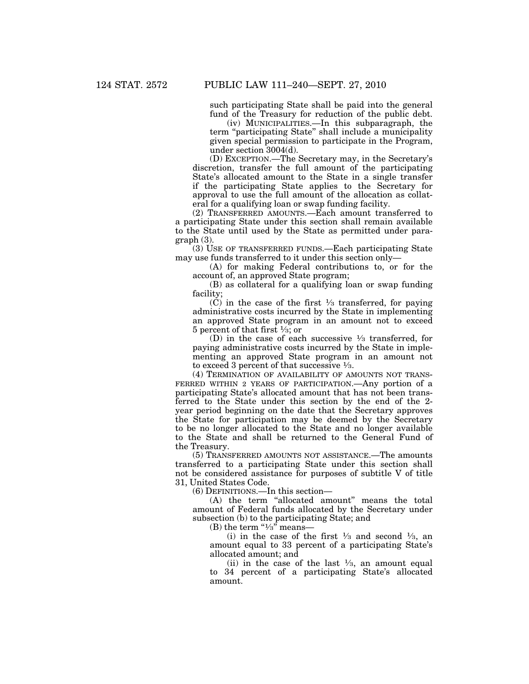such participating State shall be paid into the general fund of the Treasury for reduction of the public debt.

(iv) MUNICIPALITIES.—In this subparagraph, the term ''participating State'' shall include a municipality given special permission to participate in the Program, under section 3004(d).

(D) EXCEPTION.—The Secretary may, in the Secretary's discretion, transfer the full amount of the participating State's allocated amount to the State in a single transfer if the participating State applies to the Secretary for approval to use the full amount of the allocation as collateral for a qualifying loan or swap funding facility.

(2) TRANSFERRED AMOUNTS.—Each amount transferred to a participating State under this section shall remain available to the State until used by the State as permitted under paragraph (3).

(3) USE OF TRANSFERRED FUNDS.—Each participating State may use funds transferred to it under this section only—

(A) for making Federal contributions to, or for the account of, an approved State program;

(B) as collateral for a qualifying loan or swap funding facility;

(C) in the case of the first  $\frac{1}{3}$  transferred, for paying administrative costs incurred by the State in implementing an approved State program in an amount not to exceed 5 percent of that first  $\frac{1}{3}$ ; or

(D) in the case of each successive  $\frac{1}{3}$  transferred, for paying administrative costs incurred by the State in implementing an approved State program in an amount not to exceed 3 percent of that successive  $\frac{1}{3}$ .

(4) TERMINATION OF AVAILABILITY OF AMOUNTS NOT TRANS-FERRED WITHIN 2 YEARS OF PARTICIPATION.—Any portion of a participating State's allocated amount that has not been transferred to the State under this section by the end of the 2 year period beginning on the date that the Secretary approves the State for participation may be deemed by the Secretary to be no longer allocated to the State and no longer available to the State and shall be returned to the General Fund of the Treasury.

(5) TRANSFERRED AMOUNTS NOT ASSISTANCE.—The amounts transferred to a participating State under this section shall not be considered assistance for purposes of subtitle V of title 31, United States Code.

(6) DEFINITIONS.—In this section—

(A) the term "allocated amount" means the total amount of Federal funds allocated by the Secretary under subsection (b) to the participating State; and

(B) the term " $\frac{1}{3}$ " means-

(i) in the case of the first  $\frac{1}{3}$  and second  $\frac{1}{3}$ , and amount equal to 33 percent of a participating State's allocated amount; and

(ii) in the case of the last  $\frac{1}{3}$ , an amount equal to 34 percent of a participating State's allocated amount.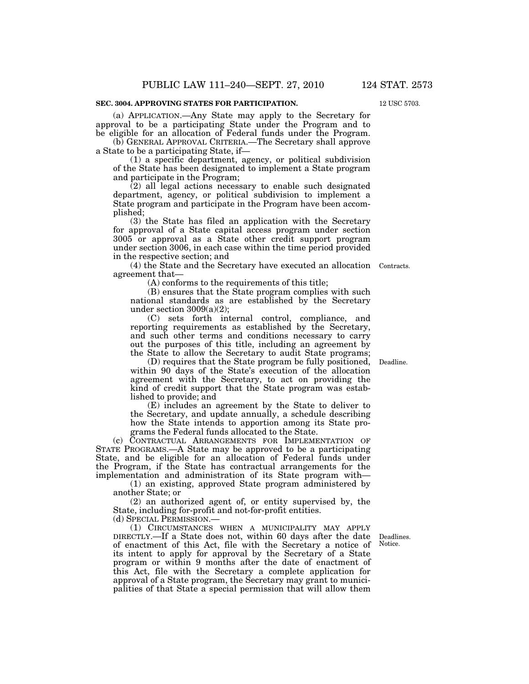### **SEC. 3004. APPROVING STATES FOR PARTICIPATION.**

(a) APPLICATION.—Any State may apply to the Secretary for approval to be a participating State under the Program and to be eligible for an allocation of Federal funds under the Program.

(b) GENERAL APPROVAL CRITERIA.—The Secretary shall approve a State to be a participating State, if—

(1) a specific department, agency, or political subdivision of the State has been designated to implement a State program and participate in the Program;

(2) all legal actions necessary to enable such designated department, agency, or political subdivision to implement a State program and participate in the Program have been accomplished;

(3) the State has filed an application with the Secretary for approval of a State capital access program under section 3005 or approval as a State other credit support program under section 3006, in each case within the time period provided in the respective section; and

(4) the State and the Secretary have executed an allocation Contracts. agreement that—

(A) conforms to the requirements of this title;

(B) ensures that the State program complies with such national standards as are established by the Secretary under section  $3009(a)(2)$ ;

(C) sets forth internal control, compliance, and reporting requirements as established by the Secretary, and such other terms and conditions necessary to carry out the purposes of this title, including an agreement by the State to allow the Secretary to audit State programs;

(D) requires that the State program be fully positioned, within 90 days of the State's execution of the allocation agreement with the Secretary, to act on providing the kind of credit support that the State program was established to provide; and Deadline.

(E) includes an agreement by the State to deliver to the Secretary, and update annually, a schedule describing how the State intends to apportion among its State programs the Federal funds allocated to the State.

(c) CONTRACTUAL ARRANGEMENTS FOR IMPLEMENTATION OF STATE PROGRAMS.—A State may be approved to be a participating State, and be eligible for an allocation of Federal funds under the Program, if the State has contractual arrangements for the implementation and administration of its State program with—

(1) an existing, approved State program administered by another State; or

(2) an authorized agent of, or entity supervised by, the State, including for-profit and not-for-profit entities.

(d) SPECIAL PERMISSION.—

(1) CIRCUMSTANCES WHEN A MUNICIPALITY MAY APPLY DIRECTLY.—If a State does not, within 60 days after the date of enactment of this Act, file with the Secretary a notice of its intent to apply for approval by the Secretary of a State program or within 9 months after the date of enactment of this Act, file with the Secretary a complete application for approval of a State program, the Secretary may grant to municipalities of that State a special permission that will allow them

Deadlines. Notice.

12 USC 5703.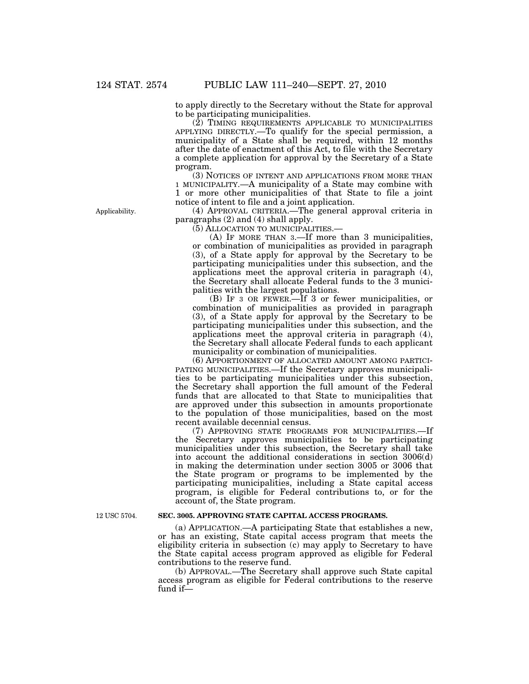to apply directly to the Secretary without the State for approval to be participating municipalities.

(2) TIMING REQUIREMENTS APPLICABLE TO MUNICIPALITIES APPLYING DIRECTLY.—To qualify for the special permission, a municipality of a State shall be required, within 12 months after the date of enactment of this Act, to file with the Secretary a complete application for approval by the Secretary of a State program.

(3) NOTICES OF INTENT AND APPLICATIONS FROM MORE THAN 1 MUNICIPALITY.—A municipality of a State may combine with 1 or more other municipalities of that State to file a joint notice of intent to file and a joint application.

(4) APPROVAL CRITERIA.—The general approval criteria in paragraphs (2) and (4) shall apply.

(5) ALLOCATION TO MUNICIPALITIES.—

(A) IF MORE THAN 3.—If more than 3 municipalities, or combination of municipalities as provided in paragraph (3), of a State apply for approval by the Secretary to be participating municipalities under this subsection, and the applications meet the approval criteria in paragraph (4), the Secretary shall allocate Federal funds to the 3 municipalities with the largest populations.

(B) IF 3 OR FEWER.—If 3 or fewer municipalities, or combination of municipalities as provided in paragraph (3), of a State apply for approval by the Secretary to be participating municipalities under this subsection, and the applications meet the approval criteria in paragraph (4), the Secretary shall allocate Federal funds to each applicant municipality or combination of municipalities.

(6) APPORTIONMENT OF ALLOCATED AMOUNT AMONG PARTICI-PATING MUNICIPALITIES.—If the Secretary approves municipalities to be participating municipalities under this subsection, the Secretary shall apportion the full amount of the Federal funds that are allocated to that State to municipalities that are approved under this subsection in amounts proportionate to the population of those municipalities, based on the most recent available decennial census.

(7) APPROVING STATE PROGRAMS FOR MUNICIPALITIES.—If the Secretary approves municipalities to be participating municipalities under this subsection, the Secretary shall take into account the additional considerations in section 3006(d) in making the determination under section 3005 or 3006 that the State program or programs to be implemented by the participating municipalities, including a State capital access program, is eligible for Federal contributions to, or for the account of, the State program.

12 USC 5704.

### **SEC. 3005. APPROVING STATE CAPITAL ACCESS PROGRAMS.**

(a) APPLICATION.—A participating State that establishes a new, or has an existing, State capital access program that meets the eligibility criteria in subsection (c) may apply to Secretary to have the State capital access program approved as eligible for Federal contributions to the reserve fund.

(b) APPROVAL.—The Secretary shall approve such State capital access program as eligible for Federal contributions to the reserve fund if—

Applicability.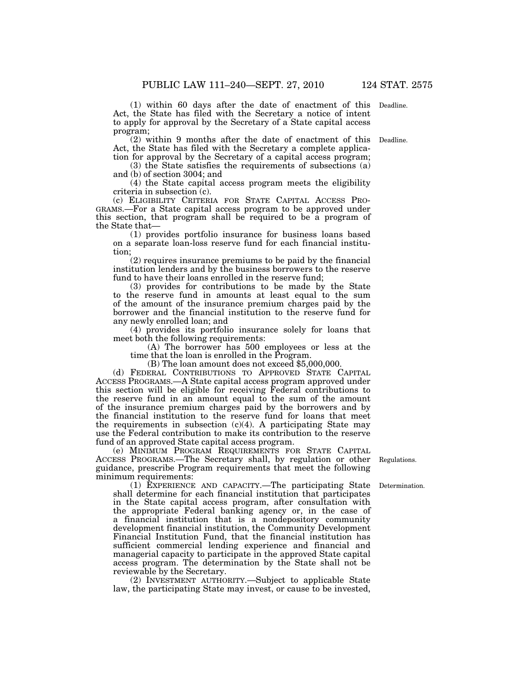(1) within 60 days after the date of enactment of this Deadline. Act, the State has filed with the Secretary a notice of intent to apply for approval by the Secretary of a State capital access program;

(2) within 9 months after the date of enactment of this Deadline. Act, the State has filed with the Secretary a complete application for approval by the Secretary of a capital access program;

(3) the State satisfies the requirements of subsections (a) and (b) of section 3004; and

(4) the State capital access program meets the eligibility criteria in subsection (c).

GRAMS.—For a State capital access program to be approved under this section, that program shall be required to be a program of the State that—

(1) provides portfolio insurance for business loans based on a separate loan-loss reserve fund for each financial institution;

(2) requires insurance premiums to be paid by the financial institution lenders and by the business borrowers to the reserve fund to have their loans enrolled in the reserve fund;

(3) provides for contributions to be made by the State to the reserve fund in amounts at least equal to the sum of the amount of the insurance premium charges paid by the borrower and the financial institution to the reserve fund for any newly enrolled loan; and

(4) provides its portfolio insurance solely for loans that meet both the following requirements:

(A) The borrower has 500 employees or less at the time that the loan is enrolled in the Program.

(B) The loan amount does not exceed \$5,000,000.

(d) FEDERAL CONTRIBUTIONS TO APPROVED STATE CAPITAL ACCESS PROGRAMS.—A State capital access program approved under this section will be eligible for receiving Federal contributions to the reserve fund in an amount equal to the sum of the amount of the insurance premium charges paid by the borrowers and by the financial institution to the reserve fund for loans that meet the requirements in subsection (c)(4). A participating State may use the Federal contribution to make its contribution to the reserve fund of an approved State capital access program.

(e) MINIMUM PROGRAM REQUIREMENTS FOR STATE CAPITAL ACCESS PROGRAMS.—The Secretary shall, by regulation or other guidance, prescribe Program requirements that meet the following minimum requirements:

(1) EXPERIENCE AND CAPACITY.—The participating State shall determine for each financial institution that participates in the State capital access program, after consultation with the appropriate Federal banking agency or, in the case of a financial institution that is a nondepository community development financial institution, the Community Development Financial Institution Fund, that the financial institution has sufficient commercial lending experience and financial and managerial capacity to participate in the approved State capital access program. The determination by the State shall not be reviewable by the Secretary.

(2) INVESTMENT AUTHORITY.—Subject to applicable State law, the participating State may invest, or cause to be invested,

Regulations.

Determination.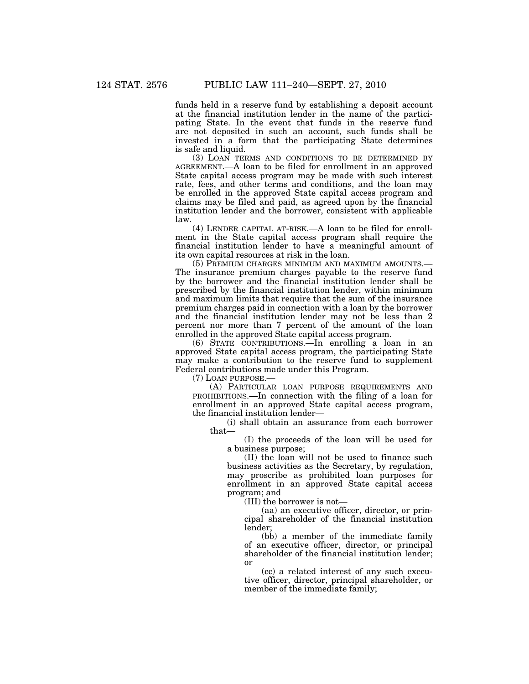funds held in a reserve fund by establishing a deposit account at the financial institution lender in the name of the participating State. In the event that funds in the reserve fund are not deposited in such an account, such funds shall be invested in a form that the participating State determines is safe and liquid.

(3) LOAN TERMS AND CONDITIONS TO BE DETERMINED BY AGREEMENT.—A loan to be filed for enrollment in an approved State capital access program may be made with such interest rate, fees, and other terms and conditions, and the loan may be enrolled in the approved State capital access program and claims may be filed and paid, as agreed upon by the financial institution lender and the borrower, consistent with applicable law.

(4) LENDER CAPITAL AT-RISK.—A loan to be filed for enrollment in the State capital access program shall require the financial institution lender to have a meaningful amount of its own capital resources at risk in the loan.

(5) PREMIUM CHARGES MINIMUM AND MAXIMUM AMOUNTS.— The insurance premium charges payable to the reserve fund by the borrower and the financial institution lender shall be prescribed by the financial institution lender, within minimum and maximum limits that require that the sum of the insurance premium charges paid in connection with a loan by the borrower and the financial institution lender may not be less than 2 percent nor more than 7 percent of the amount of the loan enrolled in the approved State capital access program.

(6) STATE CONTRIBUTIONS.—In enrolling a loan in an approved State capital access program, the participating State may make a contribution to the reserve fund to supplement Federal contributions made under this Program.

(7) LOAN PURPOSE.—

(A) PARTICULAR LOAN PURPOSE REQUIREMENTS AND PROHIBITIONS.—In connection with the filing of a loan for enrollment in an approved State capital access program, the financial institution lender—

(i) shall obtain an assurance from each borrower that—

(I) the proceeds of the loan will be used for a business purpose;

(II) the loan will not be used to finance such business activities as the Secretary, by regulation, may proscribe as prohibited loan purposes for enrollment in an approved State capital access program; and

(III) the borrower is not—

(aa) an executive officer, director, or principal shareholder of the financial institution lender;

(bb) a member of the immediate family of an executive officer, director, or principal shareholder of the financial institution lender; or

(cc) a related interest of any such executive officer, director, principal shareholder, or member of the immediate family;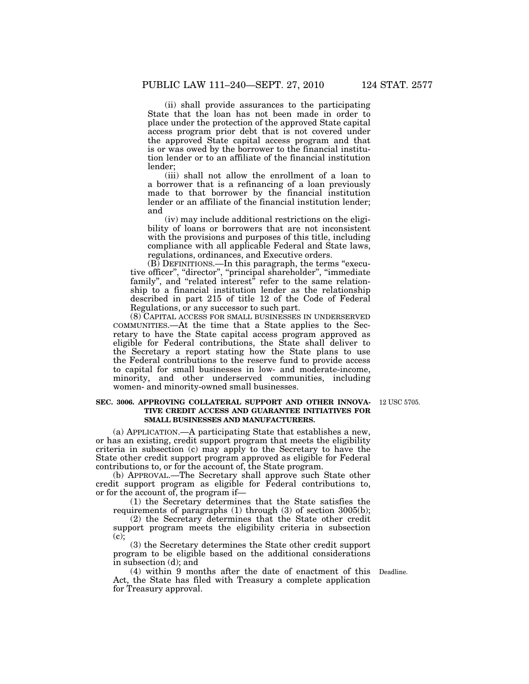(ii) shall provide assurances to the participating State that the loan has not been made in order to place under the protection of the approved State capital access program prior debt that is not covered under the approved State capital access program and that is or was owed by the borrower to the financial institution lender or to an affiliate of the financial institution lender;

(iii) shall not allow the enrollment of a loan to a borrower that is a refinancing of a loan previously made to that borrower by the financial institution lender or an affiliate of the financial institution lender; and

(iv) may include additional restrictions on the eligibility of loans or borrowers that are not inconsistent with the provisions and purposes of this title, including compliance with all applicable Federal and State laws, regulations, ordinances, and Executive orders.

 $(B)$  DEFINITIONS.—In this paragraph, the terms "executive officer'', ''director'', ''principal shareholder'', ''immediate family", and "related interest" refer to the same relationship to a financial institution lender as the relationship described in part 215 of title 12 of the Code of Federal Regulations, or any successor to such part.

(8) CAPITAL ACCESS FOR SMALL BUSINESSES IN UNDERSERVED COMMUNITIES.—At the time that a State applies to the Secretary to have the State capital access program approved as eligible for Federal contributions, the State shall deliver to the Secretary a report stating how the State plans to use the Federal contributions to the reserve fund to provide access to capital for small businesses in low- and moderate-income, minority, and other underserved communities, including women- and minority-owned small businesses.

#### **SEC. 3006. APPROVING COLLATERAL SUPPORT AND OTHER INNOVA-**12 USC 5705. **TIVE CREDIT ACCESS AND GUARANTEE INITIATIVES FOR SMALL BUSINESSES AND MANUFACTURERS.**

(a) APPLICATION.—A participating State that establishes a new, or has an existing, credit support program that meets the eligibility criteria in subsection (c) may apply to the Secretary to have the State other credit support program approved as eligible for Federal contributions to, or for the account of, the State program.

(b) APPROVAL.—The Secretary shall approve such State other credit support program as eligible for Federal contributions to, or for the account of, the program if—

(1) the Secretary determines that the State satisfies the requirements of paragraphs (1) through (3) of section 3005(b);

(2) the Secretary determines that the State other credit support program meets the eligibility criteria in subsection (c);

(3) the Secretary determines the State other credit support program to be eligible based on the additional considerations in subsection (d); and

(4) within 9 months after the date of enactment of this Deadline. Act, the State has filed with Treasury a complete application for Treasury approval.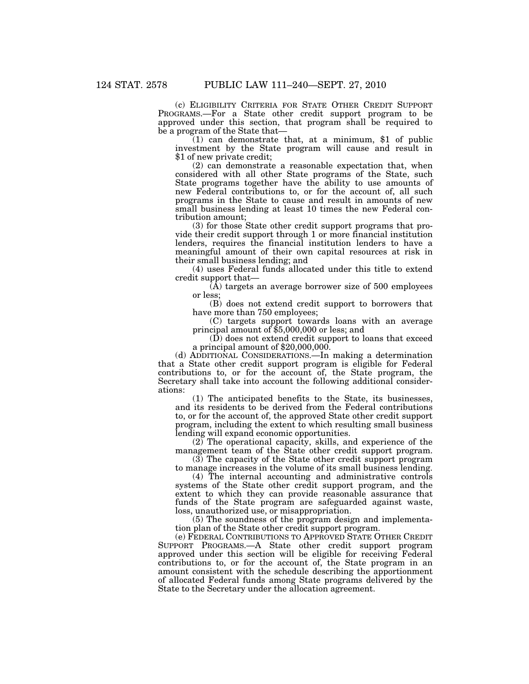(c) ELIGIBILITY CRITERIA FOR STATE OTHER CREDIT SUPPORT PROGRAMS.—For a State other credit support program to be approved under this section, that program shall be required to be a program of the State that—

 $(1)$  can demonstrate that, at a minimum, \$1 of public investment by the State program will cause and result in \$1 of new private credit;

(2) can demonstrate a reasonable expectation that, when considered with all other State programs of the State, such State programs together have the ability to use amounts of new Federal contributions to, or for the account of, all such programs in the State to cause and result in amounts of new small business lending at least 10 times the new Federal contribution amount;

(3) for those State other credit support programs that provide their credit support through 1 or more financial institution lenders, requires the financial institution lenders to have a meaningful amount of their own capital resources at risk in their small business lending; and

(4) uses Federal funds allocated under this title to extend credit support that—

(A) targets an average borrower size of 500 employees or less;

(B) does not extend credit support to borrowers that have more than 750 employees;

(C) targets support towards loans with an average principal amount of \$5,000,000 or less; and

(D) does not extend credit support to loans that exceed a principal amount of \$20,000,000.

(d) ADDITIONAL CONSIDERATIONS.—In making a determination that a State other credit support program is eligible for Federal contributions to, or for the account of, the State program, the Secretary shall take into account the following additional considerations:

(1) The anticipated benefits to the State, its businesses, and its residents to be derived from the Federal contributions to, or for the account of, the approved State other credit support program, including the extent to which resulting small business lending will expand economic opportunities.

(2) The operational capacity, skills, and experience of the management team of the State other credit support program.

(3) The capacity of the State other credit support program to manage increases in the volume of its small business lending.

(4) The internal accounting and administrative controls systems of the State other credit support program, and the extent to which they can provide reasonable assurance that funds of the State program are safeguarded against waste, loss, unauthorized use, or misappropriation.

(5) The soundness of the program design and implementation plan of the State other credit support program.

(e) FEDERAL CONTRIBUTIONS TO APPROVED STATE OTHER CREDIT SUPPORT PROGRAMS.—A State other credit support program approved under this section will be eligible for receiving Federal contributions to, or for the account of, the State program in an amount consistent with the schedule describing the apportionment of allocated Federal funds among State programs delivered by the State to the Secretary under the allocation agreement.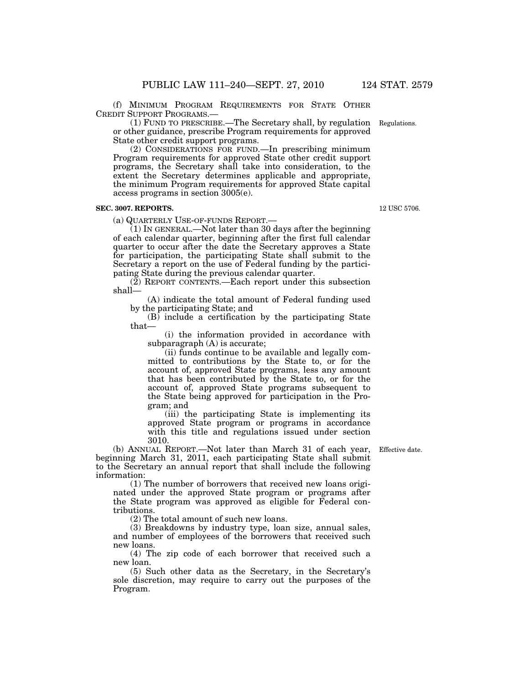(f) MINIMUM PROGRAM REQUIREMENTS FOR STATE OTHER CREDIT SUPPORT PROGRAMS.—

(1) FUND TO PRESCRIBE.—The Secretary shall, by regulation or other guidance, prescribe Program requirements for approved State other credit support programs.

(2) CONSIDERATIONS FOR FUND.—In prescribing minimum Program requirements for approved State other credit support programs, the Secretary shall take into consideration, to the extent the Secretary determines applicable and appropriate, the minimum Program requirements for approved State capital access programs in section 3005(e).

## **SEC. 3007. REPORTS.**

(a) QUARTERLY USE-OF-FUNDS REPORT.—

(1) IN GENERAL.—Not later than 30 days after the beginning of each calendar quarter, beginning after the first full calendar quarter to occur after the date the Secretary approves a State for participation, the participating State shall submit to the Secretary a report on the use of Federal funding by the participating State during the previous calendar quarter.

(2) REPORT CONTENTS.—Each report under this subsection shall—

(A) indicate the total amount of Federal funding used by the participating State; and

(B) include a certification by the participating State that—

(i) the information provided in accordance with subparagraph (A) is accurate;

(ii) funds continue to be available and legally committed to contributions by the State to, or for the account of, approved State programs, less any amount that has been contributed by the State to, or for the account of, approved State programs subsequent to the State being approved for participation in the Program; and

(iii) the participating State is implementing its approved State program or programs in accordance with this title and regulations issued under section 3010.

(b) ANNUAL REPORT.—Not later than March 31 of each year, beginning March 31, 2011, each participating State shall submit to the Secretary an annual report that shall include the following information:

(1) The number of borrowers that received new loans originated under the approved State program or programs after the State program was approved as eligible for Federal contributions.

(2) The total amount of such new loans.

(3) Breakdowns by industry type, loan size, annual sales, and number of employees of the borrowers that received such new loans.

(4) The zip code of each borrower that received such a new loan.

(5) Such other data as the Secretary, in the Secretary's sole discretion, may require to carry out the purposes of the Program.

Effective date.

12 USC 5706.

Regulations.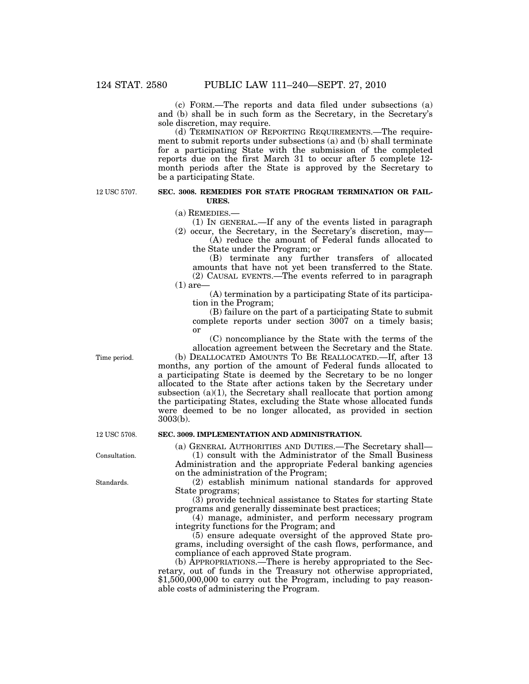(c) FORM.—The reports and data filed under subsections (a) and (b) shall be in such form as the Secretary, in the Secretary's sole discretion, may require.

(d) TERMINATION OF REPORTING REQUIREMENTS.—The requirement to submit reports under subsections (a) and (b) shall terminate for a participating State with the submission of the completed reports due on the first March 31 to occur after 5 complete 12 month periods after the State is approved by the Secretary to be a participating State.

12 USC 5707.

#### **SEC. 3008. REMEDIES FOR STATE PROGRAM TERMINATION OR FAIL-URES.**

(a) REMEDIES.—

- (1) IN GENERAL.—If any of the events listed in paragraph
- (2) occur, the Secretary, in the Secretary's discretion, may— (A) reduce the amount of Federal funds allocated to

the State under the Program; or (B) terminate any further transfers of allocated amounts that have not yet been transferred to the State. (2) CAUSAL EVENTS.—The events referred to in paragraph  $(1)$  are

(A) termination by a participating State of its participation in the Program;

(B) failure on the part of a participating State to submit complete reports under section 3007 on a timely basis; or

(C) noncompliance by the State with the terms of the allocation agreement between the Secretary and the State. (b) DEALLOCATED AMOUNTS TO BE REALLOCATED.—If, after 13

months, any portion of the amount of Federal funds allocated to a participating State is deemed by the Secretary to be no longer allocated to the State after actions taken by the Secretary under subsection  $(a)(1)$ , the Secretary shall reallocate that portion among the participating States, excluding the State whose allocated funds were deemed to be no longer allocated, as provided in section 3003(b).

## **SEC. 3009. IMPLEMENTATION AND ADMINISTRATION.**

(a) GENERAL AUTHORITIES AND DUTIES.—The Secretary shall— (1) consult with the Administrator of the Small Business

Administration and the appropriate Federal banking agencies on the administration of the Program;

(2) establish minimum national standards for approved State programs;

(3) provide technical assistance to States for starting State programs and generally disseminate best practices;

(4) manage, administer, and perform necessary program integrity functions for the Program; and

(5) ensure adequate oversight of the approved State programs, including oversight of the cash flows, performance, and compliance of each approved State program.

(b) APPROPRIATIONS.—There is hereby appropriated to the Secretary, out of funds in the Treasury not otherwise appropriated, \$1,500,000,000 to carry out the Program, including to pay reasonable costs of administering the Program.

Time period.

12 USC 5708.

Consultation.

Standards.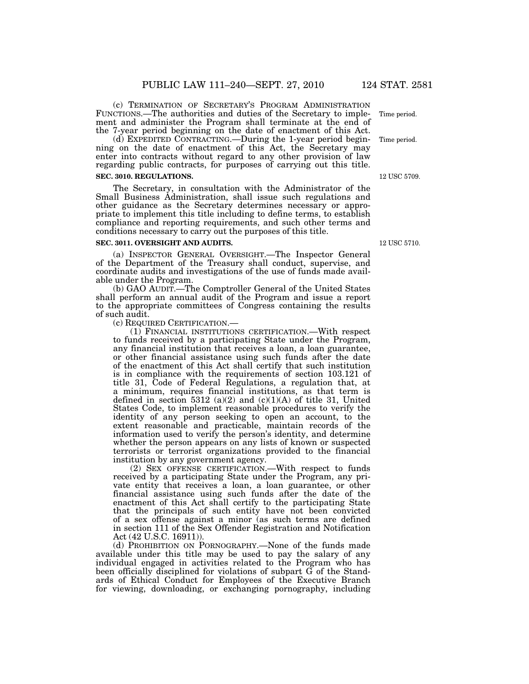(c) TERMINATION OF SECRETARY'S PROGRAM ADMINISTRATION FUNCTIONS.—The authorities and duties of the Secretary to implement and administer the Program shall terminate at the end of the 7-year period beginning on the date of enactment of this Act.

(d) EXPEDITED CONTRACTING.—During the 1-year period beginning on the date of enactment of this Act, the Secretary may enter into contracts without regard to any other provision of law regarding public contracts, for purposes of carrying out this title.

## **SEC. 3010. REGULATIONS.**

The Secretary, in consultation with the Administrator of the Small Business Administration, shall issue such regulations and other guidance as the Secretary determines necessary or appropriate to implement this title including to define terms, to establish compliance and reporting requirements, and such other terms and conditions necessary to carry out the purposes of this title.

#### **SEC. 3011. OVERSIGHT AND AUDITS.**

(a) INSPECTOR GENERAL OVERSIGHT.—The Inspector General of the Department of the Treasury shall conduct, supervise, and coordinate audits and investigations of the use of funds made available under the Program.

(b) GAO AUDIT.—The Comptroller General of the United States shall perform an annual audit of the Program and issue a report to the appropriate committees of Congress containing the results of such audit.<br>(c) REQUIRED CERTIFICATION.—

 $(1)$  FINANCIAL INSTITUTIONS CERTIFICATION.—With respect to funds received by a participating State under the Program, any financial institution that receives a loan, a loan guarantee, or other financial assistance using such funds after the date of the enactment of this Act shall certify that such institution is in compliance with the requirements of section 103.121 of title 31, Code of Federal Regulations, a regulation that, at a minimum, requires financial institutions, as that term is defined in section 5312 (a)(2) and  $(c)(1)(A)$  of title 31, United States Code, to implement reasonable procedures to verify the identity of any person seeking to open an account, to the extent reasonable and practicable, maintain records of the information used to verify the person's identity, and determine whether the person appears on any lists of known or suspected terrorists or terrorist organizations provided to the financial institution by any government agency.

(2) SEX OFFENSE CERTIFICATION.—With respect to funds received by a participating State under the Program, any private entity that receives a loan, a loan guarantee, or other financial assistance using such funds after the date of the enactment of this Act shall certify to the participating State that the principals of such entity have not been convicted of a sex offense against a minor (as such terms are defined in section 111 of the Sex Offender Registration and Notification Act (42 U.S.C. 16911)).

(d) PROHIBITION ON PORNOGRAPHY.—None of the funds made available under this title may be used to pay the salary of any individual engaged in activities related to the Program who has been officially disciplined for violations of subpart G of the Standards of Ethical Conduct for Employees of the Executive Branch for viewing, downloading, or exchanging pornography, including

12 USC 5710.

Time period.

12 USC 5709.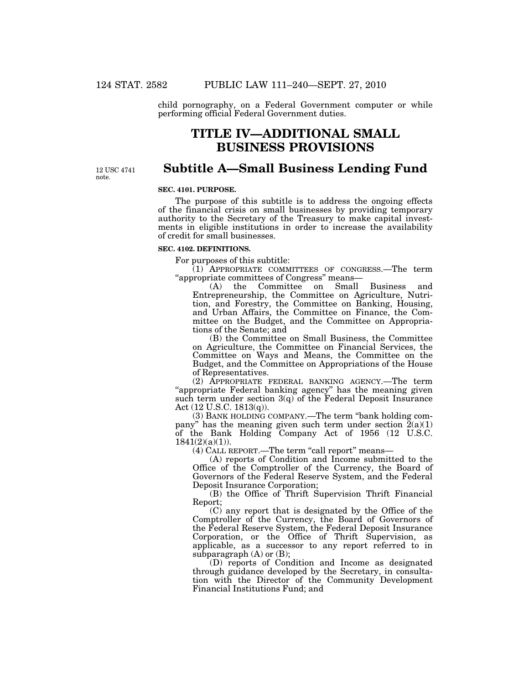child pornography, on a Federal Government computer or while performing official Federal Government duties.

# **TITLE IV—ADDITIONAL SMALL BUSINESS PROVISIONS**

12 USC 4741 note.

## **Subtitle A—Small Business Lending Fund**

#### **SEC. 4101. PURPOSE.**

The purpose of this subtitle is to address the ongoing effects of the financial crisis on small businesses by providing temporary authority to the Secretary of the Treasury to make capital investments in eligible institutions in order to increase the availability of credit for small businesses.

## **SEC. 4102. DEFINITIONS.**

For purposes of this subtitle:

(1) APPROPRIATE COMMITTEES OF CONGRESS.—The term ''appropriate committees of Congress'' means—

(A) the Committee on Small Business and Entrepreneurship, the Committee on Agriculture, Nutrition, and Forestry, the Committee on Banking, Housing, and Urban Affairs, the Committee on Finance, the Committee on the Budget, and the Committee on Appropriations of the Senate; and

(B) the Committee on Small Business, the Committee on Agriculture, the Committee on Financial Services, the Committee on Ways and Means, the Committee on the Budget, and the Committee on Appropriations of the House of Representatives.

(2) APPROPRIATE FEDERAL BANKING AGENCY.—The term "appropriate Federal banking agency" has the meaning given such term under section  $3(q)$  of the Federal Deposit Insurance Act (12 U.S.C. 1813(q)).

(3) BANK HOLDING COMPANY.—The term ''bank holding company" has the meaning given such term under section  $\tilde{2}(a)(1)$ of the Bank Holding Company Act of 1956 (12 U.S.C.  $1841(2)(a)(1)$ ).

(4) CALL REPORT.—The term "call report" means-

(A) reports of Condition and Income submitted to the Office of the Comptroller of the Currency, the Board of Governors of the Federal Reserve System, and the Federal Deposit Insurance Corporation;

(B) the Office of Thrift Supervision Thrift Financial Report;

(C) any report that is designated by the Office of the Comptroller of the Currency, the Board of Governors of the Federal Reserve System, the Federal Deposit Insurance Corporation, or the Office of Thrift Supervision, as applicable, as a successor to any report referred to in subparagraph  $(A)$  or  $(B)$ ;

(D) reports of Condition and Income as designated through guidance developed by the Secretary, in consultation with the Director of the Community Development Financial Institutions Fund; and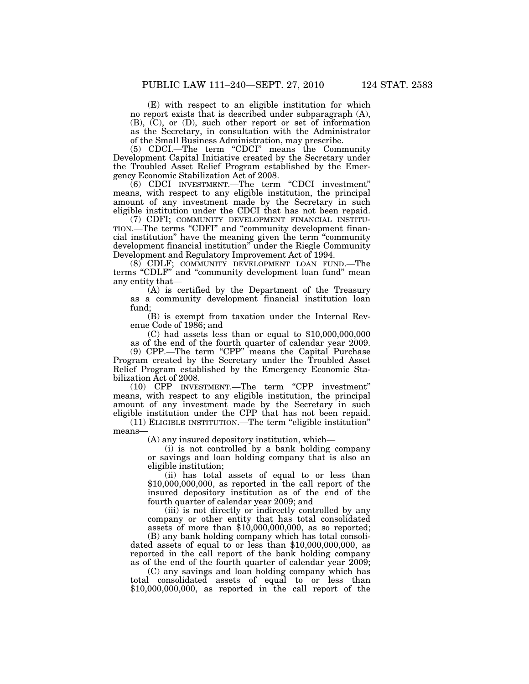(E) with respect to an eligible institution for which no report exists that is described under subparagraph (A), (B), (C), or (D), such other report or set of information as the Secretary, in consultation with the Administrator of the Small Business Administration, may prescribe.

(5) CDCI.—The term ''CDCI'' means the Community Development Capital Initiative created by the Secretary under the Troubled Asset Relief Program established by the Emergency Economic Stabilization Act of 2008.

(6) CDCI INVESTMENT.—The term ''CDCI investment'' means, with respect to any eligible institution, the principal amount of any investment made by the Secretary in such eligible institution under the CDCI that has not been repaid.

(7) CDFI; COMMUNITY DEVELOPMENT FINANCIAL INSTITU-TION.—The terms "CDFI" and "community development financial institution'' have the meaning given the term ''community development financial institution'' under the Riegle Community Development and Regulatory Improvement Act of 1994.

(8) CDLF; COMMUNITY DEVELOPMENT LOAN FUND.—The terms ''CDLF'' and ''community development loan fund'' mean any entity that—

(A) is certified by the Department of the Treasury as a community development financial institution loan fund;

(B) is exempt from taxation under the Internal Revenue Code of 1986; and

(C) had assets less than or equal to \$10,000,000,000 as of the end of the fourth quarter of calendar year 2009.

(9) CPP.—The term ''CPP'' means the Capital Purchase Program created by the Secretary under the Troubled Asset Relief Program established by the Emergency Economic Stabilization Act of 2008.

(10) CPP INVESTMENT.—The term ''CPP investment'' means, with respect to any eligible institution, the principal amount of any investment made by the Secretary in such eligible institution under the CPP that has not been repaid.

(11) ELIGIBLE INSTITUTION.—The term ''eligible institution'' means—

(A) any insured depository institution, which—

(i) is not controlled by a bank holding company or savings and loan holding company that is also an eligible institution;

(ii) has total assets of equal to or less than  $$10,000,000,000,$  as reported in the call report of the insured depository institution as of the end of the fourth quarter of calendar year 2009; and

(iii) is not directly or indirectly controlled by any company or other entity that has total consolidated assets of more than  $$10,000,000,000$ , as so reported;

(B) any bank holding company which has total consolidated assets of equal to or less than \$10,000,000,000, as reported in the call report of the bank holding company as of the end of the fourth quarter of calendar year 2009;

(C) any savings and loan holding company which has total consolidated assets of equal to or less than \$10,000,000,000, as reported in the call report of the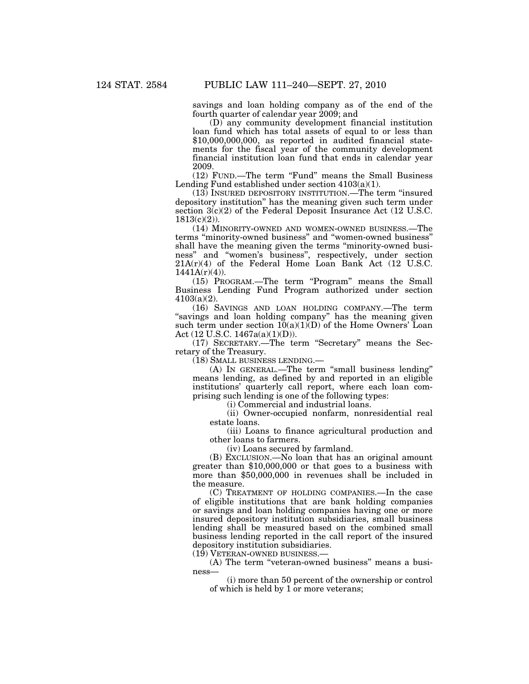savings and loan holding company as of the end of the fourth quarter of calendar year 2009; and

(D) any community development financial institution loan fund which has total assets of equal to or less than \$10,000,000,000, as reported in audited financial statements for the fiscal year of the community development financial institution loan fund that ends in calendar year 2009.

(12) FUND.—The term ''Fund'' means the Small Business Lending Fund established under section  $4103(a)(1)$ .

(13) INSURED DEPOSITORY INSTITUTION.—The term ''insured depository institution'' has the meaning given such term under section  $3(c)(2)$  of the Federal Deposit Insurance Act (12 U.S.C. 1813(c)(2)).

(14) MINORITY-OWNED AND WOMEN-OWNED BUSINESS.—The terms ''minority-owned business'' and ''women-owned business'' shall have the meaning given the terms "minority-owned business'' and ''women's business'', respectively, under section 21A(r)(4) of the Federal Home Loan Bank Act (12 U.S.C. 1441A(r)(4)).

(15) PROGRAM.—The term ''Program'' means the Small Business Lending Fund Program authorized under section 4103(a)(2).

(16) SAVINGS AND LOAN HOLDING COMPANY.—The term "savings and loan holding company" has the meaning given such term under section  $10(a)(1)(D)$  of the Home Owners' Loan Act (12 U.S.C. 1467a(a)(1)(D)).

(17) SECRETARY.—The term ''Secretary'' means the Secretary of the Treasury.

(18) SMALL BUSINESS LENDING.—

(A) IN GENERAL.—The term ''small business lending'' means lending, as defined by and reported in an eligible institutions' quarterly call report, where each loan comprising such lending is one of the following types:

(i) Commercial and industrial loans.

(ii) Owner-occupied nonfarm, nonresidential real estate loans.

(iii) Loans to finance agricultural production and other loans to farmers.

(iv) Loans secured by farmland.

(B) EXCLUSION.—No loan that has an original amount greater than \$10,000,000 or that goes to a business with more than \$50,000,000 in revenues shall be included in the measure.

(C) TREATMENT OF HOLDING COMPANIES.—In the case of eligible institutions that are bank holding companies or savings and loan holding companies having one or more insured depository institution subsidiaries, small business lending shall be measured based on the combined small business lending reported in the call report of the insured depository institution subsidiaries.

(19) VETERAN-OWNED BUSINESS.—

(A) The term ''veteran-owned business'' means a business—

(i) more than 50 percent of the ownership or control of which is held by 1 or more veterans;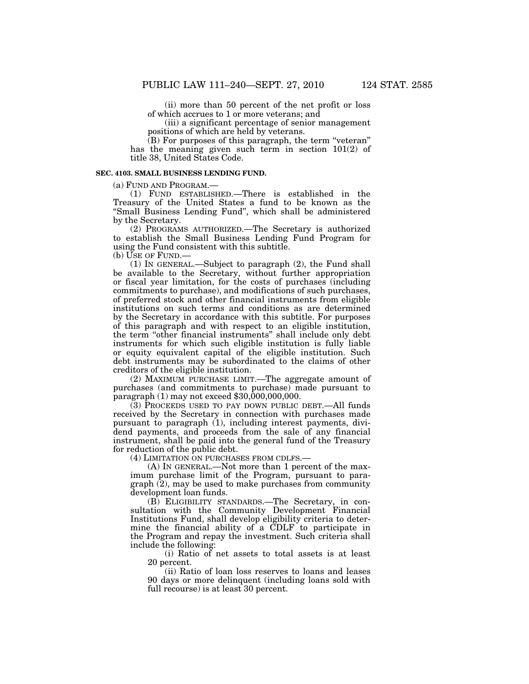(ii) more than 50 percent of the net profit or loss of which accrues to 1 or more veterans; and

(iii) a significant percentage of senior management positions of which are held by veterans.

 $(B)$  For purposes of this paragraph, the term "veteran" has the meaning given such term in section 101(2) of title 38, United States Code.

#### **SEC. 4103. SMALL BUSINESS LENDING FUND.**

(a) FUND AND PROGRAM.—

(1) FUND ESTABLISHED.—There is established in the Treasury of the United States a fund to be known as the ''Small Business Lending Fund'', which shall be administered by the Secretary.

(2) PROGRAMS AUTHORIZED.—The Secretary is authorized to establish the Small Business Lending Fund Program for using the Fund consistent with this subtitle.

(b) USE OF FUND.—

(1) IN GENERAL.—Subject to paragraph (2), the Fund shall be available to the Secretary, without further appropriation or fiscal year limitation, for the costs of purchases (including commitments to purchase), and modifications of such purchases, of preferred stock and other financial instruments from eligible institutions on such terms and conditions as are determined by the Secretary in accordance with this subtitle. For purposes of this paragraph and with respect to an eligible institution, the term ''other financial instruments'' shall include only debt instruments for which such eligible institution is fully liable or equity equivalent capital of the eligible institution. Such debt instruments may be subordinated to the claims of other creditors of the eligible institution.

(2) MAXIMUM PURCHASE LIMIT.—The aggregate amount of purchases (and commitments to purchase) made pursuant to paragraph (1) may not exceed \$30,000,000,000.

(3) PROCEEDS USED TO PAY DOWN PUBLIC DEBT.—All funds received by the Secretary in connection with purchases made pursuant to paragraph (1), including interest payments, dividend payments, and proceeds from the sale of any financial instrument, shall be paid into the general fund of the Treasury for reduction of the public debt.

(4) LIMITATION ON PURCHASES FROM CDLFS.—

(A) IN GENERAL.—Not more than 1 percent of the maximum purchase limit of the Program, pursuant to paragraph (2), may be used to make purchases from community development loan funds.

(B) ELIGIBILITY STANDARDS.—The Secretary, in consultation with the Community Development Financial Institutions Fund, shall develop eligibility criteria to determine the financial ability of a  $\overline{CDLF}$  to participate in the Program and repay the investment. Such criteria shall include the following:

(i) Ratio of net assets to total assets is at least 20 percent.

(ii) Ratio of loan loss reserves to loans and leases 90 days or more delinquent (including loans sold with full recourse) is at least 30 percent.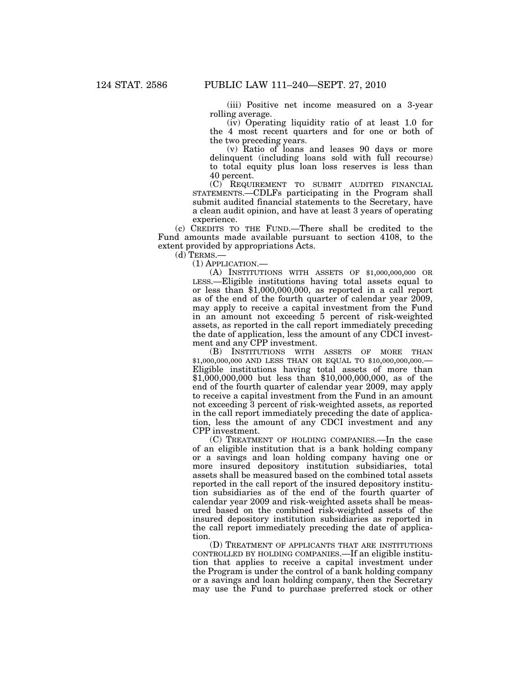(iii) Positive net income measured on a 3-year rolling average.

(iv) Operating liquidity ratio of at least 1.0 for the 4 most recent quarters and for one or both of the two preceding years.

(v) Ratio of loans and leases 90 days or more delinquent (including loans sold with full recourse) to total equity plus loan loss reserves is less than 40 percent.

(C) REQUIREMENT TO SUBMIT AUDITED FINANCIAL STATEMENTS.—CDLFs participating in the Program shall submit audited financial statements to the Secretary, have a clean audit opinion, and have at least 3 years of operating experience.

(c) CREDITS TO THE FUND.—There shall be credited to the Fund amounts made available pursuant to section 4108, to the extent provided by appropriations Acts.

 $(d)$  TERMS.-

(1) APPLICATION.—

(A) INSTITUTIONS WITH ASSETS OF \$1,000,000,000 OR LESS.—Eligible institutions having total assets equal to or less than \$1,000,000,000, as reported in a call report as of the end of the fourth quarter of calendar year 2009, may apply to receive a capital investment from the Fund in an amount not exceeding 5 percent of risk-weighted assets, as reported in the call report immediately preceding the date of application, less the amount of any CDCI investment and any CPP investment.

(B) INSTITUTIONS WITH ASSETS OF MORE THAN \$1,000,000,000 AND LESS THAN OR EQUAL TO \$10,000,000,000.— Eligible institutions having total assets of more than \$1,000,000,000 but less than \$10,000,000,000, as of the end of the fourth quarter of calendar year 2009, may apply to receive a capital investment from the Fund in an amount not exceeding 3 percent of risk-weighted assets, as reported in the call report immediately preceding the date of application, less the amount of any CDCI investment and any CPP investment.

(C) TREATMENT OF HOLDING COMPANIES.—In the case of an eligible institution that is a bank holding company or a savings and loan holding company having one or more insured depository institution subsidiaries, total assets shall be measured based on the combined total assets reported in the call report of the insured depository institution subsidiaries as of the end of the fourth quarter of calendar year 2009 and risk-weighted assets shall be measured based on the combined risk-weighted assets of the insured depository institution subsidiaries as reported in the call report immediately preceding the date of application.

(D) TREATMENT OF APPLICANTS THAT ARE INSTITUTIONS CONTROLLED BY HOLDING COMPANIES.—If an eligible institution that applies to receive a capital investment under the Program is under the control of a bank holding company or a savings and loan holding company, then the Secretary may use the Fund to purchase preferred stock or other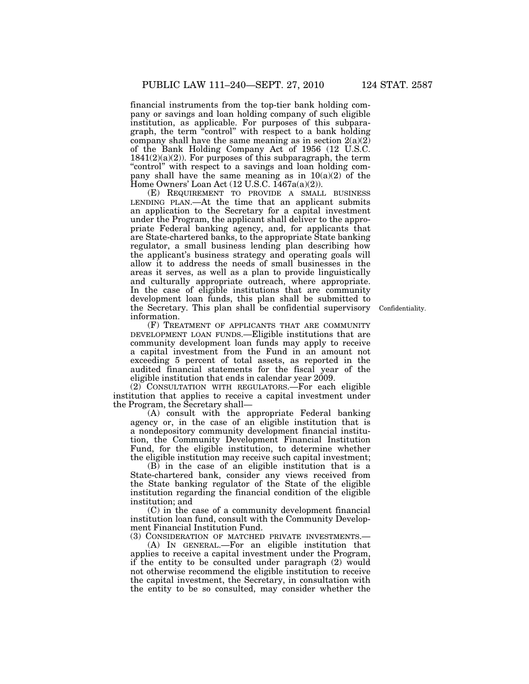financial instruments from the top-tier bank holding company or savings and loan holding company of such eligible institution, as applicable. For purposes of this subparagraph, the term ''control'' with respect to a bank holding company shall have the same meaning as in section  $2(a)(2)$ of the Bank Holding Company Act of 1956 (12 U.S.C.  $1841(2)(a)(2)$ . For purposes of this subparagraph, the term "control" with respect to a savings and loan holding company shall have the same meaning as in  $10(a)(2)$  of the Home Owners' Loan Act (12 U.S.C. 1467a(a)(2)).

(E) REQUIREMENT TO PROVIDE A SMALL BUSINESS LENDING PLAN.—At the time that an applicant submits an application to the Secretary for a capital investment under the Program, the applicant shall deliver to the appropriate Federal banking agency, and, for applicants that are State-chartered banks, to the appropriate State banking regulator, a small business lending plan describing how the applicant's business strategy and operating goals will allow it to address the needs of small businesses in the areas it serves, as well as a plan to provide linguistically and culturally appropriate outreach, where appropriate. In the case of eligible institutions that are community development loan funds, this plan shall be submitted to the Secretary. This plan shall be confidential supervisory information.

(F) TREATMENT OF APPLICANTS THAT ARE COMMUNITY DEVELOPMENT LOAN FUNDS.—Eligible institutions that are community development loan funds may apply to receive a capital investment from the Fund in an amount not exceeding 5 percent of total assets, as reported in the audited financial statements for the fiscal year of the eligible institution that ends in calendar year 2009.

(2) CONSULTATION WITH REGULATORS.—For each eligible institution that applies to receive a capital investment under the Program, the Secretary shall—

(A) consult with the appropriate Federal banking agency or, in the case of an eligible institution that is a nondepository community development financial institution, the Community Development Financial Institution Fund, for the eligible institution, to determine whether the eligible institution may receive such capital investment;

(B) in the case of an eligible institution that is a State-chartered bank, consider any views received from the State banking regulator of the State of the eligible institution regarding the financial condition of the eligible institution; and

(C) in the case of a community development financial institution loan fund, consult with the Community Development Financial Institution Fund.

(3) CONSIDERATION OF MATCHED PRIVATE INVESTMENTS.— (A) IN GENERAL.—For an eligible institution that applies to receive a capital investment under the Program, if the entity to be consulted under paragraph (2) would not otherwise recommend the eligible institution to receive the capital investment, the Secretary, in consultation with the entity to be so consulted, may consider whether the

Confidentiality.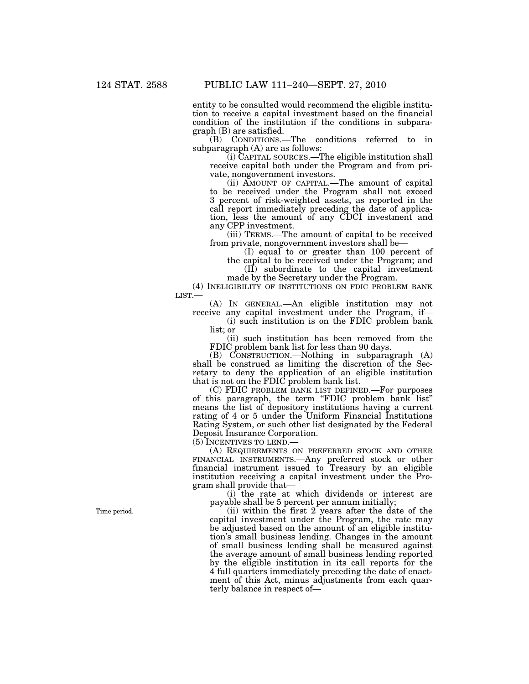entity to be consulted would recommend the eligible institution to receive a capital investment based on the financial condition of the institution if the conditions in subparagraph (B) are satisfied.

(B) CONDITIONS.—The conditions referred to in subparagraph (A) are as follows:

(i) CAPITAL SOURCES.—The eligible institution shall receive capital both under the Program and from private, nongovernment investors.

(ii) AMOUNT OF CAPITAL.—The amount of capital to be received under the Program shall not exceed 3 percent of risk-weighted assets, as reported in the call report immediately preceding the date of application, less the amount of any CDCI investment and any CPP investment.

(iii) TERMS.—The amount of capital to be received from private, nongovernment investors shall be—

(I) equal to or greater than 100 percent of the capital to be received under the Program; and (II) subordinate to the capital investment

made by the Secretary under the Program.

(4) INELIGIBILITY OF INSTITUTIONS ON FDIC PROBLEM BANK LIST.—

(A) IN GENERAL.—An eligible institution may not receive any capital investment under the Program, if—

(i) such institution is on the FDIC problem bank list; or

(ii) such institution has been removed from the FDIC problem bank list for less than 90 days.

(B) CONSTRUCTION.—Nothing in subparagraph (A) shall be construed as limiting the discretion of the Secretary to deny the application of an eligible institution that is not on the FDIC problem bank list.

(C) FDIC PROBLEM BANK LIST DEFINED. For purposes of this paragraph, the term ''FDIC problem bank list'' means the list of depository institutions having a current rating of 4 or 5 under the Uniform Financial Institutions Rating System, or such other list designated by the Federal Deposit Insurance Corporation.

(5) INCENTIVES TO LEND.—

(A) REQUIREMENTS ON PREFERRED STOCK AND OTHER FINANCIAL INSTRUMENTS.—Any preferred stock or other financial instrument issued to Treasury by an eligible institution receiving a capital investment under the Program shall provide that—

(i) the rate at which dividends or interest are payable shall be 5 percent per annum initially;

(ii) within the first 2 years after the date of the capital investment under the Program, the rate may be adjusted based on the amount of an eligible institution's small business lending. Changes in the amount of small business lending shall be measured against the average amount of small business lending reported by the eligible institution in its call reports for the 4 full quarters immediately preceding the date of enactment of this Act, minus adjustments from each quarterly balance in respect of—

Time period.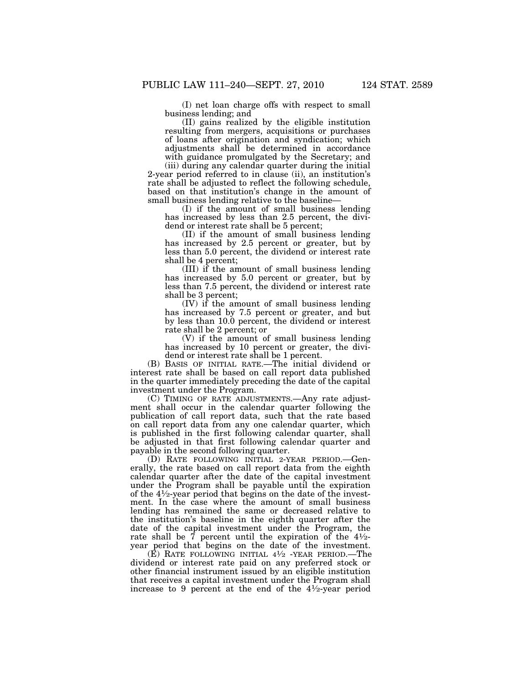(I) net loan charge offs with respect to small business lending; and

(II) gains realized by the eligible institution resulting from mergers, acquisitions or purchases of loans after origination and syndication; which adjustments shall be determined in accordance with guidance promulgated by the Secretary; and

(iii) during any calendar quarter during the initial 2-year period referred to in clause (ii), an institution's rate shall be adjusted to reflect the following schedule, based on that institution's change in the amount of small business lending relative to the baseline—

(I) if the amount of small business lending has increased by less than 2.5 percent, the dividend or interest rate shall be 5 percent;

(II) if the amount of small business lending has increased by 2.5 percent or greater, but by less than 5.0 percent, the dividend or interest rate shall be 4 percent;

(III) if the amount of small business lending has increased by 5.0 percent or greater, but by less than 7.5 percent, the dividend or interest rate shall be 3 percent;

(IV) if the amount of small business lending has increased by 7.5 percent or greater, and but by less than 10.0 percent, the dividend or interest rate shall be 2 percent; or

(V) if the amount of small business lending has increased by 10 percent or greater, the dividend or interest rate shall be 1 percent.

(B) BASIS OF INITIAL RATE.—The initial dividend or interest rate shall be based on call report data published in the quarter immediately preceding the date of the capital investment under the Program.

(C) TIMING OF RATE ADJUSTMENTS.—Any rate adjustment shall occur in the calendar quarter following the publication of call report data, such that the rate based on call report data from any one calendar quarter, which is published in the first following calendar quarter, shall be adjusted in that first following calendar quarter and payable in the second following quarter.

(D) RATE FOLLOWING INITIAL 2-YEAR PERIOD.—Generally, the rate based on call report data from the eighth calendar quarter after the date of the capital investment under the Program shall be payable until the expiration of the 41⁄2-year period that begins on the date of the investment. In the case where the amount of small business lending has remained the same or decreased relative to the institution's baseline in the eighth quarter after the date of the capital investment under the Program, the rate shall be  $\vec{7}$  percent until the expiration of the  $4\frac{1}{2}$ -<br>year period that begins on the date of the investment. year period that begins on the date of the investment.<br>(E) RATE FOLLOWING INITIAL  $4\frac{1}{2}$  -YEAR PERIOD.—The

dividend or interest rate paid on any preferred stock or other financial instrument issued by an eligible institution that receives a capital investment under the Program shall increase to 9 percent at the end of the 41⁄2-year period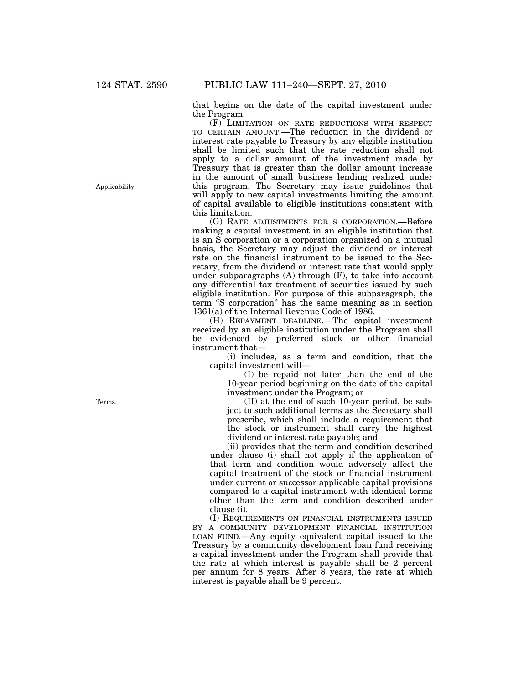that begins on the date of the capital investment under the Program.

(F) LIMITATION ON RATE REDUCTIONS WITH RESPECT TO CERTAIN AMOUNT.—The reduction in the dividend or interest rate payable to Treasury by any eligible institution shall be limited such that the rate reduction shall not apply to a dollar amount of the investment made by Treasury that is greater than the dollar amount increase in the amount of small business lending realized under this program. The Secretary may issue guidelines that will apply to new capital investments limiting the amount of capital available to eligible institutions consistent with this limitation.

(G) RATE ADJUSTMENTS FOR S CORPORATION.—Before making a capital investment in an eligible institution that is an S corporation or a corporation organized on a mutual basis, the Secretary may adjust the dividend or interest rate on the financial instrument to be issued to the Secretary, from the dividend or interest rate that would apply under subparagraphs (A) through (F), to take into account any differential tax treatment of securities issued by such eligible institution. For purpose of this subparagraph, the term ''S corporation'' has the same meaning as in section 1361(a) of the Internal Revenue Code of 1986.

(H) REPAYMENT DEADLINE.—The capital investment received by an eligible institution under the Program shall be evidenced by preferred stock or other financial instrument that—

(i) includes, as a term and condition, that the capital investment will—

(I) be repaid not later than the end of the 10-year period beginning on the date of the capital investment under the Program; or

(II) at the end of such 10-year period, be subject to such additional terms as the Secretary shall prescribe, which shall include a requirement that the stock or instrument shall carry the highest dividend or interest rate payable; and

(ii) provides that the term and condition described under clause (i) shall not apply if the application of that term and condition would adversely affect the capital treatment of the stock or financial instrument under current or successor applicable capital provisions compared to a capital instrument with identical terms other than the term and condition described under clause (i).

(I) REQUIREMENTS ON FINANCIAL INSTRUMENTS ISSUED BY A COMMUNITY DEVELOPMENT FINANCIAL INSTITUTION LOAN FUND.—Any equity equivalent capital issued to the Treasury by a community development loan fund receiving a capital investment under the Program shall provide that the rate at which interest is payable shall be 2 percent per annum for 8 years. After 8 years, the rate at which interest is payable shall be 9 percent.

Applicability.

Terms.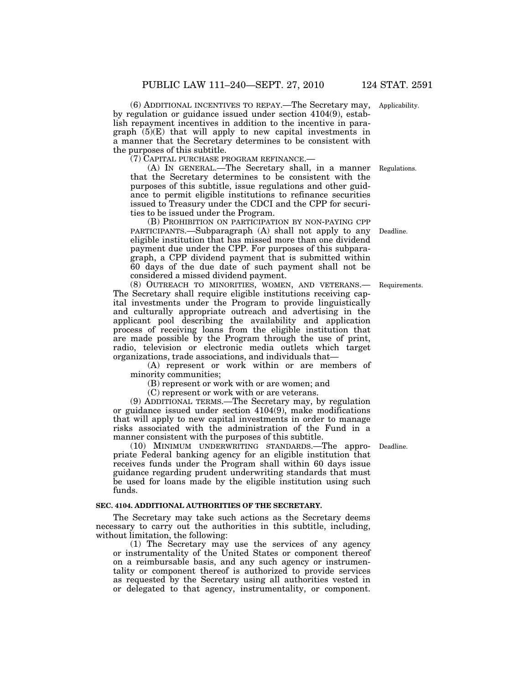(6) ADDITIONAL INCENTIVES TO REPAY.—The Secretary may, Applicability. by regulation or guidance issued under section 4104(9), establish repayment incentives in addition to the incentive in paragraph  $(5)(E)$  that will apply to new capital investments in a manner that the Secretary determines to be consistent with the purposes of this subtitle.

(7) CAPITAL PURCHASE PROGRAM REFINANCE.—

(A) IN GENERAL.—The Secretary shall, in a manner that the Secretary determines to be consistent with the purposes of this subtitle, issue regulations and other guidance to permit eligible institutions to refinance securities issued to Treasury under the CDCI and the CPP for securities to be issued under the Program.

(B) PROHIBITION ON PARTICIPATION BY NON-PAYING CPP PARTICIPANTS.—Subparagraph (A) shall not apply to any Deadline. eligible institution that has missed more than one dividend payment due under the CPP. For purposes of this subparagraph, a CPP dividend payment that is submitted within 60 days of the due date of such payment shall not be considered a missed dividend payment.

(8) OUTREACH TO MINORITIES, WOMEN, AND VETERANS.— The Secretary shall require eligible institutions receiving capital investments under the Program to provide linguistically and culturally appropriate outreach and advertising in the applicant pool describing the availability and application process of receiving loans from the eligible institution that are made possible by the Program through the use of print, radio, television or electronic media outlets which target organizations, trade associations, and individuals that—

(A) represent or work within or are members of minority communities;

(B) represent or work with or are women; and

(C) represent or work with or are veterans.

(9) ADDITIONAL TERMS.—The Secretary may, by regulation or guidance issued under section 4104(9), make modifications that will apply to new capital investments in order to manage risks associated with the administration of the Fund in a manner consistent with the purposes of this subtitle.

(10) MINIMUM UNDERWRITING STANDARDS.—The appropriate Federal banking agency for an eligible institution that receives funds under the Program shall within 60 days issue guidance regarding prudent underwriting standards that must be used for loans made by the eligible institution using such funds.

## **SEC. 4104. ADDITIONAL AUTHORITIES OF THE SECRETARY.**

The Secretary may take such actions as the Secretary deems necessary to carry out the authorities in this subtitle, including, without limitation, the following:

(1) The Secretary may use the services of any agency or instrumentality of the United States or component thereof on a reimbursable basis, and any such agency or instrumentality or component thereof is authorized to provide services as requested by the Secretary using all authorities vested in or delegated to that agency, instrumentality, or component.

Deadline.

Requirements.

Regulations.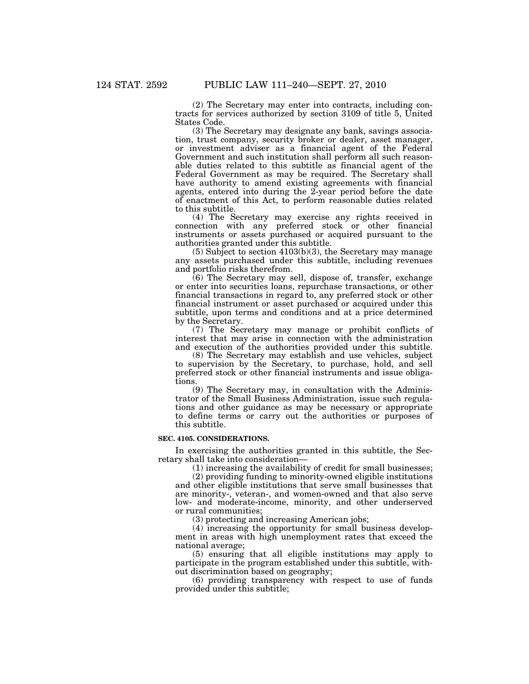(2) The Secretary may enter into contracts, including contracts for services authorized by section 3109 of title 5, United States Code.

(3) The Secretary may designate any bank, savings association, trust company, security broker or dealer, asset manager, or investment adviser as a financial agent of the Federal Government and such institution shall perform all such reasonable duties related to this subtitle as financial agent of the Federal Government as may be required. The Secretary shall have authority to amend existing agreements with financial agents, entered into during the 2-year period before the date of enactment of this Act, to perform reasonable duties related to this subtitle.

(4) The Secretary may exercise any rights received in connection with any preferred stock or other financial instruments or assets purchased or acquired pursuant to the authorities granted under this subtitle.

(5) Subject to section 4103(b)(3), the Secretary may manage any assets purchased under this subtitle, including revenues and portfolio risks therefrom.

(6) The Secretary may sell, dispose of, transfer, exchange or enter into securities loans, repurchase transactions, or other financial transactions in regard to, any preferred stock or other financial instrument or asset purchased or acquired under this subtitle, upon terms and conditions and at a price determined by the Secretary.

(7) The Secretary may manage or prohibit conflicts of interest that may arise in connection with the administration and execution of the authorities provided under this subtitle.

(8) The Secretary may establish and use vehicles, subject to supervision by the Secretary, to purchase, hold, and sell preferred stock or other financial instruments and issue obligations.

(9) The Secretary may, in consultation with the Administrator of the Small Business Administration, issue such regulations and other guidance as may be necessary or appropriate to define terms or carry out the authorities or purposes of this subtitle.

#### **SEC. 4105. CONSIDERATIONS.**

In exercising the authorities granted in this subtitle, the Secretary shall take into consideration—

(1) increasing the availability of credit for small businesses;

(2) providing funding to minority-owned eligible institutions and other eligible institutions that serve small businesses that are minority-, veteran-, and women-owned and that also serve low- and moderate-income, minority, and other underserved or rural communities;

(3) protecting and increasing American jobs;

(4) increasing the opportunity for small business development in areas with high unemployment rates that exceed the national average;

(5) ensuring that all eligible institutions may apply to participate in the program established under this subtitle, without discrimination based on geography;

(6) providing transparency with respect to use of funds provided under this subtitle;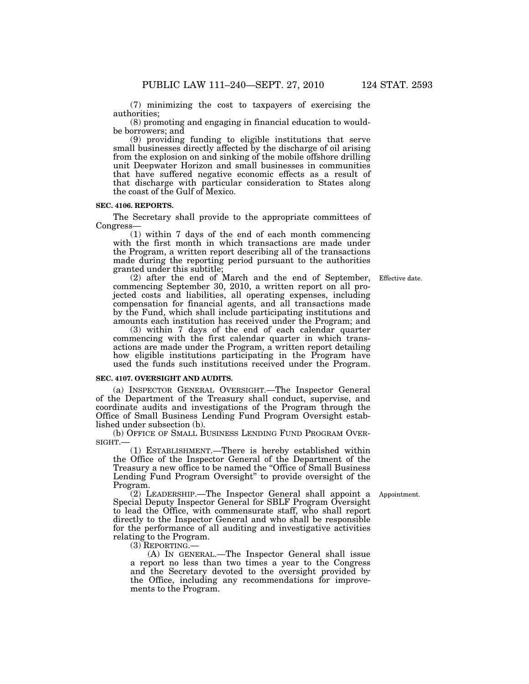(7) minimizing the cost to taxpayers of exercising the authorities;

(8) promoting and engaging in financial education to wouldbe borrowers; and

(9) providing funding to eligible institutions that serve small businesses directly affected by the discharge of oil arising from the explosion on and sinking of the mobile offshore drilling unit Deepwater Horizon and small businesses in communities that have suffered negative economic effects as a result of that discharge with particular consideration to States along the coast of the Gulf of Mexico.

## **SEC. 4106. REPORTS.**

The Secretary shall provide to the appropriate committees of Congress—

(1) within 7 days of the end of each month commencing with the first month in which transactions are made under the Program, a written report describing all of the transactions made during the reporting period pursuant to the authorities granted under this subtitle;

(2) after the end of March and the end of September, Effective date. commencing September 30, 2010, a written report on all projected costs and liabilities, all operating expenses, including compensation for financial agents, and all transactions made by the Fund, which shall include participating institutions and amounts each institution has received under the Program; and

(3) within 7 days of the end of each calendar quarter commencing with the first calendar quarter in which transactions are made under the Program, a written report detailing how eligible institutions participating in the Program have used the funds such institutions received under the Program.

#### **SEC. 4107. OVERSIGHT AND AUDITS.**

(a) INSPECTOR GENERAL OVERSIGHT.—The Inspector General of the Department of the Treasury shall conduct, supervise, and coordinate audits and investigations of the Program through the Office of Small Business Lending Fund Program Oversight established under subsection (b).

(b) OFFICE OF SMALL BUSINESS LENDING FUND PROGRAM OVER-SIGHT.—

(1) ESTABLISHMENT.—There is hereby established within the Office of the Inspector General of the Department of the Treasury a new office to be named the "Office of Small Business" Lending Fund Program Oversight'' to provide oversight of the Program.

Appointment.

(2) LEADERSHIP.—The Inspector General shall appoint a Special Deputy Inspector General for SBLF Program Oversight to lead the Office, with commensurate staff, who shall report directly to the Inspector General and who shall be responsible for the performance of all auditing and investigative activities relating to the Program.

 $(3)$  REPORTING.

(A) IN GENERAL.—The Inspector General shall issue a report no less than two times a year to the Congress and the Secretary devoted to the oversight provided by the Office, including any recommendations for improvements to the Program.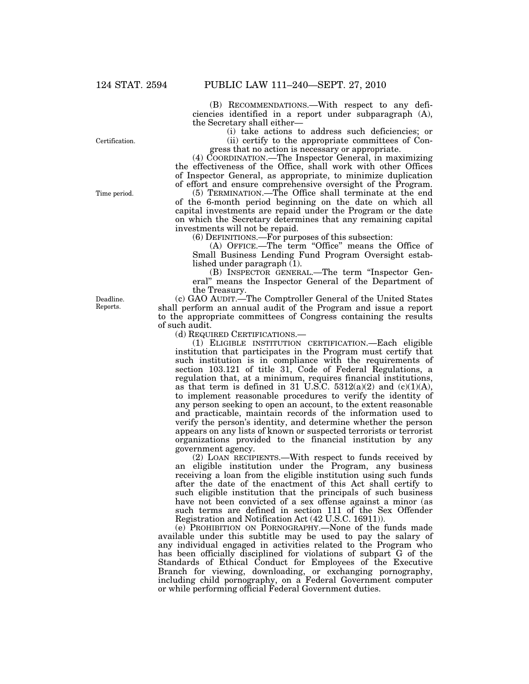(B) RECOMMENDATIONS.—With respect to any deficiencies identified in a report under subparagraph (A), the Secretary shall either—

> (i) take actions to address such deficiencies; or (ii) certify to the appropriate committees of Con-

gress that no action is necessary or appropriate.

(4) COORDINATION.—The Inspector General, in maximizing the effectiveness of the Office, shall work with other Offices of Inspector General, as appropriate, to minimize duplication of effort and ensure comprehensive oversight of the Program.

(5) TERMINATION.—The Office shall terminate at the end of the 6-month period beginning on the date on which all capital investments are repaid under the Program or the date on which the Secretary determines that any remaining capital investments will not be repaid.

(6) DEFINITIONS.—For purposes of this subsection:

(A) OFFICE.—The term "Office" means the Office of Small Business Lending Fund Program Oversight established under paragraph (1).

(B) INSPECTOR GENERAL.—The term ''Inspector General'' means the Inspector General of the Department of the Treasury.

(c) GAO AUDIT.—The Comptroller General of the United States shall perform an annual audit of the Program and issue a report to the appropriate committees of Congress containing the results of such audit.

(d) REQUIRED CERTIFICATIONS.—

(1) ELIGIBLE INSTITUTION CERTIFICATION.—Each eligible institution that participates in the Program must certify that such institution is in compliance with the requirements of section 103.121 of title 31, Code of Federal Regulations, a regulation that, at a minimum, requires financial institutions, as that term is defined in 31 U.S.C.  $5312(a)(2)$  and  $(c)(1)(A)$ , to implement reasonable procedures to verify the identity of any person seeking to open an account, to the extent reasonable and practicable, maintain records of the information used to verify the person's identity, and determine whether the person appears on any lists of known or suspected terrorists or terrorist organizations provided to the financial institution by any government agency.

(2) LOAN RECIPIENTS.—With respect to funds received by an eligible institution under the Program, any business receiving a loan from the eligible institution using such funds after the date of the enactment of this Act shall certify to such eligible institution that the principals of such business have not been convicted of a sex offense against a minor (as such terms are defined in section 111 of the Sex Offender Registration and Notification Act (42 U.S.C. 16911)).

(e) PROHIBITION ON PORNOGRAPHY.—None of the funds made available under this subtitle may be used to pay the salary of any individual engaged in activities related to the Program who has been officially disciplined for violations of subpart G of the Standards of Ethical Conduct for Employees of the Executive Branch for viewing, downloading, or exchanging pornography, including child pornography, on a Federal Government computer or while performing official Federal Government duties.

Time period.

Certification.

Deadline. Reports.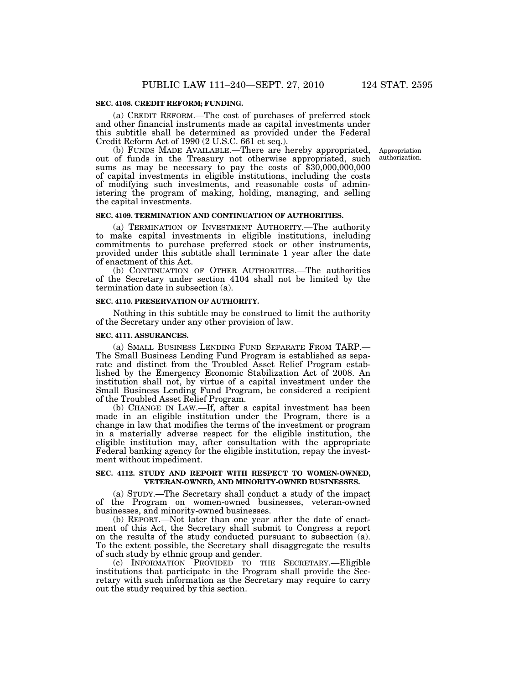#### **SEC. 4108. CREDIT REFORM; FUNDING.**

(a) CREDIT REFORM.—The cost of purchases of preferred stock and other financial instruments made as capital investments under this subtitle shall be determined as provided under the Federal Credit Reform Act of 1990 (2 U.S.C. 661 et seq.).

> Appropriation authorization.

(b) FUNDS MADE AVAILABLE.—There are hereby appropriated, out of funds in the Treasury not otherwise appropriated, such sums as may be necessary to pay the costs of \$30,000,000,000 of capital investments in eligible institutions, including the costs of modifying such investments, and reasonable costs of administering the program of making, holding, managing, and selling the capital investments.

#### **SEC. 4109. TERMINATION AND CONTINUATION OF AUTHORITIES.**

(a) TERMINATION OF INVESTMENT AUTHORITY.—The authority to make capital investments in eligible institutions, including commitments to purchase preferred stock or other instruments, provided under this subtitle shall terminate 1 year after the date of enactment of this Act.

(b) CONTINUATION OF OTHER AUTHORITIES.—The authorities of the Secretary under section 4104 shall not be limited by the termination date in subsection (a).

#### **SEC. 4110. PRESERVATION OF AUTHORITY.**

Nothing in this subtitle may be construed to limit the authority of the Secretary under any other provision of law.

#### **SEC. 4111. ASSURANCES.**

(a) SMALL BUSINESS LENDING FUND SEPARATE FROM TARP.— The Small Business Lending Fund Program is established as separate and distinct from the Troubled Asset Relief Program established by the Emergency Economic Stabilization Act of 2008. An institution shall not, by virtue of a capital investment under the Small Business Lending Fund Program, be considered a recipient of the Troubled Asset Relief Program.

(b) CHANGE IN LAW.—If, after a capital investment has been made in an eligible institution under the Program, there is a change in law that modifies the terms of the investment or program in a materially adverse respect for the eligible institution, the eligible institution may, after consultation with the appropriate Federal banking agency for the eligible institution, repay the investment without impediment.

#### **SEC. 4112. STUDY AND REPORT WITH RESPECT TO WOMEN-OWNED, VETERAN-OWNED, AND MINORITY-OWNED BUSINESSES.**

(a) STUDY.—The Secretary shall conduct a study of the impact of the Program on women-owned businesses, veteran-owned businesses, and minority-owned businesses.

(b) REPORT.—Not later than one year after the date of enactment of this Act, the Secretary shall submit to Congress a report on the results of the study conducted pursuant to subsection (a). To the extent possible, the Secretary shall disaggregate the results of such study by ethnic group and gender.

(c) INFORMATION PROVIDED TO THE SECRETARY.—Eligible institutions that participate in the Program shall provide the Secretary with such information as the Secretary may require to carry out the study required by this section.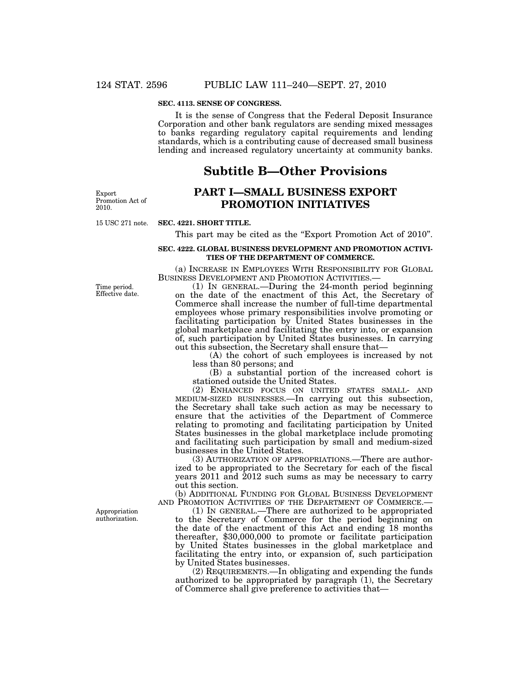## **SEC. 4113. SENSE OF CONGRESS.**

It is the sense of Congress that the Federal Deposit Insurance Corporation and other bank regulators are sending mixed messages to banks regarding regulatory capital requirements and lending standards, which is a contributing cause of decreased small business lending and increased regulatory uncertainty at community banks.

# **Subtitle B—Other Provisions**

Export Promotion Act of 2010.

## **PART I—SMALL BUSINESS EXPORT PROMOTION INITIATIVES**

15 USC 271 note.

## **SEC. 4221. SHORT TITLE.**

This part may be cited as the "Export Promotion Act of 2010".

## **SEC. 4222. GLOBAL BUSINESS DEVELOPMENT AND PROMOTION ACTIVI-TIES OF THE DEPARTMENT OF COMMERCE.**

(a) INCREASE IN EMPLOYEES WITH RESPONSIBILITY FOR GLOBAL BUSINESS DEVELOPMENT AND PROMOTION ACTIVITIES.—

Time period. Effective date.

(1) IN GENERAL.—During the 24-month period beginning on the date of the enactment of this Act, the Secretary of Commerce shall increase the number of full-time departmental employees whose primary responsibilities involve promoting or facilitating participation by United States businesses in the global marketplace and facilitating the entry into, or expansion of, such participation by United States businesses. In carrying out this subsection, the Secretary shall ensure that—

(A) the cohort of such employees is increased by not less than 80 persons; and

(B) a substantial portion of the increased cohort is stationed outside the United States.

(2) ENHANCED FOCUS ON UNITED STATES SMALL- AND MEDIUM-SIZED BUSINESSES.—In carrying out this subsection, the Secretary shall take such action as may be necessary to ensure that the activities of the Department of Commerce relating to promoting and facilitating participation by United States businesses in the global marketplace include promoting and facilitating such participation by small and medium-sized businesses in the United States.

(3) AUTHORIZATION OF APPROPRIATIONS.—There are authorized to be appropriated to the Secretary for each of the fiscal years 2011 and 2012 such sums as may be necessary to carry out this section.

(b) ADDITIONAL FUNDING FOR GLOBAL BUSINESS DEVELOPMENT AND PROMOTION ACTIVITIES OF THE DEPARTMENT OF COMMERCE.—

(1) IN GENERAL.—There are authorized to be appropriated to the Secretary of Commerce for the period beginning on the date of the enactment of this Act and ending 18 months thereafter, \$30,000,000 to promote or facilitate participation by United States businesses in the global marketplace and facilitating the entry into, or expansion of, such participation by United States businesses.

(2) REQUIREMENTS.—In obligating and expending the funds authorized to be appropriated by paragraph (1), the Secretary of Commerce shall give preference to activities that—

Appropriation authorization.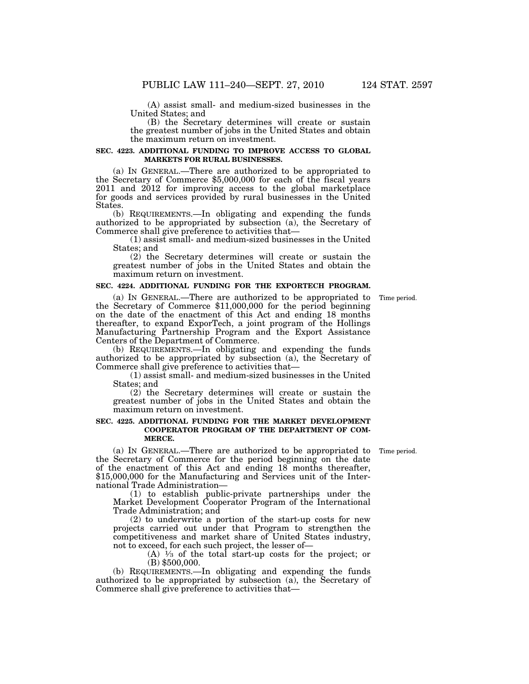(A) assist small- and medium-sized businesses in the United States; and

(B) the Secretary determines will create or sustain the greatest number of jobs in the United States and obtain the maximum return on investment.

#### **SEC. 4223. ADDITIONAL FUNDING TO IMPROVE ACCESS TO GLOBAL MARKETS FOR RURAL BUSINESSES.**

(a) IN GENERAL.—There are authorized to be appropriated to the Secretary of Commerce \$5,000,000 for each of the fiscal years 2011 and 2012 for improving access to the global marketplace for goods and services provided by rural businesses in the United States.

(b) REQUIREMENTS.—In obligating and expending the funds authorized to be appropriated by subsection (a), the Secretary of Commerce shall give preference to activities that—

(1) assist small- and medium-sized businesses in the United States; and

(2) the Secretary determines will create or sustain the greatest number of jobs in the United States and obtain the maximum return on investment.

## **SEC. 4224. ADDITIONAL FUNDING FOR THE EXPORTECH PROGRAM.**

Time period.

(a) IN GENERAL.—There are authorized to be appropriated to the Secretary of Commerce \$11,000,000 for the period beginning on the date of the enactment of this Act and ending 18 months thereafter, to expand ExporTech, a joint program of the Hollings Manufacturing Partnership Program and the Export Assistance Centers of the Department of Commerce.

(b) REQUIREMENTS.—In obligating and expending the funds authorized to be appropriated by subsection (a), the Secretary of Commerce shall give preference to activities that—

(1) assist small- and medium-sized businesses in the United States; and

(2) the Secretary determines will create or sustain the greatest number of jobs in the United States and obtain the maximum return on investment.

#### **SEC. 4225. ADDITIONAL FUNDING FOR THE MARKET DEVELOPMENT COOPERATOR PROGRAM OF THE DEPARTMENT OF COM-MERCE.**

Time period.

(a) IN GENERAL.—There are authorized to be appropriated to the Secretary of Commerce for the period beginning on the date of the enactment of this Act and ending 18 months thereafter, \$15,000,000 for the Manufacturing and Services unit of the International Trade Administration—

(1) to establish public-private partnerships under the Market Development Cooperator Program of the International Trade Administration; and

(2) to underwrite a portion of the start-up costs for new projects carried out under that Program to strengthen the competitiveness and market share of United States industry, not to exceed, for each such project, the lesser of—

 $(A)$  <sup>1</sup>/<sub>3</sub> of the total start-up costs for the project; or (B) \$500,000.

(b) REQUIREMENTS.—In obligating and expending the funds authorized to be appropriated by subsection (a), the Secretary of Commerce shall give preference to activities that—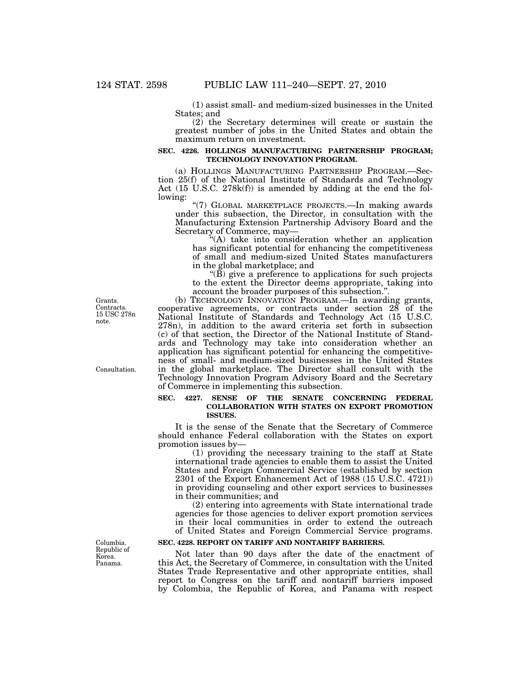(1) assist small- and medium-sized businesses in the United States; and

(2) the Secretary determines will create or sustain the greatest number of jobs in the United States and obtain the maximum return on investment.

## **SEC. 4226. HOLLINGS MANUFACTURING PARTNERSHIP PROGRAM; TECHNOLOGY INNOVATION PROGRAM.**

(a) HOLLINGS MANUFACTURING PARTNERSHIP PROGRAM.—Section 25(f) of the National Institute of Standards and Technology Act (15 U.S.C. 278k(f)) is amended by adding at the end the following:

''(7) GLOBAL MARKETPLACE PROJECTS.—In making awards under this subsection, the Director, in consultation with the Manufacturing Extension Partnership Advisory Board and the Secretary of Commerce, may—

''(A) take into consideration whether an application has significant potential for enhancing the competitiveness of small and medium-sized United States manufacturers in the global marketplace; and

''(B) give a preference to applications for such projects to the extent the Director deems appropriate, taking into account the broader purposes of this subsection.

(b) TECHNOLOGY INNOVATION PROGRAM.—In awarding grants, cooperative agreements, or contracts under section 28 of the National Institute of Standards and Technology Act (15 U.S.C. 278n), in addition to the award criteria set forth in subsection (c) of that section, the Director of the National Institute of Standards and Technology may take into consideration whether an application has significant potential for enhancing the competitiveness of small- and medium-sized businesses in the United States in the global marketplace. The Director shall consult with the Technology Innovation Program Advisory Board and the Secretary of Commerce in implementing this subsection.

## **SEC. 4227. SENSE OF THE SENATE CONCERNING FEDERAL COLLABORATION WITH STATES ON EXPORT PROMOTION ISSUES.**

It is the sense of the Senate that the Secretary of Commerce should enhance Federal collaboration with the States on export promotion issues by—

(1) providing the necessary training to the staff at State international trade agencies to enable them to assist the United States and Foreign Commercial Service (established by section 2301 of the Export Enhancement Act of 1988 (15 U.S.C. 4721)) in providing counseling and other export services to businesses in their communities; and

(2) entering into agreements with State international trade agencies for those agencies to deliver export promotion services in their local communities in order to extend the outreach of United States and Foreign Commercial Service programs.

## **SEC. 4228. REPORT ON TARIFF AND NONTARIFF BARRIERS.**

Not later than 90 days after the date of the enactment of this Act, the Secretary of Commerce, in consultation with the United States Trade Representative and other appropriate entities, shall report to Congress on the tariff and nontariff barriers imposed by Colombia, the Republic of Korea, and Panama with respect

Grants. Contracts. 15 USC 278n note.

Consultation.

Columbia. Republic of Korea. Panama.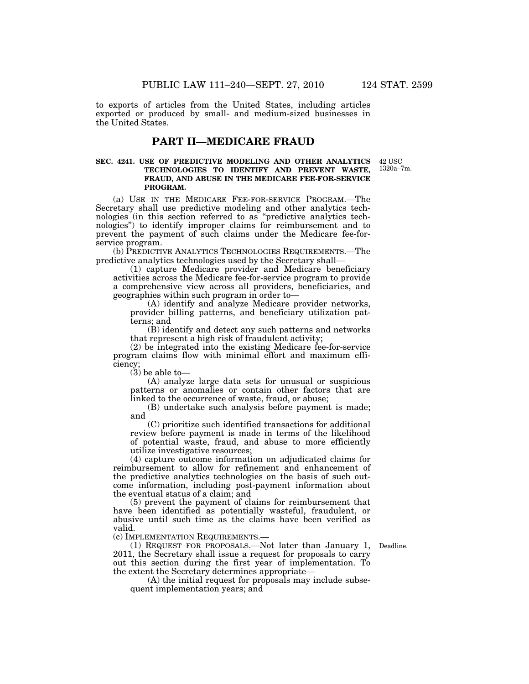to exports of articles from the United States, including articles exported or produced by small- and medium-sized businesses in the United States.

## **PART II—MEDICARE FRAUD**

## **SEC. 4241. USE OF PREDICTIVE MODELING AND OTHER ANALYTICS TECHNOLOGIES TO IDENTIFY AND PREVENT WASTE, FRAUD, AND ABUSE IN THE MEDICARE FEE-FOR-SERVICE PROGRAM.**

(a) USE IN THE MEDICARE FEE-FOR-SERVICE PROGRAM.—The Secretary shall use predictive modeling and other analytics technologies (in this section referred to as ''predictive analytics technologies'') to identify improper claims for reimbursement and to prevent the payment of such claims under the Medicare fee-forservice program.

(b) PREDICTIVE ANALYTICS TECHNOLOGIES REQUIREMENTS.—The predictive analytics technologies used by the Secretary shall—

(1) capture Medicare provider and Medicare beneficiary activities across the Medicare fee-for-service program to provide a comprehensive view across all providers, beneficiaries, and geographies within such program in order to—

(A) identify and analyze Medicare provider networks, provider billing patterns, and beneficiary utilization patterns; and

(B) identify and detect any such patterns and networks that represent a high risk of fraudulent activity;

(2) be integrated into the existing Medicare fee-for-service program claims flow with minimal effort and maximum efficiency

 $(3)$  be able to-

(A) analyze large data sets for unusual or suspicious patterns or anomalies or contain other factors that are linked to the occurrence of waste, fraud, or abuse;

(B) undertake such analysis before payment is made; and

(C) prioritize such identified transactions for additional review before payment is made in terms of the likelihood of potential waste, fraud, and abuse to more efficiently utilize investigative resources;

(4) capture outcome information on adjudicated claims for reimbursement to allow for refinement and enhancement of the predictive analytics technologies on the basis of such outcome information, including post-payment information about the eventual status of a claim; and

(5) prevent the payment of claims for reimbursement that have been identified as potentially wasteful, fraudulent, or abusive until such time as the claims have been verified as valid.<br>(c) Implementation Requirements.–

(1) REQUEST FOR PROPOSALS.—Not later than January 1, 2011, the Secretary shall issue a request for proposals to carry out this section during the first year of implementation. To the extent the Secretary determines appropriate—

Deadline.

(A) the initial request for proposals may include subsequent implementation years; and

42 USC 1320a–7m.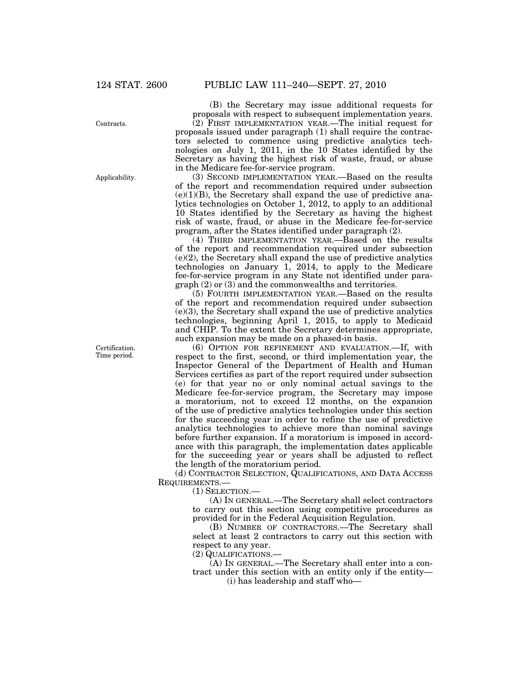Contracts.

Applicability.

Certification. Time period.

(B) the Secretary may issue additional requests for proposals with respect to subsequent implementation years. (2) FIRST IMPLEMENTATION YEAR.—The initial request for proposals issued under paragraph (1) shall require the contractors selected to commence using predictive analytics technologies on July 1, 2011, in the 10 States identified by the Secretary as having the highest risk of waste, fraud, or abuse in the Medicare fee-for-service program.

(3) SECOND IMPLEMENTATION YEAR.—Based on the results of the report and recommendation required under subsection  $(e)(1)(B)$ , the Secretary shall expand the use of predictive analytics technologies on October 1, 2012, to apply to an additional 10 States identified by the Secretary as having the highest risk of waste, fraud, or abuse in the Medicare fee-for-service program, after the States identified under paragraph (2).

(4) THIRD IMPLEMENTATION YEAR.—Based on the results of the report and recommendation required under subsection (e)(2), the Secretary shall expand the use of predictive analytics technologies on January 1, 2014, to apply to the Medicare fee-for-service program in any State not identified under paragraph (2) or (3) and the commonwealths and territories.

(5) FOURTH IMPLEMENTATION YEAR.—Based on the results of the report and recommendation required under subsection (e)(3), the Secretary shall expand the use of predictive analytics technologies, beginning April 1, 2015, to apply to Medicaid and CHIP. To the extent the Secretary determines appropriate, such expansion may be made on a phased-in basis.

(6) OPTION FOR REFINEMENT AND EVALUATION.—If, with respect to the first, second, or third implementation year, the Inspector General of the Department of Health and Human Services certifies as part of the report required under subsection (e) for that year no or only nominal actual savings to the Medicare fee-for-service program, the Secretary may impose a moratorium, not to exceed 12 months, on the expansion of the use of predictive analytics technologies under this section for the succeeding year in order to refine the use of predictive analytics technologies to achieve more than nominal savings before further expansion. If a moratorium is imposed in accordance with this paragraph, the implementation dates applicable for the succeeding year or years shall be adjusted to reflect the length of the moratorium period.

(d) CONTRACTOR SELECTION, QUALIFICATIONS, AND DATA ACCESS REQUIREMENTS.—

(1) SELECTION.—

(A) IN GENERAL.—The Secretary shall select contractors to carry out this section using competitive procedures as provided for in the Federal Acquisition Regulation.

(B) NUMBER OF CONTRACTORS.—The Secretary shall select at least 2 contractors to carry out this section with respect to any year.

(2) QUALIFICATIONS.—

(A) IN GENERAL.—The Secretary shall enter into a contract under this section with an entity only if the entity—

(i) has leadership and staff who—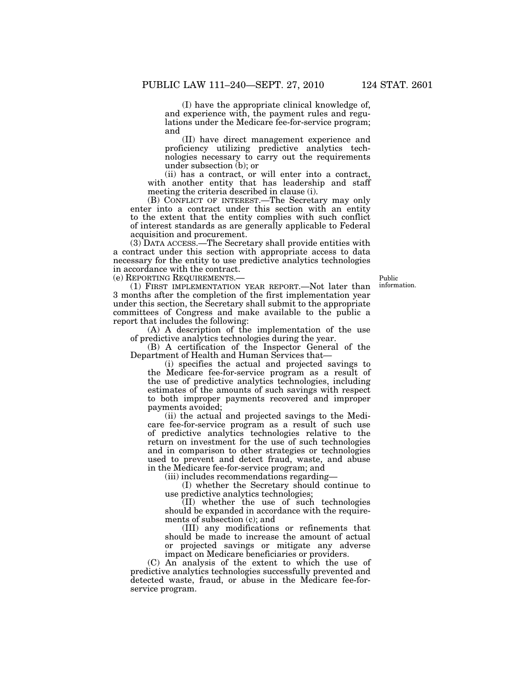(I) have the appropriate clinical knowledge of, and experience with, the payment rules and regulations under the Medicare fee-for-service program; and

(II) have direct management experience and proficiency utilizing predictive analytics technologies necessary to carry out the requirements under subsection (b); or

(ii) has a contract, or will enter into a contract, with another entity that has leadership and staff meeting the criteria described in clause (i).

(B) CONFLICT OF INTEREST.—The Secretary may only enter into a contract under this section with an entity to the extent that the entity complies with such conflict of interest standards as are generally applicable to Federal acquisition and procurement.

(3) DATA ACCESS.—The Secretary shall provide entities with a contract under this section with appropriate access to data necessary for the entity to use predictive analytics technologies in accordance with the contract.

(e) REPORTING REQUIREMENTS.—

Public information.

(1) FIRST IMPLEMENTATION YEAR REPORT.—Not later than 3 months after the completion of the first implementation year under this section, the Secretary shall submit to the appropriate committees of Congress and make available to the public a report that includes the following:

(A) A description of the implementation of the use of predictive analytics technologies during the year.

(B) A certification of the Inspector General of the Department of Health and Human Services that—

(i) specifies the actual and projected savings to the Medicare fee-for-service program as a result of the use of predictive analytics technologies, including estimates of the amounts of such savings with respect to both improper payments recovered and improper payments avoided;

(ii) the actual and projected savings to the Medicare fee-for-service program as a result of such use of predictive analytics technologies relative to the return on investment for the use of such technologies and in comparison to other strategies or technologies used to prevent and detect fraud, waste, and abuse in the Medicare fee-for-service program; and

(iii) includes recommendations regarding—

(I) whether the Secretary should continue to use predictive analytics technologies;

(II) whether the use of such technologies should be expanded in accordance with the requirements of subsection (c); and

(III) any modifications or refinements that should be made to increase the amount of actual or projected savings or mitigate any adverse impact on Medicare beneficiaries or providers.

(C) An analysis of the extent to which the use of predictive analytics technologies successfully prevented and detected waste, fraud, or abuse in the Medicare fee-forservice program.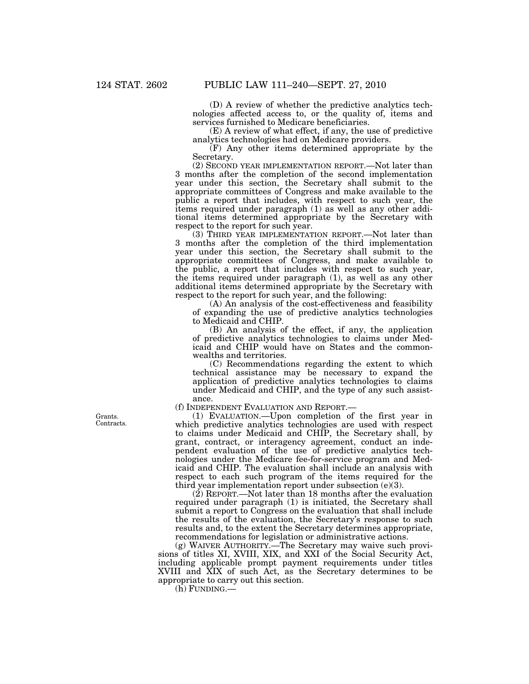(D) A review of whether the predictive analytics technologies affected access to, or the quality of, items and services furnished to Medicare beneficiaries.

(E) A review of what effect, if any, the use of predictive analytics technologies had on Medicare providers.

(F) Any other items determined appropriate by the Secretary.

(2) SECOND YEAR IMPLEMENTATION REPORT.—Not later than 3 months after the completion of the second implementation year under this section, the Secretary shall submit to the appropriate committees of Congress and make available to the public a report that includes, with respect to such year, the items required under paragraph (1) as well as any other additional items determined appropriate by the Secretary with respect to the report for such year.

(3) THIRD YEAR IMPLEMENTATION REPORT.—Not later than 3 months after the completion of the third implementation year under this section, the Secretary shall submit to the appropriate committees of Congress, and make available to the public, a report that includes with respect to such year, the items required under paragraph (1), as well as any other additional items determined appropriate by the Secretary with respect to the report for such year, and the following:

(A) An analysis of the cost-effectiveness and feasibility of expanding the use of predictive analytics technologies to Medicaid and CHIP.

(B) An analysis of the effect, if any, the application of predictive analytics technologies to claims under Medicaid and CHIP would have on States and the commonwealths and territories.

(C) Recommendations regarding the extent to which technical assistance may be necessary to expand the application of predictive analytics technologies to claims under Medicaid and CHIP, and the type of any such assistance.

(f) INDEPENDENT EVALUATION AND REPORT.—

(1) EVALUATION.—Upon completion of the first year in which predictive analytics technologies are used with respect to claims under Medicaid and CHIP, the Secretary shall, by grant, contract, or interagency agreement, conduct an independent evaluation of the use of predictive analytics technologies under the Medicare fee-for-service program and Medicaid and CHIP. The evaluation shall include an analysis with respect to each such program of the items required for the third year implementation report under subsection (e)(3).

(2) REPORT.—Not later than 18 months after the evaluation required under paragraph (1) is initiated, the Secretary shall submit a report to Congress on the evaluation that shall include the results of the evaluation, the Secretary's response to such results and, to the extent the Secretary determines appropriate, recommendations for legislation or administrative actions.

(g) WAIVER AUTHORITY.—The Secretary may waive such provisions of titles XI, XVIII, XIX, and XXI of the Social Security Act, including applicable prompt payment requirements under titles XVIII and XIX of such Act, as the Secretary determines to be appropriate to carry out this section.

(h) FUNDING.—

Grants. Contracts.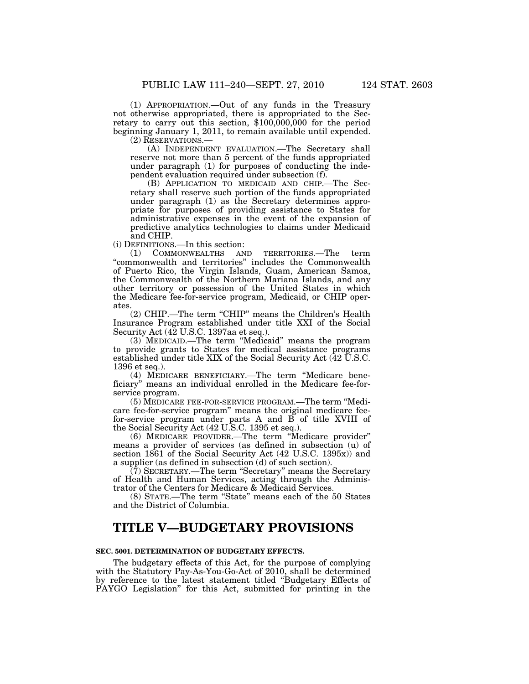(1) APPROPRIATION.—Out of any funds in the Treasury not otherwise appropriated, there is appropriated to the Secretary to carry out this section, \$100,000,000 for the period beginning January 1, 2011, to remain available until expended.

(2) RESERVATIONS.—

(A) INDEPENDENT EVALUATION.—The Secretary shall reserve not more than 5 percent of the funds appropriated under paragraph (1) for purposes of conducting the independent evaluation required under subsection (f).

(B) APPLICATION TO MEDICAID AND CHIP.—The Secretary shall reserve such portion of the funds appropriated under paragraph (1) as the Secretary determines appropriate for purposes of providing assistance to States for administrative expenses in the event of the expansion of predictive analytics technologies to claims under Medicaid and CHIP.

(i) DEFINITIONS.—In this section:

(1) COMMONWEALTHS AND TERRITORIES.—The term ''commonwealth and territories'' includes the Commonwealth of Puerto Rico, the Virgin Islands, Guam, American Samoa, the Commonwealth of the Northern Mariana Islands, and any other territory or possession of the United States in which the Medicare fee-for-service program, Medicaid, or CHIP operates.

(2) CHIP.—The term "CHIP" means the Children's Health Insurance Program established under title XXI of the Social Security Act (42 U.S.C. 1397aa et seq.).

(3) MEDICAID.—The term ''Medicaid'' means the program to provide grants to States for medical assistance programs established under title XIX of the Social Security Act (42 U.S.C. 1396 et seq.).

(4) MEDICARE BENEFICIARY.—The term ''Medicare beneficiary'' means an individual enrolled in the Medicare fee-forservice program.

(5) MEDICARE FEE-FOR-SERVICE PROGRAM.—The term ''Medicare fee-for-service program'' means the original medicare feefor-service program under parts A and B of title XVIII of the Social Security Act (42 U.S.C. 1395 et seq.).

(6) MEDICARE PROVIDER.—The term ''Medicare provider'' means a provider of services (as defined in subsection (u) of section 1861 of the Social Security Act (42 U.S.C. 1395x)) and a supplier (as defined in subsection (d) of such section).

(7) SECRETARY.—The term ''Secretary'' means the Secretary of Health and Human Services, acting through the Administrator of the Centers for Medicare & Medicaid Services.

(8) STATE.—The term ''State'' means each of the 50 States and the District of Columbia.

# **TITLE V—BUDGETARY PROVISIONS**

## **SEC. 5001. DETERMINATION OF BUDGETARY EFFECTS.**

The budgetary effects of this Act, for the purpose of complying with the Statutory Pay-As-You-Go-Act of 2010, shall be determined by reference to the latest statement titled ''Budgetary Effects of PAYGO Legislation'' for this Act, submitted for printing in the